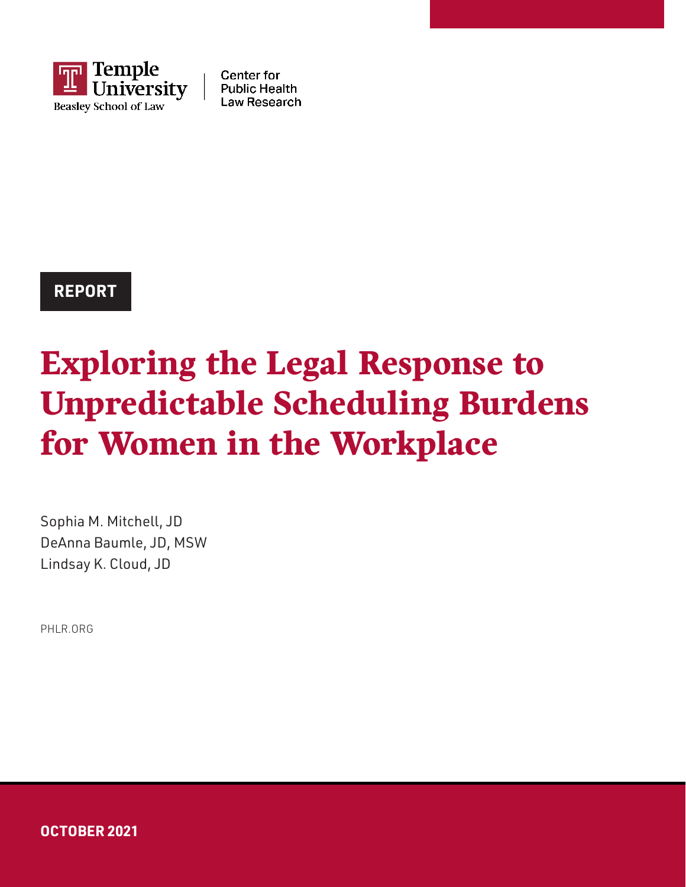

**Center for Public Health** Law Research

### **REPORT**

# Exploring the Legal Response to Unpredictable Scheduling Burdens for Women in the Workplace

Sophia M. Mitchell, JD DeAnna Baumle, JD, MSW Lindsay K. Cloud, JD

[PHLR.ORG](http://phlr.org/)

**OCTOBER 2021**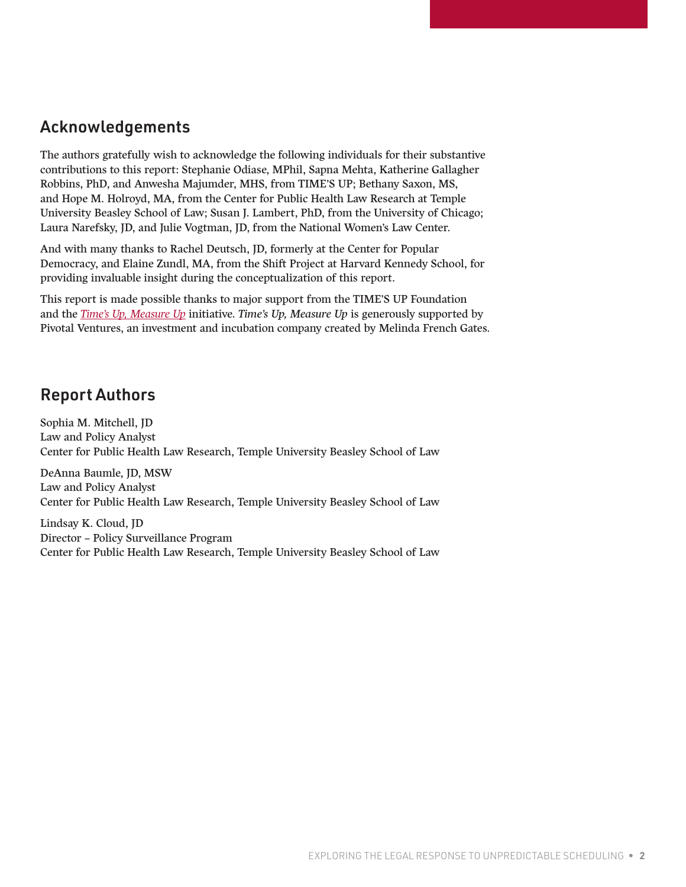### Acknowledgements

The authors gratefully wish to acknowledge the following individuals for their substantive contributions to this report: Stephanie Odiase, MPhil, Sapna Mehta, Katherine Gallagher Robbins, PhD, and Anwesha Majumder, MHS, from TIME'S UP; Bethany Saxon, MS, and Hope M. Holroyd, MA, from the Center for Public Health Law Research at Temple University Beasley School of Law; Susan J. Lambert, PhD, from the University of Chicago; Laura Narefsky, JD, and Julie Vogtman, JD, from the National Women's Law Center.

And with many thanks to Rachel Deutsch, JD, formerly at the Center for Popular Democracy, and Elaine Zundl, MA, from the Shift Project at Harvard Kennedy School, for providing invaluable insight during the conceptualization of this report.

This report is made possible thanks to major support from the TIME'S UP Foundation and the *[Time's Up, Measure Up](https://timesupfoundation.org/work/times-up-impact-lab/times-up-measure-up/)* initiative. *Time's Up, Measure Up* is generously supported by Pivotal Ventures, an investment and incubation company created by Melinda French Gates.

### Report Authors

Sophia M. Mitchell, JD Law and Policy Analyst Center for Public Health Law Research, Temple University Beasley School of Law

DeAnna Baumle, JD, MSW Law and Policy Analyst Center for Public Health Law Research, Temple University Beasley School of Law

Lindsay K. Cloud, JD Director – Policy Surveillance Program Center for Public Health Law Research, Temple University Beasley School of Law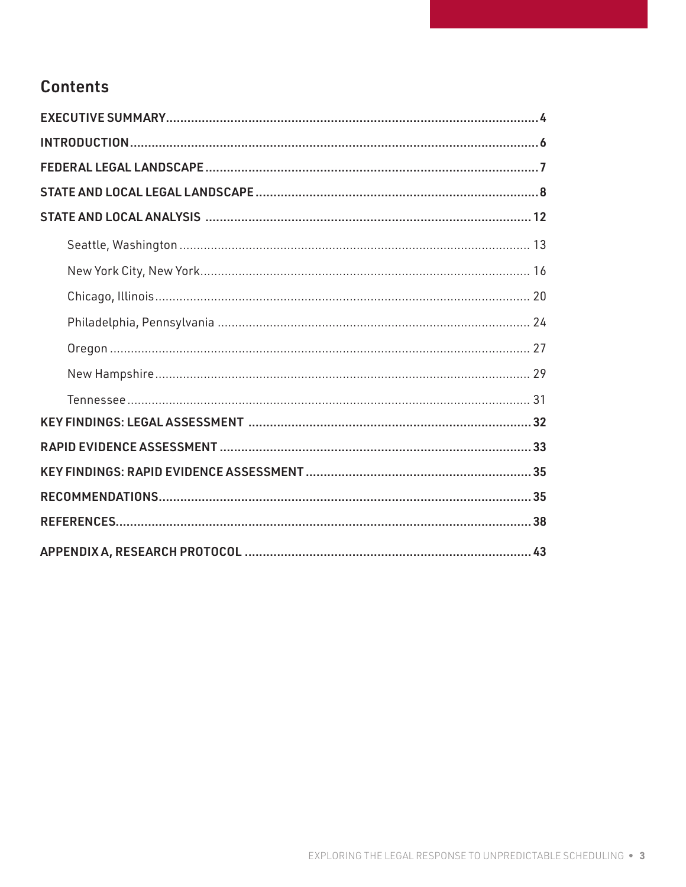### **Contents**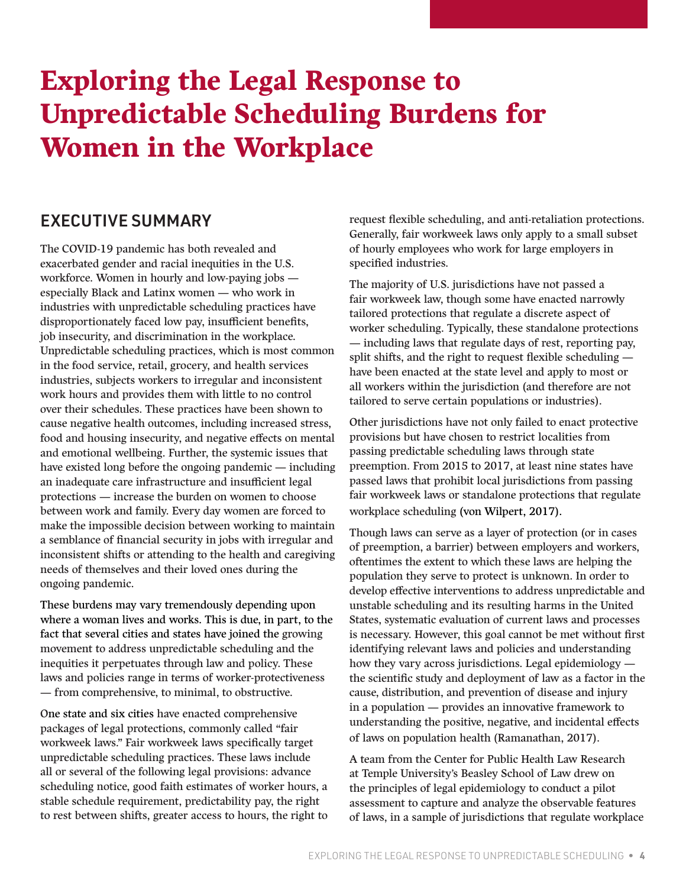## <span id="page-3-0"></span>Exploring the Legal Response to Unpredictable Scheduling Burdens for Women in the Workplace

### EXECUTIVE SUMMARY

The COVID-19 pandemic has both revealed and exacerbated gender and racial inequities in the U.S. workforce. Women in hourly and low-paying jobs especially Black and Latinx women — who work in industries with unpredictable scheduling practices have disproportionately faced low pay, insufficient benefits, job insecurity, and discrimination in the workplace. Unpredictable scheduling practices, which is most common in the food service, retail, grocery, and health services industries, subjects workers to irregular and inconsistent work hours and provides them with little to no control over their schedules. These practices have been shown to cause negative health outcomes, including increased stress, food and housing insecurity, and negative effects on mental and emotional wellbeing. Further, the systemic issues that have existed long before the ongoing pandemic — including an inadequate care infrastructure and insufficient legal protections — increase the burden on women to choose between work and family. Every day women are forced to make the impossible decision between working to maintain a semblance of financial security in jobs with irregular and inconsistent shifts or attending to the health and caregiving needs of themselves and their loved ones during the ongoing pandemic.

These burdens may vary tremendously depending upon where a woman lives and works. This is due, in part, to the fact that several cities and states have joined the growing movement to address unpredictable scheduling and the inequities it perpetuates through law and policy. These laws and policies range in terms of worker-protectiveness — from comprehensive, to minimal, to obstructive.

One state and six cities have enacted comprehensive packages of legal protections, commonly called "fair workweek laws." Fair workweek laws specifically target unpredictable scheduling practices. These laws include all or several of the following legal provisions: advance scheduling notice, good faith estimates of worker hours, a stable schedule requirement, predictability pay, the right to rest between shifts, greater access to hours, the right to request flexible scheduling, and anti-retaliation protections. Generally, fair workweek laws only apply to a small subset of hourly employees who work for large employers in specified industries.

The majority of U.S. jurisdictions have not passed a fair workweek law, though some have enacted narrowly tailored protections that regulate a discrete aspect of worker scheduling. Typically, these standalone protections — including laws that regulate days of rest, reporting pay, split shifts, and the right to request flexible scheduling have been enacted at the state level and apply to most or all workers within the jurisdiction (and therefore are not tailored to serve certain populations or industries).

Other jurisdictions have not only failed to enact protective provisions but have chosen to restrict localities from passing predictable scheduling laws through state preemption. From 2015 to 2017, at least nine states have passed laws that prohibit local jurisdictions from passing fair workweek laws or standalone protections that regulate workplace scheduling (von Wilpert, 2017).

Though laws can serve as a layer of protection (or in cases of preemption, a barrier) between employers and workers, oftentimes the extent to which these laws are helping the population they serve to protect is unknown. In order to develop effective interventions to address unpredictable and unstable scheduling and its resulting harms in the United States, systematic evaluation of current laws and processes is necessary. However, this goal cannot be met without first identifying relevant laws and policies and understanding how they vary across jurisdictions. Legal epidemiology the scientific study and deployment of law as a factor in the cause, distribution, and prevention of disease and injury in a population — provides an innovative framework to understanding the positive, negative, and incidental effects of laws on population health (Ramanathan, 2017).

A team from the Center for Public Health Law Research at Temple University's Beasley School of Law drew on the principles of legal epidemiology to conduct a pilot assessment to capture and analyze the observable features of laws, in a sample of jurisdictions that regulate workplace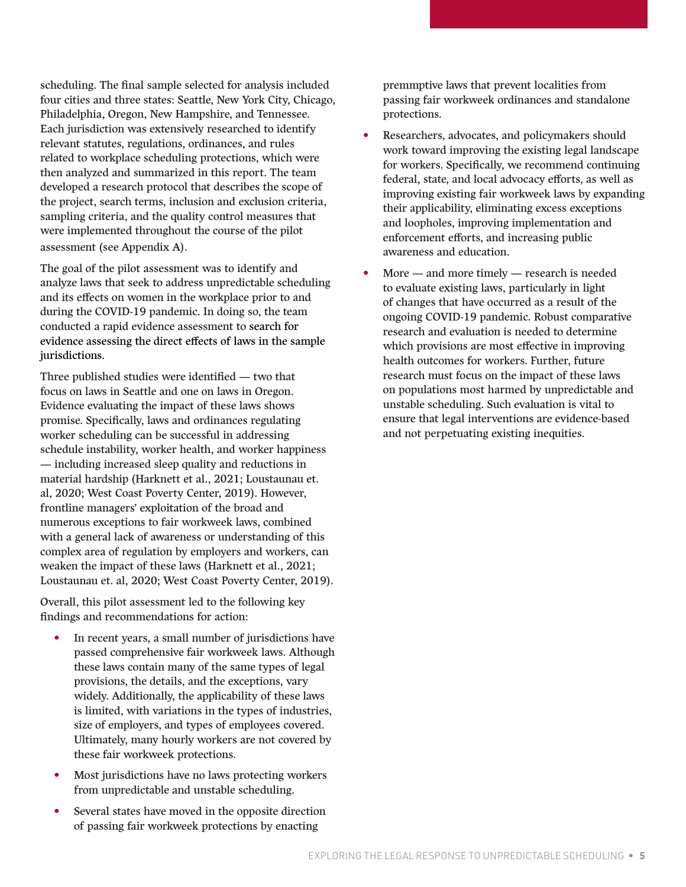scheduling. The final sample selected for analysis included four cities and three states: Seattle, New York City, Chicago, Philadelphia, Oregon, New Hampshire, and Tennessee. Each jurisdiction was extensively researched to identify relevant statutes, regulations, ordinances, and rules related to workplace scheduling protections, which were then analyzed and summarized in this report. The team developed a research protocol that describes the scope of the project, search terms, inclusion and exclusion criteria, sampling criteria, and the quality control measures that were implemented throughout the course of the pilot assessment (see Appendix A).

The goal of the pilot assessment was to identify and analyze laws that seek to address unpredictable scheduling and its effects on women in the workplace prior to and during the COVID-19 pandemic. In doing so, the team conducted a rapid evidence assessment to search for evidence assessing the direct effects of laws in the sample jurisdictions.

Three published studies were identified — two that focus on laws in Seattle and one on laws in Oregon. Evidence evaluating the impact of these laws shows promise. Specifically, laws and ordinances regulating worker scheduling can be successful in addressing schedule instability, worker health, and worker happiness — including increased sleep quality and reductions in material hardship (Harknett et al., 2021; Loustaunau et. al, 2020; West Coast Poverty Center, 2019). However, frontline managers' exploitation of the broad and numerous exceptions to fair workweek laws, combined with a general lack of awareness or understanding of this complex area of regulation by employers and workers, can weaken the impact of these laws (Harknett et al., 2021; Loustaunau et. al, 2020; West Coast Poverty Center, 2019).

Overall, this pilot assessment led to the following key findings and recommendations for action:

- In recent years, a small number of jurisdictions have passed comprehensive fair workweek laws. Although these laws contain many of the same types of legal provisions, the details, and the exceptions, vary widely. Additionally, the applicability of these laws is limited, with variations in the types of industries, size of employers, and types of employees covered. Ultimately, many hourly workers are not covered by these fair workweek protections.
- Most jurisdictions have no laws protecting workers from unpredictable and unstable scheduling.
- Several states have moved in the opposite direction of passing fair workweek protections by enacting

premmptive laws that prevent localities from passing fair workweek ordinances and standalone protections.

- Researchers, advocates, and policymakers should work toward improving the existing legal landscape for workers. Specifically, we recommend continuing federal, state, and local advocacy efforts, as well as improving existing fair workweek laws by expanding their applicability, eliminating excess exceptions and loopholes, improving implementation and enforcement efforts, and increasing public awareness and education.
- $More and more timely research is needed$ to evaluate existing laws, particularly in light of changes that have occurred as a result of the ongoing COVID-19 pandemic. Robust comparative research and evaluation is needed to determine which provisions are most effective in improving health outcomes for workers. Further, future research must focus on the impact of these laws on populations most harmed by unpredictable and unstable scheduling. Such evaluation is vital to ensure that legal interventions are evidence-based and not perpetuating existing inequities.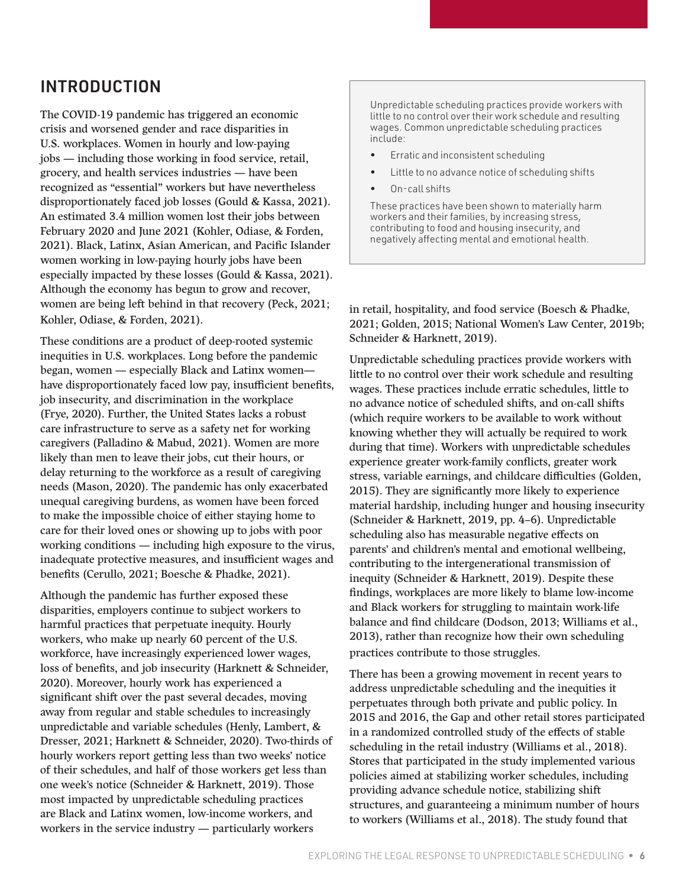### <span id="page-5-0"></span>INTRODUCTION

The COVID-19 pandemic has triggered an economic crisis and worsened gender and race disparities in U.S. workplaces. Women in hourly and low-paying jobs — including those working in food service, retail, grocery, and health services industries — have been recognized as "essential" workers but have nevertheless disproportionately faced job losses (Gould & Kassa, 2021). An estimated 3.4 million women lost their jobs between February 2020 and June 2021 (Kohler, Odiase, & Forden, 2021). Black, Latinx, Asian American, and Pacific Islander women working in low-paying hourly jobs have been especially impacted by these losses (Gould & Kassa, 2021). Although the economy has begun to grow and recover, women are being left behind in that recovery (Peck, 2021; Kohler, Odiase, & Forden, 2021).

These conditions are a product of deep-rooted systemic inequities in U.S. workplaces. Long before the pandemic began, women — especially Black and Latinx women have disproportionately faced low pay, insufficient benefits, job insecurity, and discrimination in the workplace (Frye, 2020). Further, the United States lacks a robust care infrastructure to serve as a safety net for working caregivers (Palladino & Mabud, 2021). Women are more likely than men to leave their jobs, cut their hours, or delay returning to the workforce as a result of caregiving needs (Mason, 2020). The pandemic has only exacerbated unequal caregiving burdens, as women have been forced to make the impossible choice of either staying home to care for their loved ones or showing up to jobs with poor working conditions — including high exposure to the virus, inadequate protective measures, and insufficient wages and benefits (Cerullo, 2021; Boesche & Phadke, 2021).

Although the pandemic has further exposed these disparities, employers continue to subject workers to harmful practices that perpetuate inequity. Hourly workers, who make up nearly 60 percent of the U.S. workforce, have increasingly experienced lower wages, loss of benefits, and job insecurity (Harknett & Schneider, 2020). Moreover, hourly work has experienced a significant shift over the past several decades, moving away from regular and stable schedules to increasingly unpredictable and variable schedules (Henly, Lambert, & Dresser, 2021; Harknett & Schneider, 2020). Two-thirds of hourly workers report getting less than two weeks' notice of their schedules, and half of those workers get less than one week's notice (Schneider & Harknett, 2019). Those most impacted by unpredictable scheduling practices are Black and Latinx women, low-income workers, and workers in the service industry — particularly workers

Unpredictable scheduling practices provide workers with little to no control over their work schedule and resulting wages. Common unpredictable scheduling practices include:

- Erratic and inconsistent scheduling
- Little to no advance notice of scheduling shifts
- On-call shifts

These practices have been shown to materially harm workers and their families, by increasing stress, contributing to food and housing insecurity, and negatively affecting mental and emotional health.

in retail, hospitality, and food service (Boesch & Phadke, 2021; Golden, 2015; National Women's Law Center, 2019b; Schneider & Harknett, 2019).

Unpredictable scheduling practices provide workers with little to no control over their work schedule and resulting wages. These practices include erratic schedules, little to no advance notice of scheduled shifts, and on-call shifts (which require workers to be available to work without knowing whether they will actually be required to work during that time). Workers with unpredictable schedules experience greater work-family conflicts, greater work stress, variable earnings, and childcare difficulties (Golden, 2015). They are significantly more likely to experience material hardship, including hunger and housing insecurity (Schneider & Harknett, 2019, pp. 4–6). Unpredictable scheduling also has measurable negative effects on parents' and children's mental and emotional wellbeing, contributing to the intergenerational transmission of inequity (Schneider & Harknett, 2019). Despite these findings, workplaces are more likely to blame low-income and Black workers for struggling to maintain work-life balance and find childcare (Dodson, 2013; Williams et al., 2013), rather than recognize how their own scheduling practices contribute to those struggles.

There has been a growing movement in recent years to address unpredictable scheduling and the inequities it perpetuates through both private and public policy. In 2015 and 2016, the Gap and other retail stores participated in a randomized controlled study of the effects of stable scheduling in the retail industry (Williams et al., 2018). Stores that participated in the study implemented various policies aimed at stabilizing worker schedules, including providing advance schedule notice, stabilizing shift structures, and guaranteeing a minimum number of hours to workers (Williams et al., 2018). The study found that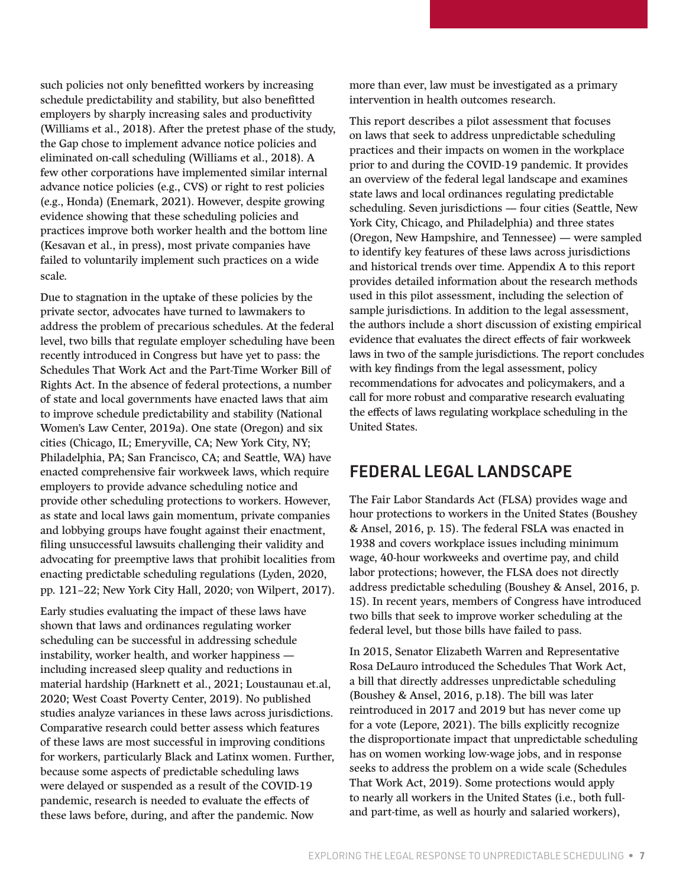<span id="page-6-0"></span>such policies not only benefitted workers by increasing schedule predictability and stability, but also benefitted employers by sharply increasing sales and productivity (Williams et al., 2018). After the pretest phase of the study, the Gap chose to implement advance notice policies and eliminated on-call scheduling (Williams et al., 2018). A few other corporations have implemented similar internal advance notice policies (e.g., CVS) or right to rest policies (e.g., Honda) (Enemark, 2021). However, despite growing evidence showing that these scheduling policies and practices improve both worker health and the bottom line (Kesavan et al., in press), most private companies have failed to voluntarily implement such practices on a wide scale.

Due to stagnation in the uptake of these policies by the private sector, advocates have turned to lawmakers to address the problem of precarious schedules. At the federal level, two bills that regulate employer scheduling have been recently introduced in Congress but have yet to pass: the Schedules That Work Act and the Part-Time Worker Bill of Rights Act. In the absence of federal protections, a number of state and local governments have enacted laws that aim to improve schedule predictability and stability (National Women's Law Center, 2019a). One state (Oregon) and six cities (Chicago, IL; Emeryville, CA; New York City, NY; Philadelphia, PA; San Francisco, CA; and Seattle, WA) have enacted comprehensive fair workweek laws, which require employers to provide advance scheduling notice and provide other scheduling protections to workers. However, as state and local laws gain momentum, private companies and lobbying groups have fought against their enactment, filing unsuccessful lawsuits challenging their validity and advocating for preemptive laws that prohibit localities from enacting predictable scheduling regulations (Lyden, 2020, pp. 121–22; New York City Hall, 2020; von Wilpert, 2017).

Early studies evaluating the impact of these laws have shown that laws and ordinances regulating worker scheduling can be successful in addressing schedule instability, worker health, and worker happiness including increased sleep quality and reductions in material hardship (Harknett et al., 2021; Loustaunau [et.al,](http://et.al) 2020; West Coast Poverty Center, 2019). No published studies analyze variances in these laws across jurisdictions. Comparative research could better assess which features of these laws are most successful in improving conditions for workers, particularly Black and Latinx women. Further, because some aspects of predictable scheduling laws were delayed or suspended as a result of the COVID-19 pandemic, research is needed to evaluate the effects of these laws before, during, and after the pandemic. Now

more than ever, law must be investigated as a primary intervention in health outcomes research.

This report describes a pilot assessment that focuses on laws that seek to address unpredictable scheduling practices and their impacts on women in the workplace prior to and during the COVID-19 pandemic. It provides an overview of the federal legal landscape and examines state laws and local ordinances regulating predictable scheduling. Seven jurisdictions — four cities (Seattle, New York City, Chicago, and Philadelphia) and three states (Oregon, New Hampshire, and Tennessee) — were sampled to identify key features of these laws across jurisdictions and historical trends over time. Appendix A to this report provides detailed information about the research methods used in this pilot assessment, including the selection of sample jurisdictions. In addition to the legal assessment, the authors include a short discussion of existing empirical evidence that evaluates the direct effects of fair workweek laws in two of the sample jurisdictions. The report concludes with key findings from the legal assessment, policy recommendations for advocates and policymakers, and a call for more robust and comparative research evaluating the effects of laws regulating workplace scheduling in the United States.

### FEDERAL LEGAL LANDSCAPE

The Fair Labor Standards Act (FLSA) provides wage and hour protections to workers in the United States (Boushey & Ansel, 2016, p. 15). The federal FSLA was enacted in 1938 and covers workplace issues including minimum wage, 40-hour workweeks and overtime pay, and child labor protections; however, the FLSA does not directly address predictable scheduling (Boushey & Ansel, 2016, p. 15). In recent years, members of Congress have introduced two bills that seek to improve worker scheduling at the federal level, but those bills have failed to pass.

In 2015, Senator Elizabeth Warren and Representative Rosa DeLauro introduced the Schedules That Work Act, a bill that directly addresses unpredictable scheduling (Boushey & Ansel, 2016, p.18). The bill was later reintroduced in 2017 and 2019 but has never come up for a vote (Lepore, 2021). The bills explicitly recognize the disproportionate impact that unpredictable scheduling has on women working low-wage jobs, and in response seeks to address the problem on a wide scale (Schedules That Work Act, 2019). Some protections would apply to nearly all workers in the United States (i.e., both fulland part-time, as well as hourly and salaried workers),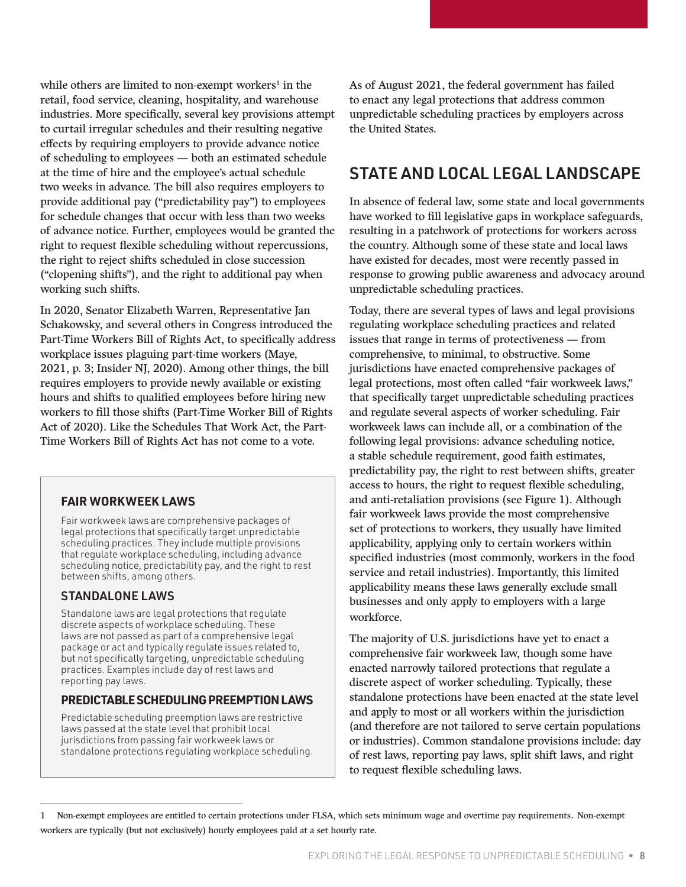<span id="page-7-0"></span>while others are limited to non-exempt workers<sup>1</sup> in the retail, food service, cleaning, hospitality, and warehouse industries. More specifically, several key provisions attempt to curtail irregular schedules and their resulting negative effects by requiring employers to provide advance notice of scheduling to employees — both an estimated schedule at the time of hire and the employee's actual schedule two weeks in advance. The bill also requires employers to provide additional pay ("predictability pay") to employees for schedule changes that occur with less than two weeks of advance notice. Further, employees would be granted the right to request flexible scheduling without repercussions, the right to reject shifts scheduled in close succession ("clopening shifts"), and the right to additional pay when working such shifts.

In 2020, Senator Elizabeth Warren, Representative Jan Schakowsky, and several others in Congress introduced the Part-Time Workers Bill of Rights Act, to specifically address workplace issues plaguing part-time workers (Maye, 2021, p. 3; Insider NJ, 2020). Among other things, the bill requires employers to provide newly available or existing hours and shifts to qualified employees before hiring new workers to fill those shifts (Part-Time Worker Bill of Rights Act of 2020). Like the Schedules That Work Act, the Part-Time Workers Bill of Rights Act has not come to a vote.

#### **FAIR WORKWEEK LAWS**

Fair workweek laws are comprehensive packages of legal protections that specifically target unpredictable scheduling practices. They include multiple provisions that regulate workplace scheduling, including advance scheduling notice, predictability pay, and the right to rest between shifts, among others.

#### STANDALONE LAWS

Standalone laws are legal protections that regulate discrete aspects of workplace scheduling. These laws are not passed as part of a comprehensive legal package or act and typically regulate issues related to, but not specifically targeting, unpredictable scheduling practices. Examples include day of rest laws and reporting pay laws.

#### **PREDICTABLE SCHEDULING PREEMPTION LAWS**

Predictable scheduling preemption laws are restrictive laws passed at the state level that prohibit local jurisdictions from passing fair workweek laws or standalone protections regulating workplace scheduling. As of August 2021, the federal government has failed to enact any legal protections that address common unpredictable scheduling practices by employers across the United States.

### STATE AND LOCAL LEGAL LANDSCAPE

In absence of federal law, some state and local governments have worked to fill legislative gaps in workplace safeguards, resulting in a patchwork of protections for workers across the country. Although some of these state and local laws have existed for decades, most were recently passed in response to growing public awareness and advocacy around unpredictable scheduling practices.

Today, there are several types of laws and legal provisions regulating workplace scheduling practices and related issues that range in terms of protectiveness — from comprehensive, to minimal, to obstructive. Some jurisdictions have enacted comprehensive packages of legal protections, most often called "fair workweek laws," that specifically target unpredictable scheduling practices and regulate several aspects of worker scheduling. Fair workweek laws can include all, or a combination of the following legal provisions: advance scheduling notice, a stable schedule requirement, good faith estimates, predictability pay, the right to rest between shifts, greater access to hours, the right to request flexible scheduling, and anti-retaliation provisions (see Figure 1). Although fair workweek laws provide the most comprehensive set of protections to workers, they usually have limited applicability, applying only to certain workers within specified industries (most commonly, workers in the food service and retail industries). Importantly, this limited applicability means these laws generally exclude small businesses and only apply to employers with a large workforce.

The majority of U.S. jurisdictions have yet to enact a comprehensive fair workweek law, though some have enacted narrowly tailored protections that regulate a discrete aspect of worker scheduling. Typically, these standalone protections have been enacted at the state level and apply to most or all workers within the jurisdiction (and therefore are not tailored to serve certain populations or industries). Common standalone provisions include: day of rest laws, reporting pay laws, split shift laws, and right to request flexible scheduling laws.

<sup>1</sup> Non-exempt employees are entitled to certain protections under FLSA, which sets minimum wage and overtime pay requirements. Non-exempt workers are typically (but not exclusively) hourly employees paid at a set hourly rate.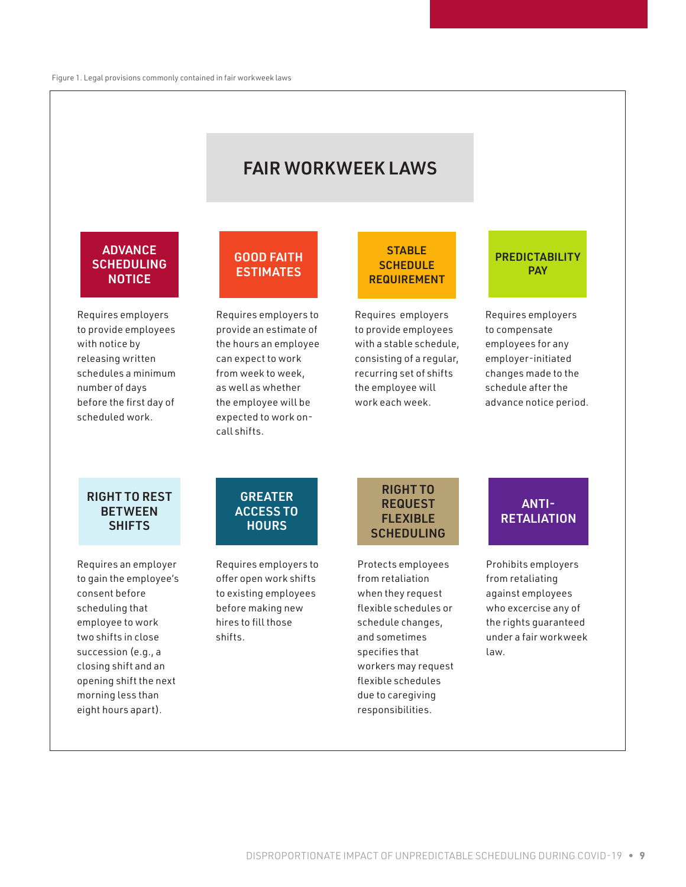### FAIR WORKWEEK LAWS

#### **ADVANCE SCHEDULING NOTICE**

Requires employers to provide employees with notice by releasing written schedules a minimum number of days before the first day of scheduled work.

#### GOOD FAITH **ESTIMATES**

Requires employers to provide an estimate of the hours an employee can expect to work from week to week, as well as whether the employee will be expected to work oncall shifts.

#### **STABLE SCHEDULE REQUIREMENT**

Requires employers to provide employees with a stable schedule, consisting of a regular, recurring set of shifts the employee will work each week.

#### **PREDICTABILITY PAY**

Requires employers to compensate employees for any employer-initiated changes made to the schedule after the advance notice period.

#### RIGHT TO REST **BETWEEN SHIFTS**

Requires an employer to gain the employee's consent before scheduling that employee to work two shifts in close succession (e.g., a closing shift and an opening shift the next morning less than eight hours apart).

#### GREATER ACCESS TO **HOURS**

Requires employers to offer open work shifts to existing employees before making new hires to fill those shifts.

#### RIGHT TO REQUEST FLEXIBLE SCHEDULING

Protects employees from retaliation when they request flexible schedules or schedule changes, and sometimes specifies that workers may request flexible schedules due to caregiving responsibilities.

### ANTI-**RETALIATION**

Prohibits employers from retaliating against employees who excercise any of the rights guaranteed under a fair workweek law.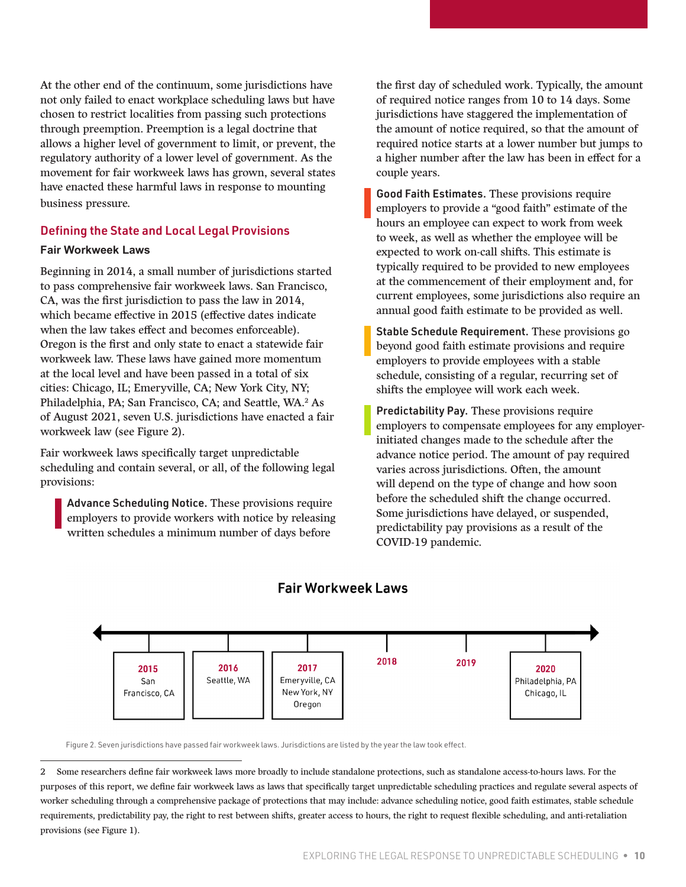At the other end of the continuum, some jurisdictions have not only failed to enact workplace scheduling laws but have chosen to restrict localities from passing such protections through preemption. Preemption is a legal doctrine that allows a higher level of government to limit, or prevent, the regulatory authority of a lower level of government. As the movement for fair workweek laws has grown, several states have enacted these harmful laws in response to mounting business pressure.

#### Defining the State and Local Legal Provisions

#### **Fair Workweek Laws**

Beginning in 2014, a small number of jurisdictions started to pass comprehensive fair workweek laws. San Francisco, CA, was the first jurisdiction to pass the law in 2014, which became effective in 2015 (effective dates indicate when the law takes effect and becomes enforceable). Oregon is the first and only state to enact a statewide fair workweek law. These laws have gained more momentum at the local level and have been passed in a total of six cities: Chicago, IL; Emeryville, CA; New York City, NY; Philadelphia, PA; San Francisco, CA; and Seattle, WA.2 As of August 2021, seven U.S. jurisdictions have enacted a fair workweek law (see Figure 2).

Fair workweek laws specifically target unpredictable scheduling and contain several, or all, of the following legal provisions:

Advance Scheduling Notice. These provisions require employers to provide workers with notice by releasing written schedules a minimum number of days before

the first day of scheduled work. Typically, the amount of required notice ranges from 10 to 14 days. Some jurisdictions have staggered the implementation of the amount of notice required, so that the amount of required notice starts at a lower number but jumps to a higher number after the law has been in effect for a couple years.

Good Faith Estimates. These provisions require employers to provide a "good faith" estimate of the hours an employee can expect to work from week to week, as well as whether the employee will be expected to work on-call shifts. This estimate is typically required to be provided to new employees at the commencement of their employment and, for current employees, some jurisdictions also require an annual good faith estimate to be provided as well.

Stable Schedule Requirement. These provisions go beyond good faith estimate provisions and require employers to provide employees with a stable schedule, consisting of a regular, recurring set of shifts the employee will work each week.

Predictability Pay. These provisions require employers to compensate employees for any employerinitiated changes made to the schedule after the advance notice period. The amount of pay required varies across jurisdictions. Often, the amount will depend on the type of change and how soon before the scheduled shift the change occurred. Some jurisdictions have delayed, or suspended, predictability pay provisions as a result of the COVID-19 pandemic.



#### **Fair Workweek Laws**

Figure 2. Seven jurisdictions have passed fair workweek laws. Jurisdictions are listed by the year the law took effect.

<sup>2</sup> Some researchers define fair workweek laws more broadly to include standalone protections, such as standalone access-to-hours laws. For the purposes of this report, we define fair workweek laws as laws that specifically target unpredictable scheduling practices and regulate several aspects of worker scheduling through a comprehensive package of protections that may include: advance scheduling notice, good faith estimates, stable schedule requirements, predictability pay, the right to rest between shifts, greater access to hours, the right to request flexible scheduling, and anti-retaliation provisions (see Figure 1).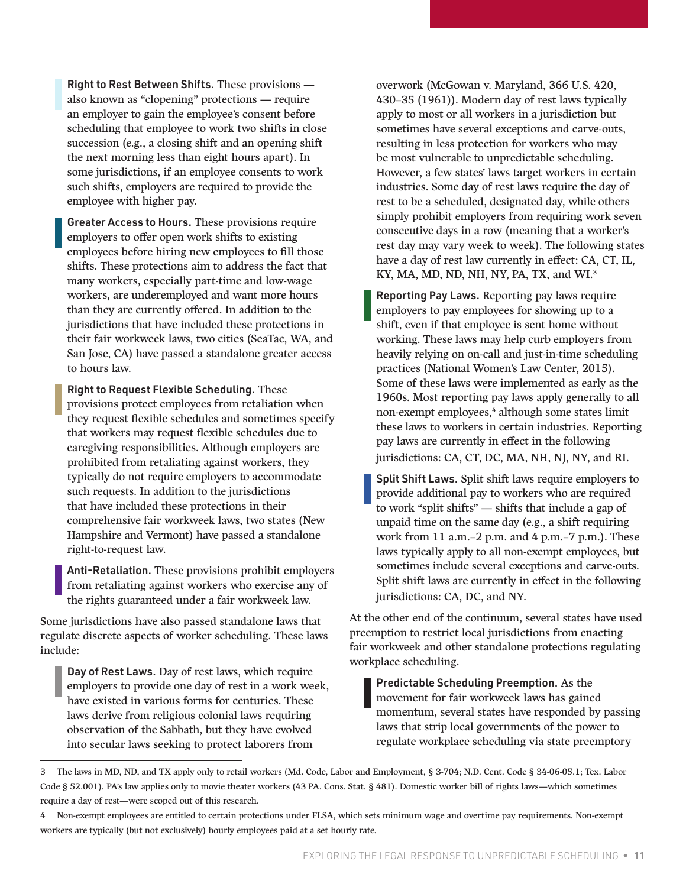Right to Rest Between Shifts. These provisions also known as "clopening" protections — require an employer to gain the employee's consent before scheduling that employee to work two shifts in close succession (e.g., a closing shift and an opening shift the next morning less than eight hours apart). In some jurisdictions, if an employee consents to work such shifts, employers are required to provide the employee with higher pay.

Greater Access to Hours. These provisions require employers to offer open work shifts to existing employees before hiring new employees to fill those shifts. These protections aim to address the fact that many workers, especially part-time and low-wage workers, are underemployed and want more hours than they are currently offered. In addition to the jurisdictions that have included these protections in their fair workweek laws, two cities (SeaTac, WA, and San Jose, CA) have passed a standalone greater access to hours law.

Right to Request Flexible Scheduling. These provisions protect employees from retaliation when they request flexible schedules and sometimes specify that workers may request flexible schedules due to caregiving responsibilities. Although employers are prohibited from retaliating against workers, they typically do not require employers to accommodate such requests. In addition to the jurisdictions that have included these protections in their comprehensive fair workweek laws, two states (New Hampshire and Vermont) have passed a standalone right-to-request law.

Anti-Retaliation. These provisions prohibit employers from retaliating against workers who exercise any of the rights guaranteed under a fair workweek law.

Some jurisdictions have also passed standalone laws that regulate discrete aspects of worker scheduling. These laws include:

Day of Rest Laws. Day of rest laws, which require employers to provide one day of rest in a work week, have existed in various forms for centuries. These laws derive from religious colonial laws requiring observation of the Sabbath, but they have evolved into secular laws seeking to protect laborers from

overwork (McGowan v. Maryland, 366 U.S. 420, 430–35 (1961)). Modern day of rest laws typically apply to most or all workers in a jurisdiction but sometimes have several exceptions and carve-outs, resulting in less protection for workers who may be most vulnerable to unpredictable scheduling. However, a few states' laws target workers in certain industries. Some day of rest laws require the day of rest to be a scheduled, designated day, while others simply prohibit employers from requiring work seven consecutive days in a row (meaning that a worker's rest day may vary week to week). The following states have a day of rest law currently in effect: CA, CT, IL, KY, MA, MD, ND, NH, NY, PA, TX, and WI.<sup>3</sup>

Reporting Pay Laws. Reporting pay laws require employers to pay employees for showing up to a shift, even if that employee is sent home without working. These laws may help curb employers from heavily relying on on-call and just-in-time scheduling practices (National Women's Law Center, 2015). Some of these laws were implemented as early as the 1960s. Most reporting pay laws apply generally to all non-exempt employees,<sup>4</sup> although some states limit these laws to workers in certain industries. Reporting pay laws are currently in effect in the following jurisdictions: CA, CT, DC, MA, NH, NJ, NY, and RI.

Split Shift Laws. Split shift laws require employers to provide additional pay to workers who are required to work "split shifts" — shifts that include a gap of unpaid time on the same day (e.g., a shift requiring work from 11 a.m.–2 p.m. and 4 p.m.–7 p.m.). These laws typically apply to all non-exempt employees, but sometimes include several exceptions and carve-outs. Split shift laws are currently in effect in the following jurisdictions: CA, DC, and NY.

At the other end of the continuum, several states have used preemption to restrict local jurisdictions from enacting fair workweek and other standalone protections regulating workplace scheduling.

Predictable Scheduling Preemption. As the movement for fair workweek laws has gained momentum, several states have responded by passing laws that strip local governments of the power to regulate workplace scheduling via state preemptory

<sup>3</sup> The laws in MD, ND, and TX apply only to retail workers (Md. Code, Labor and Employment, § 3-704; N.D. Cent. Code § 34-06-05.1; Tex. Labor Code § 52.001). PA's law applies only to movie theater workers (43 PA. Cons. Stat. § 481). Domestic worker bill of rights laws—which sometimes require a day of rest—were scoped out of this research.

<sup>4</sup> Non-exempt employees are entitled to certain protections under FLSA, which sets minimum wage and overtime pay requirements. Non-exempt workers are typically (but not exclusively) hourly employees paid at a set hourly rate.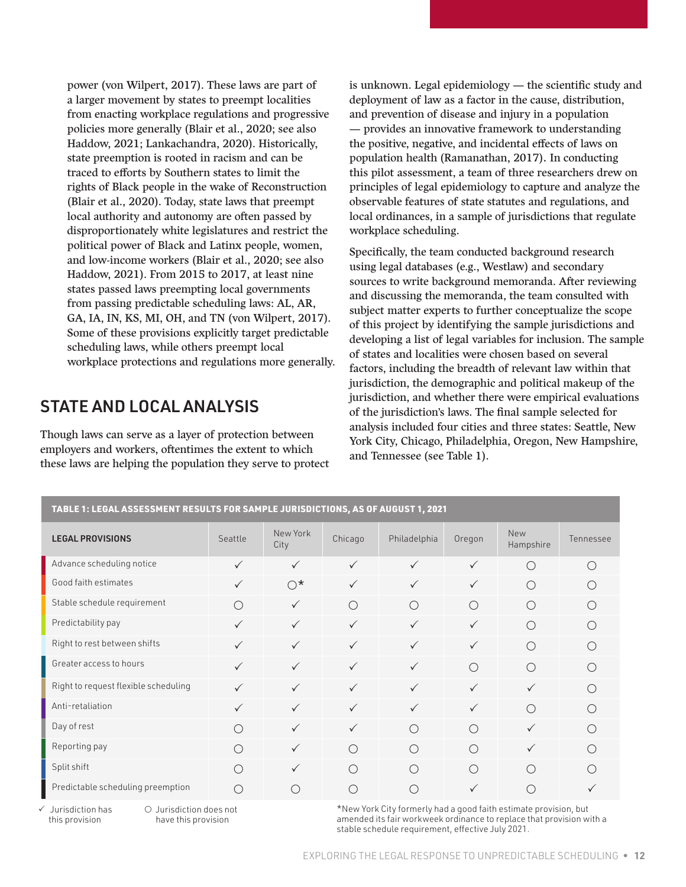<span id="page-11-0"></span>power (von Wilpert, 2017). These laws are part of a larger movement by states to preempt localities from enacting workplace regulations and progressive policies more generally (Blair et al., 2020; see also Haddow, 2021; Lankachandra, 2020). Historically, state preemption is rooted in racism and can be traced to efforts by Southern states to limit the rights of Black people in the wake of Reconstruction (Blair et al., 2020). Today, state laws that preempt local authority and autonomy are often passed by disproportionately white legislatures and restrict the political power of Black and Latinx people, women, and low-income workers (Blair et al., 2020; see also Haddow, 2021). From 2015 to 2017, at least nine states passed laws preempting local governments from passing predictable scheduling laws: AL, AR, GA, IA, IN, KS, MI, OH, and TN (von Wilpert, 2017). Some of these provisions explicitly target predictable scheduling laws, while others preempt local workplace protections and regulations more generally.

### STATE AND LOCAL ANALYSIS

Though laws can serve as a layer of protection between employers and workers, oftentimes the extent to which these laws are helping the population they serve to protect is unknown. Legal epidemiology — the scientific study and deployment of law as a factor in the cause, distribution, and prevention of disease and injury in a population — provides an innovative framework to understanding the positive, negative, and incidental effects of laws on population health (Ramanathan, 2017). In conducting this pilot assessment, a team of three researchers drew on principles of legal epidemiology to capture and analyze the observable features of state statutes and regulations, and local ordinances, in a sample of jurisdictions that regulate workplace scheduling.

Specifically, the team conducted background research using legal databases (e.g., Westlaw) and secondary sources to write background memoranda. After reviewing and discussing the memoranda, the team consulted with subject matter experts to further conceptualize the scope of this project by identifying the sample jurisdictions and developing a list of legal variables for inclusion. The sample of states and localities were chosen based on several factors, including the breadth of relevant law within that jurisdiction, the demographic and political makeup of the jurisdiction, and whether there were empirical evaluations of the jurisdiction's laws. The final sample selected for analysis included four cities and three states: Seattle, New York City, Chicago, Philadelphia, Oregon, New Hampshire, and Tennessee (see Table 1).

| TABLE 1: LEGAL ASSESSMENT RESULTS FOR SAMPLE JURISDICTIONS, AS OF AUGUST 1, 2021 |              |                  |              |              |              |                         |           |
|----------------------------------------------------------------------------------|--------------|------------------|--------------|--------------|--------------|-------------------------|-----------|
| <b>LEGAL PROVISIONS</b>                                                          | Seattle      | New York<br>City | Chicago      | Philadelphia | Oregon       | <b>New</b><br>Hampshire | Tennessee |
| Advance scheduling notice                                                        | $\checkmark$ | $\checkmark$     | $\checkmark$ | $\checkmark$ | $\checkmark$ | ◯                       | ∩         |
| Good faith estimates                                                             |              | $\bigcirc^*$     | $\checkmark$ | $\checkmark$ | $\checkmark$ | ∩                       |           |
| Stable schedule requirement                                                      | ∩            | $\checkmark$     | $\bigcirc$   | ◯            | $\bigcirc$   | $\bigcap$               | ∩         |
| Predictability pay                                                               | $\checkmark$ | $\checkmark$     | $\checkmark$ | $\checkmark$ | $\checkmark$ | ◯                       |           |
| Right to rest between shifts                                                     | $\checkmark$ | $\checkmark$     | $\checkmark$ | $\checkmark$ | $\checkmark$ | $\bigcap$               | ∩         |
| Greater access to hours                                                          | $\checkmark$ | $\checkmark$     | $\checkmark$ | $\checkmark$ | $\bigcap$    | $\bigcap$               | ( )       |
| Right to request flexible scheduling                                             | $\checkmark$ | $\checkmark$     | $\checkmark$ | $\checkmark$ | $\checkmark$ | $\checkmark$            |           |
| Anti-retaliation                                                                 | $\checkmark$ | $\checkmark$     | $\checkmark$ | $\checkmark$ | $\checkmark$ | $\bigcap$               | ∩         |
| Day of rest                                                                      | ∩            | $\checkmark$     | $\checkmark$ | ∩            | ∩            | $\checkmark$            |           |
| Reporting pay                                                                    | ∩            | $\checkmark$     | ◯            | ∩            | $\bigcap$    | $\checkmark$            | ∩         |
| Split shift                                                                      | ( )          | $\checkmark$     | ∩            | ∩            | ◯            | ∩                       |           |
| Predictable scheduling preemption                                                | ()           |                  |              | . .          | $\checkmark$ |                         |           |

 $\checkmark$  Jurisdiction has this provision

 Jurisdiction does not have this provision

\*New York City formerly had a good faith estimate provision, but amended its fair workweek ordinance to replace that provision with a stable schedule requirement, effective July 2021.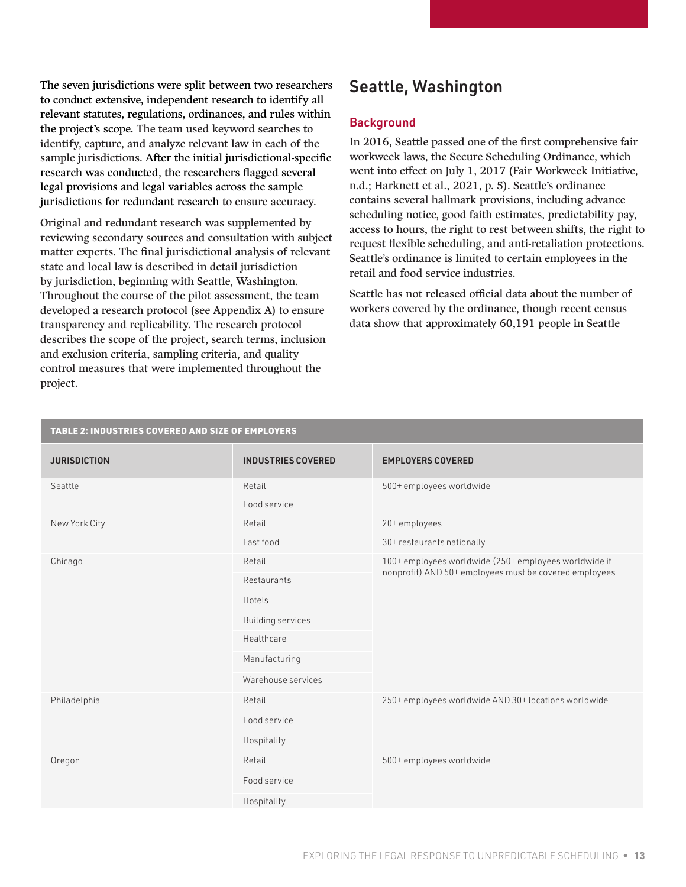<span id="page-12-0"></span>The seven jurisdictions were split between two researchers to conduct extensive, independent research to identify all relevant statutes, regulations, ordinances, and rules within the project's scope. The team used keyword searches to identify, capture, and analyze relevant law in each of the sample jurisdictions. After the initial jurisdictional-specific research was conducted, the researchers flagged several legal provisions and legal variables across the sample jurisdictions for redundant research to ensure accuracy.

Original and redundant research was supplemented by reviewing secondary sources and consultation with subject matter experts. The final jurisdictional analysis of relevant state and local law is described in detail jurisdiction by jurisdiction, beginning with Seattle, Washington. Throughout the course of the pilot assessment, the team developed a research protocol (see Appendix A) to ensure transparency and replicability. The research protocol describes the scope of the project, search terms, inclusion and exclusion criteria, sampling criteria, and quality control measures that were implemented throughout the project.

### Seattle, Washington

#### **Background**

In 2016, Seattle passed one of the first comprehensive fair workweek laws, the Secure Scheduling Ordinance, which went into effect on July 1, 2017 (Fair Workweek Initiative, n.d.; Harknett et al., 2021, p. 5). Seattle's ordinance contains several hallmark provisions, including advance scheduling notice, good faith estimates, predictability pay, access to hours, the right to rest between shifts, the right to request flexible scheduling, and anti-retaliation protections. Seattle's ordinance is limited to certain employees in the retail and food service industries.

Seattle has not released official data about the number of workers covered by the ordinance, though recent census data show that approximately 60,191 people in Seattle

| TABLE 2: INDUSTRIES COVERED AND SIZE OF EMPLOYERS |                           |                                                                                                                 |  |  |
|---------------------------------------------------|---------------------------|-----------------------------------------------------------------------------------------------------------------|--|--|
| <b>JURISDICTION</b>                               | <b>INDUSTRIES COVERED</b> | <b>EMPLOYERS COVERED</b>                                                                                        |  |  |
| Seattle                                           | Retail                    | 500+ employees worldwide                                                                                        |  |  |
|                                                   | Food service              |                                                                                                                 |  |  |
| New York City                                     | Retail                    | 20+ employees                                                                                                   |  |  |
|                                                   | Fast food                 | 30+ restaurants nationally                                                                                      |  |  |
| Chicago                                           | Retail                    | 100+ employees worldwide (250+ employees worldwide if<br>nonprofit) AND 50+ employees must be covered employees |  |  |
|                                                   | Restaurants               |                                                                                                                 |  |  |
|                                                   | Hotels                    |                                                                                                                 |  |  |
|                                                   | <b>Building services</b>  |                                                                                                                 |  |  |
|                                                   | Healthcare                |                                                                                                                 |  |  |
|                                                   | Manufacturing             |                                                                                                                 |  |  |
|                                                   | Warehouse services        |                                                                                                                 |  |  |
| Philadelphia                                      | Retail                    | 250+ employees worldwide AND 30+ locations worldwide                                                            |  |  |
|                                                   | Food service              |                                                                                                                 |  |  |
|                                                   | Hospitality               |                                                                                                                 |  |  |
| Oregon                                            | Retail                    | 500+ employees worldwide                                                                                        |  |  |
|                                                   | Food service              |                                                                                                                 |  |  |
|                                                   | Hospitality               |                                                                                                                 |  |  |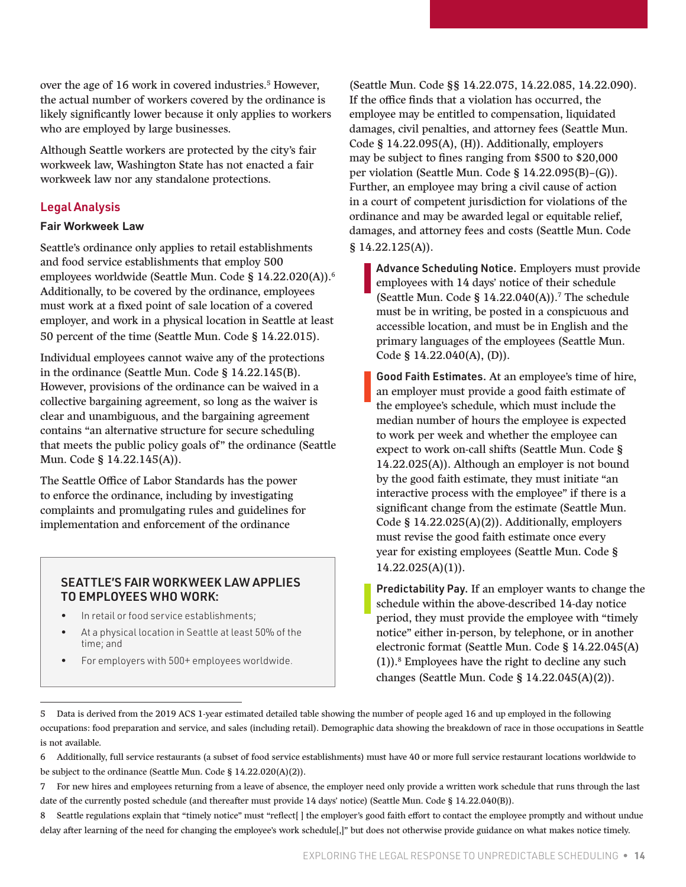over the age of 16 work in covered industries.<sup>5</sup> However, the actual number of workers covered by the ordinance is likely significantly lower because it only applies to workers who are employed by large businesses.

Although Seattle workers are protected by the city's fair workweek law, Washington State has not enacted a fair workweek law nor any standalone protections.

#### Legal Analysis

#### **Fair Workweek Law**

Seattle's ordinance only applies to retail establishments and food service establishments that employ 500 employees worldwide (Seattle Mun. Code § 14.22.020(A)).6 Additionally, to be covered by the ordinance, employees must work at a fixed point of sale location of a covered employer, and work in a physical location in Seattle at least 50 percent of the time (Seattle Mun. Code § 14.22.015).

Individual employees cannot waive any of the protections in the ordinance (Seattle Mun. Code § 14.22.145(B). However, provisions of the ordinance can be waived in a collective bargaining agreement, so long as the waiver is clear and unambiguous, and the bargaining agreement contains "an alternative structure for secure scheduling that meets the public policy goals of" the ordinance (Seattle Mun. Code § 14.22.145(A)).

The Seattle Office of Labor Standards has the power to enforce the ordinance, including by investigating complaints and promulgating rules and guidelines for implementation and enforcement of the ordinance

#### SEATTLE'S FAIR WORKWEEK LAW APPLIES TO EMPLOYEES WHO WORK:

- In retail or food service establishments;
- At a physical location in Seattle at least 50% of the time; and
- For employers with 500+ employees worldwide.

(Seattle Mun. Code §§ 14.22.075, 14.22.085, 14.22.090). If the office finds that a violation has occurred, the employee may be entitled to compensation, liquidated damages, civil penalties, and attorney fees (Seattle Mun. Code § 14.22.095(A), (H)). Additionally, employers may be subject to fines ranging from \$500 to \$20,000 per violation (Seattle Mun. Code § 14.22.095(B)–(G)). Further, an employee may bring a civil cause of action in a court of competent jurisdiction for violations of the ordinance and may be awarded legal or equitable relief, damages, and attorney fees and costs (Seattle Mun. Code § 14.22.125(A)).

Advance Scheduling Notice. Employers must provide employees with 14 days' notice of their schedule (Seattle Mun. Code §  $14.22.040(A)$ ).<sup>7</sup> The schedule must be in writing, be posted in a conspicuous and accessible location, and must be in English and the primary languages of the employees (Seattle Mun. Code § 14.22.040(A), (D)).

Good Faith Estimates. At an employee's time of hire, an employer must provide a good faith estimate of the employee's schedule, which must include the median number of hours the employee is expected to work per week and whether the employee can expect to work on-call shifts (Seattle Mun. Code § 14.22.025(A)). Although an employer is not bound by the good faith estimate, they must initiate "an interactive process with the employee" if there is a significant change from the estimate (Seattle Mun. Code § 14.22.025(A)(2)). Additionally, employers must revise the good faith estimate once every year for existing employees (Seattle Mun. Code §  $14.22.025(A)(1)$ .

Predictability Pay. If an employer wants to change the schedule within the above-described 14-day notice period, they must provide the employee with "timely notice" either in-person, by telephone, or in another electronic format (Seattle Mun. Code § 14.22.045(A)  $(1)$ ).<sup>8</sup> Employees have the right to decline any such changes (Seattle Mun. Code § 14.22.045(A)(2)).

<sup>5</sup> Data is derived from the 2019 ACS 1-year estimated detailed table showing the number of people aged 16 and up employed in the following occupations: food preparation and service, and sales (including retail). Demographic data showing the breakdown of race in those occupations in Seattle is not available.

<sup>6</sup> Additionally, full service restaurants (a subset of food service establishments) must have 40 or more full service restaurant locations worldwide to be subject to the ordinance (Seattle Mun. Code § 14.22.020(A)(2)).

<sup>7</sup> For new hires and employees returning from a leave of absence, the employer need only provide a written work schedule that runs through the last date of the currently posted schedule (and thereafter must provide 14 days' notice) (Seattle Mun. Code § 14.22.040(B)).

<sup>8</sup> Seattle regulations explain that "timely notice" must "reflect | | the employer's good faith effort to contact the employee promptly and without undue delay after learning of the need for changing the employee's work schedule[,]" but does not otherwise provide guidance on what makes notice timely.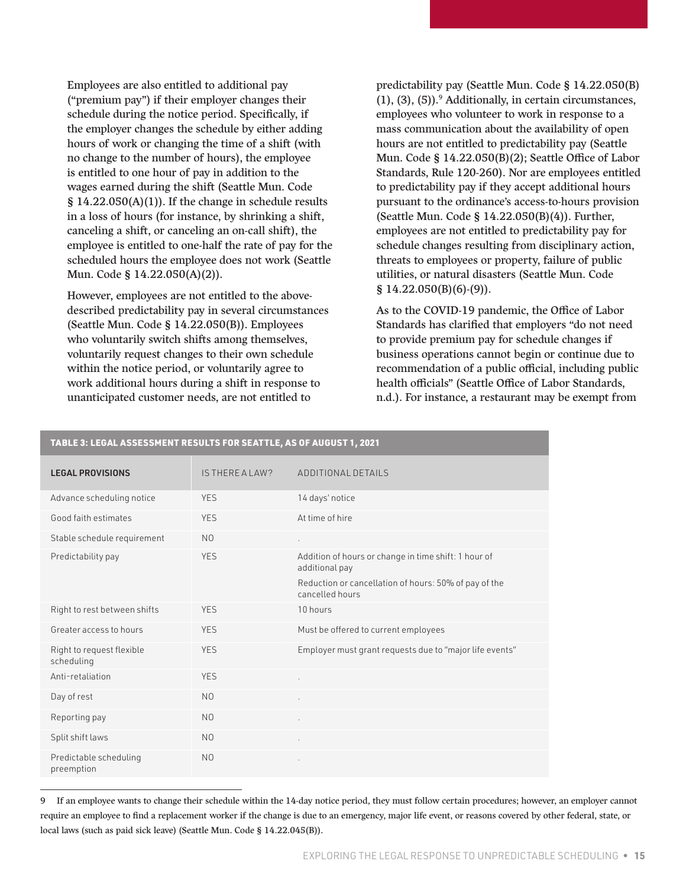Employees are also entitled to additional pay ("premium pay") if their employer changes their schedule during the notice period. Specifically, if the employer changes the schedule by either adding hours of work or changing the time of a shift (with no change to the number of hours), the employee is entitled to one hour of pay in addition to the wages earned during the shift (Seattle Mun. Code  $§$  14.22.050(A)(1)). If the change in schedule results in a loss of hours (for instance, by shrinking a shift, canceling a shift, or canceling an on-call shift), the employee is entitled to one-half the rate of pay for the scheduled hours the employee does not work (Seattle Mun. Code § 14.22.050(A)(2)).

However, employees are not entitled to the abovedescribed predictability pay in several circumstances (Seattle Mun. Code § 14.22.050(B)). Employees who voluntarily switch shifts among themselves, voluntarily request changes to their own schedule within the notice period, or voluntarily agree to work additional hours during a shift in response to unanticipated customer needs, are not entitled to

predictability pay (Seattle Mun. Code § 14.22.050(B)  $(1)$ ,  $(3)$ ,  $(5)$ ).<sup>9</sup> Additionally, in certain circumstances, employees who volunteer to work in response to a mass communication about the availability of open hours are not entitled to predictability pay (Seattle Mun. Code § 14.22.050(B)(2); Seattle Office of Labor Standards, Rule 120-260). Nor are employees entitled to predictability pay if they accept additional hours pursuant to the ordinance's access-to-hours provision (Seattle Mun. Code § 14.22.050(B)(4)). Further, employees are not entitled to predictability pay for schedule changes resulting from disciplinary action, threats to employees or property, failure of public utilities, or natural disasters (Seattle Mun. Code § 14.22.050(B)(6)-(9)).

As to the COVID-19 pandemic, the Office of Labor Standards has clarified that employers "do not need to provide premium pay for schedule changes if business operations cannot begin or continue due to recommendation of a public official, including public health officials" (Seattle Office of Labor Standards, n.d.). For instance, a restaurant may be exempt from

| <u>IADLL 9. LLUAL AJJLJJIILII I KLJULIJ I UK JLAI I LL, AJ UI AUUUJI I, LULI</u> |                 |                                                                          |  |
|----------------------------------------------------------------------------------|-----------------|--------------------------------------------------------------------------|--|
| <b>LEGAL PROVISIONS</b>                                                          | IS THERE A LAW? | ADDITIONAL DETAILS                                                       |  |
| Advance scheduling notice                                                        | <b>YES</b>      | 14 days' notice                                                          |  |
| Good faith estimates                                                             | <b>YES</b>      | At time of hire                                                          |  |
| Stable schedule requirement                                                      | N <sub>0</sub>  | $\epsilon$                                                               |  |
| Predictability pay                                                               | <b>YES</b>      | Addition of hours or change in time shift: 1 hour of<br>additional pay   |  |
|                                                                                  |                 | Reduction or cancellation of hours: 50% of pay of the<br>cancelled hours |  |
| Right to rest between shifts                                                     | <b>YES</b>      | 10 hours                                                                 |  |
| Greater access to hours                                                          | <b>YES</b>      | Must be offered to current employees                                     |  |
| Right to request flexible<br>scheduling                                          | <b>YES</b>      | Employer must grant requests due to "major life events"                  |  |
| Anti-retaliation                                                                 | <b>YES</b>      |                                                                          |  |
| Day of rest                                                                      | N <sub>0</sub>  |                                                                          |  |
| Reporting pay                                                                    | N <sub>0</sub>  | $\epsilon$                                                               |  |
| Split shift laws                                                                 | N <sub>0</sub>  | $\cdot$                                                                  |  |
| Predictable scheduling<br>preemption                                             | N <sub>0</sub>  |                                                                          |  |

#### TABLE 3: LEGAL ASSESSMENT RESULTS FOR SEATTLE, AS OF AUGUST 1, 2021

9 If an employee wants to change their schedule within the 14-day notice period, they must follow certain procedures; however, an employer cannot require an employee to find a replacement worker if the change is due to an emergency, major life event, or reasons covered by other federal, state, or local laws (such as paid sick leave) (Seattle Mun. Code § 14.22.045(B)).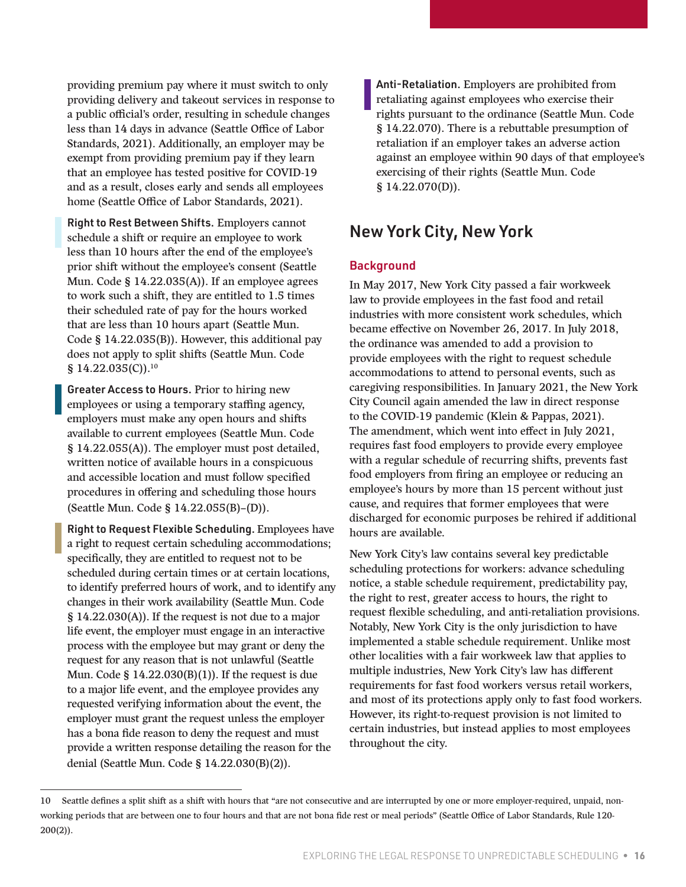<span id="page-15-0"></span>providing premium pay where it must switch to only providing delivery and takeout services in response to a public official's order, resulting in schedule changes less than 14 days in advance (Seattle Office of Labor Standards, 2021). Additionally, an employer may be exempt from providing premium pay if they learn that an employee has tested positive for COVID-19 and as a result, closes early and sends all employees home (Seattle Office of Labor Standards, 2021).

Right to Rest Between Shifts. Employers cannot schedule a shift or require an employee to work less than 10 hours after the end of the employee's prior shift without the employee's consent (Seattle Mun. Code § 14.22.035(A)). If an employee agrees to work such a shift, they are entitled to 1.5 times their scheduled rate of pay for the hours worked that are less than 10 hours apart (Seattle Mun. Code § 14.22.035(B)). However, this additional pay does not apply to split shifts (Seattle Mun. Code  $$14.22.035(C).$ <sup>10</sup>

Greater Access to Hours. Prior to hiring new employees or using a temporary staffing agency, employers must make any open hours and shifts available to current employees (Seattle Mun. Code § 14.22.055(A)). The employer must post detailed, written notice of available hours in a conspicuous and accessible location and must follow specified procedures in offering and scheduling those hours (Seattle Mun. Code § 14.22.055(B)–(D)).

Right to Request Flexible Scheduling. Employees have a right to request certain scheduling accommodations; specifically, they are entitled to request not to be scheduled during certain times or at certain locations, to identify preferred hours of work, and to identify any changes in their work availability (Seattle Mun. Code § 14.22.030(A)). If the request is not due to a major life event, the employer must engage in an interactive process with the employee but may grant or deny the request for any reason that is not unlawful (Seattle Mun. Code § 14.22.030(B)(1)). If the request is due to a major life event, and the employee provides any requested verifying information about the event, the employer must grant the request unless the employer has a bona fide reason to deny the request and must provide a written response detailing the reason for the denial (Seattle Mun. Code § 14.22.030(B)(2)).

Anti-Retaliation. Employers are prohibited from retaliating against employees who exercise their rights pursuant to the ordinance (Seattle Mun. Code § 14.22.070). There is a rebuttable presumption of retaliation if an employer takes an adverse action against an employee within 90 days of that employee's exercising of their rights (Seattle Mun. Code § 14.22.070(D)).

### New York City, New York

#### **Background**

In May 2017, New York City passed a fair workweek law to provide employees in the fast food and retail industries with more consistent work schedules, which became effective on November 26, 2017. In July 2018, the ordinance was amended to add a provision to provide employees with the right to request schedule accommodations to attend to personal events, such as caregiving responsibilities. In January 2021, the New York City Council again amended the law in direct response to the COVID-19 pandemic (Klein & Pappas, 2021). The amendment, which went into effect in July 2021, requires fast food employers to provide every employee with a regular schedule of recurring shifts, prevents fast food employers from firing an employee or reducing an employee's hours by more than 15 percent without just cause, and requires that former employees that were discharged for economic purposes be rehired if additional hours are available.

New York City's law contains several key predictable scheduling protections for workers: advance scheduling notice, a stable schedule requirement, predictability pay, the right to rest, greater access to hours, the right to request flexible scheduling, and anti-retaliation provisions. Notably, New York City is the only jurisdiction to have implemented a stable schedule requirement. Unlike most other localities with a fair workweek law that applies to multiple industries, New York City's law has different requirements for fast food workers versus retail workers, and most of its protections apply only to fast food workers. However, its right-to-request provision is not limited to certain industries, but instead applies to most employees throughout the city.

<sup>10</sup> Seattle defines a split shift as a shift with hours that "are not consecutive and are interrupted by one or more employer-required, unpaid, nonworking periods that are between one to four hours and that are not bona fide rest or meal periods" (Seattle Office of Labor Standards, Rule 120- 200(2)).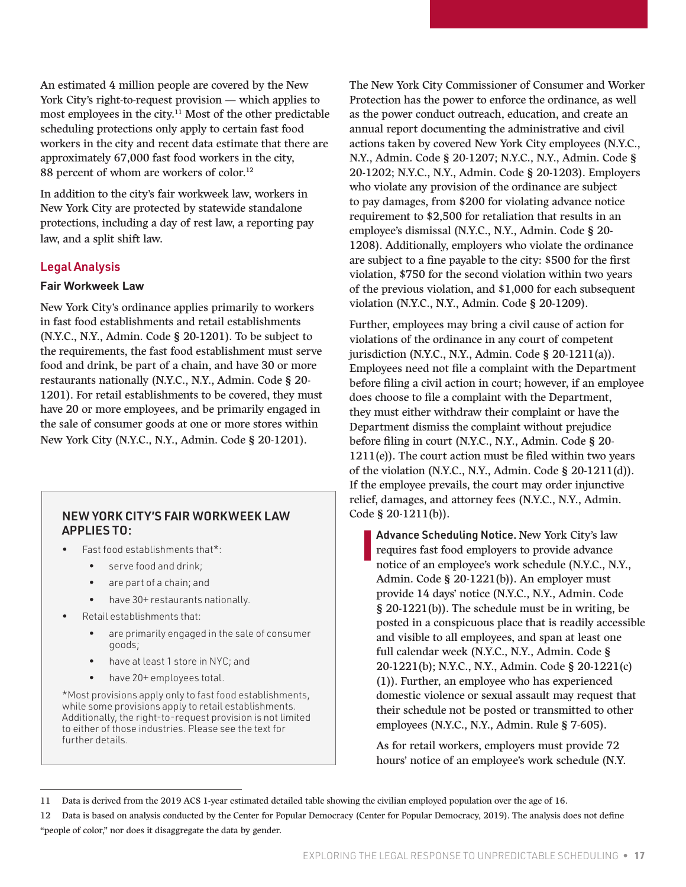An estimated 4 million people are covered by the New York City's right-to-request provision — which applies to most employees in the city.11 Most of the other predictable scheduling protections only apply to certain fast food workers in the city and recent data estimate that there are approximately 67,000 fast food workers in the city, 88 percent of whom are workers of color.<sup>12</sup>

In addition to the city's fair workweek law, workers in New York City are protected by statewide standalone protections, including a day of rest law, a reporting pay law, and a split shift law.

#### Legal Analysis

#### **Fair Workweek Law**

New York City's ordinance applies primarily to workers in fast food establishments and retail establishments (N.Y.C., N.Y., Admin. Code § 20-1201). To be subject to the requirements, the fast food establishment must serve food and drink, be part of a chain, and have 30 or more restaurants nationally (N.Y.C., N.Y., Admin. Code § 20- 1201). For retail establishments to be covered, they must have 20 or more employees, and be primarily engaged in the sale of consumer goods at one or more stores within New York City (N.Y.C., N.Y., Admin. Code § 20-1201).

#### NEW YORK CITY'S FAIR WORKWEEK LAW APPLIES TO:

- Fast food establishments that\*:
	- serve food and drink;
	- are part of a chain; and
	- have 30+ restaurants nationally.
- Retail establishments that:
	- are primarily engaged in the sale of consumer goods;
	- have at least 1 store in NYC; and
	- have 20+ employees total.

\*Most provisions apply only to fast food establishments, while some provisions apply to retail establishments. Additionally, the right-to-request provision is not limited to either of those industries. Please see the text for further details.

The New York City Commissioner of Consumer and Worker Protection has the power to enforce the ordinance, as well as the power conduct outreach, education, and create an annual report documenting the administrative and civil actions taken by covered New York City employees (N.Y.C., N.Y., Admin. Code § 20-1207; N.Y.C., N.Y., Admin. Code § 20-1202; N.Y.C., N.Y., Admin. Code § 20-1203). Employers who violate any provision of the ordinance are subject to pay damages, from \$200 for violating advance notice requirement to \$2,500 for retaliation that results in an employee's dismissal (N.Y.C., N.Y., Admin. Code § 20- 1208). Additionally, employers who violate the ordinance are subject to a fine payable to the city: \$500 for the first violation, \$750 for the second violation within two years of the previous violation, and \$1,000 for each subsequent violation (N.Y.C., N.Y., Admin. Code § 20-1209).

Further, employees may bring a civil cause of action for violations of the ordinance in any court of competent jurisdiction (N.Y.C., N.Y., Admin. Code § 20-1211(a)). Employees need not file a complaint with the Department before filing a civil action in court; however, if an employee does choose to file a complaint with the Department, they must either withdraw their complaint or have the Department dismiss the complaint without prejudice before filing in court (N.Y.C., N.Y., Admin. Code § 20-  $1211(e)$ ). The court action must be filed within two years of the violation (N.Y.C., N.Y., Admin. Code § 20-1211(d)). If the employee prevails, the court may order injunctive relief, damages, and attorney fees (N.Y.C., N.Y., Admin. Code § 20-1211(b)).

Advance Scheduling Notice. New York City's law requires fast food employers to provide advance notice of an employee's work schedule (N.Y.C., N.Y., Admin. Code § 20-1221(b)). An employer must provide 14 days' notice (N.Y.C., N.Y., Admin. Code § 20-1221(b)). The schedule must be in writing, be posted in a conspicuous place that is readily accessible and visible to all employees, and span at least one full calendar week (N.Y.C., N.Y., Admin. Code § 20-1221(b); N.Y.C., N.Y., Admin. Code § 20-1221(c) (1)). Further, an employee who has experienced domestic violence or sexual assault may request that their schedule not be posted or transmitted to other employees (N.Y.C., N.Y., Admin. Rule § 7-605).

As for retail workers, employers must provide 72 hours' notice of an employee's work schedule (N.Y.

<sup>11</sup> Data is derived from the 2019 ACS 1-year estimated detailed table showing the civilian employed population over the age of 16.

<sup>12</sup> Data is based on analysis conducted by the Center for Popular Democracy (Center for Popular Democracy, 2019). The analysis does not define "people of color," nor does it disaggregate the data by gender.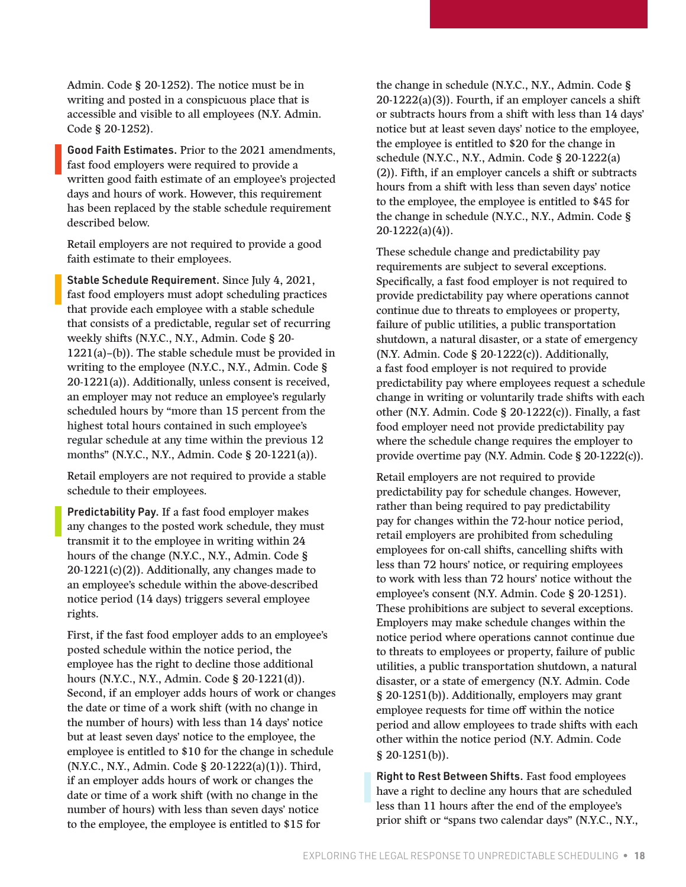Admin. Code § 20-1252). The notice must be in writing and posted in a conspicuous place that is accessible and visible to all employees (N.Y. Admin. Code § 20-1252).

Good Faith Estimates. Prior to the 2021 amendments, fast food employers were required to provide a written good faith estimate of an employee's projected days and hours of work. However, this requirement has been replaced by the stable schedule requirement described below.

Retail employers are not required to provide a good faith estimate to their employees.

Stable Schedule Requirement. Since July 4, 2021, fast food employers must adopt scheduling practices that provide each employee with a stable schedule that consists of a predictable, regular set of recurring weekly shifts (N.Y.C., N.Y., Admin. Code § 20- 1221(a)–(b)). The stable schedule must be provided in writing to the employee (N.Y.C., N.Y., Admin. Code § 20-1221(a)). Additionally, unless consent is received, an employer may not reduce an employee's regularly scheduled hours by "more than 15 percent from the highest total hours contained in such employee's regular schedule at any time within the previous 12 months" (N.Y.C., N.Y., Admin. Code § 20-1221(a)).

Retail employers are not required to provide a stable schedule to their employees.

Predictability Pay. If a fast food employer makes any changes to the posted work schedule, they must transmit it to the employee in writing within 24 hours of the change (N.Y.C., N.Y., Admin. Code §  $20-1221(c)(2)$ ). Additionally, any changes made to an employee's schedule within the above-described notice period (14 days) triggers several employee rights.

First, if the fast food employer adds to an employee's posted schedule within the notice period, the employee has the right to decline those additional hours (N.Y.C., N.Y., Admin. Code § 20-1221(d)). Second, if an employer adds hours of work or changes the date or time of a work shift (with no change in the number of hours) with less than 14 days' notice but at least seven days' notice to the employee, the employee is entitled to \$10 for the change in schedule (N.Y.C., N.Y., Admin. Code § 20-1222(a)(1)). Third, if an employer adds hours of work or changes the date or time of a work shift (with no change in the number of hours) with less than seven days' notice to the employee, the employee is entitled to \$15 for

the change in schedule (N.Y.C., N.Y., Admin. Code § 20-1222(a)(3)). Fourth, if an employer cancels a shift or subtracts hours from a shift with less than 14 days' notice but at least seven days' notice to the employee, the employee is entitled to \$20 for the change in schedule (N.Y.C., N.Y., Admin. Code § 20-1222(a) (2)). Fifth, if an employer cancels a shift or subtracts hours from a shift with less than seven days' notice to the employee, the employee is entitled to \$45 for the change in schedule (N.Y.C., N.Y., Admin. Code § 20-1222(a)(4)).

These schedule change and predictability pay requirements are subject to several exceptions. Specifically, a fast food employer is not required to provide predictability pay where operations cannot continue due to threats to employees or property, failure of public utilities, a public transportation shutdown, a natural disaster, or a state of emergency (N.Y. Admin. Code § 20-1222(c)). Additionally, a fast food employer is not required to provide predictability pay where employees request a schedule change in writing or voluntarily trade shifts with each other (N.Y. Admin. Code § 20-1222(c)). Finally, a fast food employer need not provide predictability pay where the schedule change requires the employer to provide overtime pay (N.Y. Admin. Code § 20-1222(c)).

Retail employers are not required to provide predictability pay for schedule changes. However, rather than being required to pay predictability pay for changes within the 72-hour notice period, retail employers are prohibited from scheduling employees for on-call shifts, cancelling shifts with less than 72 hours' notice, or requiring employees to work with less than 72 hours' notice without the employee's consent (N.Y. Admin. Code § 20-1251). These prohibitions are subject to several exceptions. Employers may make schedule changes within the notice period where operations cannot continue due to threats to employees or property, failure of public utilities, a public transportation shutdown, a natural disaster, or a state of emergency (N.Y. Admin. Code § 20-1251(b)). Additionally, employers may grant employee requests for time off within the notice period and allow employees to trade shifts with each other within the notice period (N.Y. Admin. Code § 20-1251(b)).

Right to Rest Between Shifts. Fast food employees have a right to decline any hours that are scheduled less than 11 hours after the end of the employee's prior shift or "spans two calendar days" (N.Y.C., N.Y.,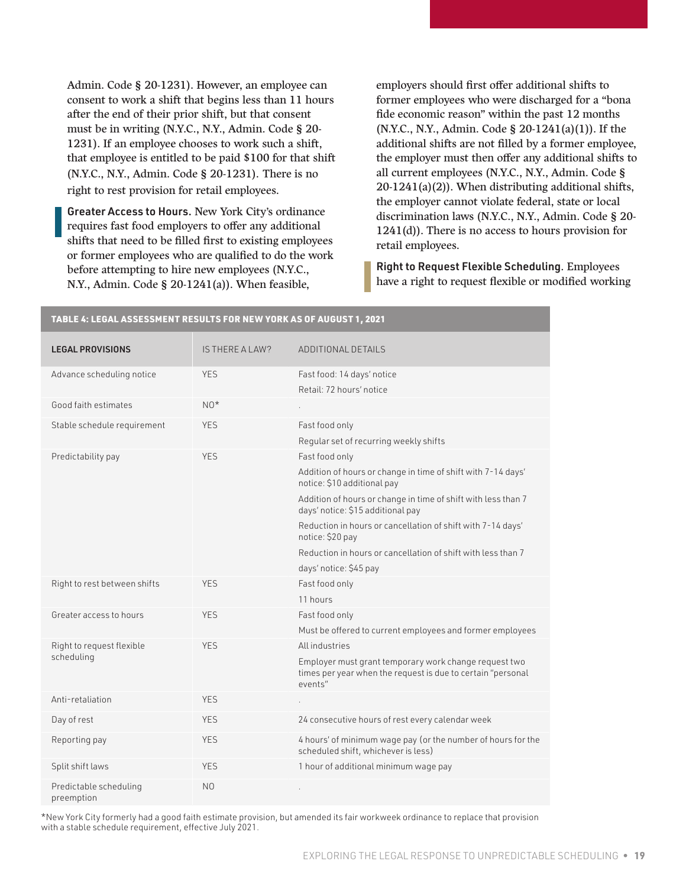Admin. Code § 20-1231). However, an employee can consent to work a shift that begins less than 11 hours after the end of their prior shift, but that consent must be in writing (N.Y.C., N.Y., Admin. Code § 20- 1231). If an employee chooses to work such a shift, that employee is entitled to be paid \$100 for that shift (N.Y.C., N.Y., Admin. Code § 20-1231). There is no right to rest provision for retail employees.

Greater Access to Hours. New York City's ordinance requires fast food employers to offer any additional shifts that need to be filled first to existing employees or former employees who are qualified to do the work before attempting to hire new employees (N.Y.C., N.Y., Admin. Code § 20-1241(a)). When feasible,

TABLE 4: LEGAL ASSESSMENT RESULTS FOR NEW YORK AS OF AUGUST 1, 2021

employers should first offer additional shifts to former employees who were discharged for a "bona fide economic reason" within the past 12 months (N.Y.C., N.Y., Admin. Code § 20-1241(a)(1)). If the additional shifts are not filled by a former employee, the employer must then offer any additional shifts to all current employees (N.Y.C., N.Y., Admin. Code § 20-1241(a)(2)). When distributing additional shifts, the employer cannot violate federal, state or local discrimination laws (N.Y.C., N.Y., Admin. Code § 20- 1241(d)). There is no access to hours provision for retail employees.

Right to Request Flexible Scheduling. Employees have a right to request flexible or modified working

| IMDLL 4. LLUML MJJLJJIHLIN I NLJULIJ I UN NL N TUNN MJ UT MUUUJI T, LULI |                        |                                                                                                                                 |
|--------------------------------------------------------------------------|------------------------|---------------------------------------------------------------------------------------------------------------------------------|
| <b>LEGAL PROVISIONS</b>                                                  | <b>IS THERE A LAW?</b> | ADDITIONAL DETAILS                                                                                                              |
| Advance scheduling notice                                                | <b>YES</b>             | Fast food: 14 days' notice<br>Retail: 72 hours' notice                                                                          |
| Good faith estimates                                                     | $NO*$                  |                                                                                                                                 |
| Stable schedule requirement                                              | <b>YES</b>             | Fast food only<br>Regular set of recurring weekly shifts                                                                        |
| Predictability pay                                                       | <b>YES</b>             | Fast food only                                                                                                                  |
|                                                                          |                        | Addition of hours or change in time of shift with 7-14 days'<br>notice: \$10 additional pay                                     |
|                                                                          |                        | Addition of hours or change in time of shift with less than 7<br>days' notice: \$15 additional pay                              |
|                                                                          |                        | Reduction in hours or cancellation of shift with 7-14 days'<br>notice: \$20 pay                                                 |
|                                                                          |                        | Reduction in hours or cancellation of shift with less than 7                                                                    |
|                                                                          |                        | days' notice: \$45 pay                                                                                                          |
| Right to rest between shifts                                             | <b>YES</b>             | Fast food only                                                                                                                  |
|                                                                          |                        | 11 hours                                                                                                                        |
| Greater access to hours                                                  | <b>YES</b>             | Fast food only                                                                                                                  |
|                                                                          |                        | Must be offered to current employees and former employees                                                                       |
| Right to request flexible                                                | <b>YES</b>             | All industries                                                                                                                  |
| scheduling                                                               |                        | Employer must grant temporary work change request two<br>times per year when the request is due to certain "personal<br>events" |
| Anti-retaliation                                                         | <b>YES</b>             |                                                                                                                                 |
| Day of rest                                                              | <b>YES</b>             | 24 consecutive hours of rest every calendar week                                                                                |
| Reporting pay                                                            | <b>YES</b>             | 4 hours' of minimum wage pay (or the number of hours for the<br>scheduled shift, whichever is less)                             |
| Split shift laws                                                         | <b>YES</b>             | 1 hour of additional minimum wage pay                                                                                           |
| Predictable scheduling<br>preemption                                     | N <sub>O</sub>         |                                                                                                                                 |

#### \*New York City formerly had a good faith estimate provision, but amended its fair workweek ordinance to replace that provision with a stable schedule requirement, effective July 2021.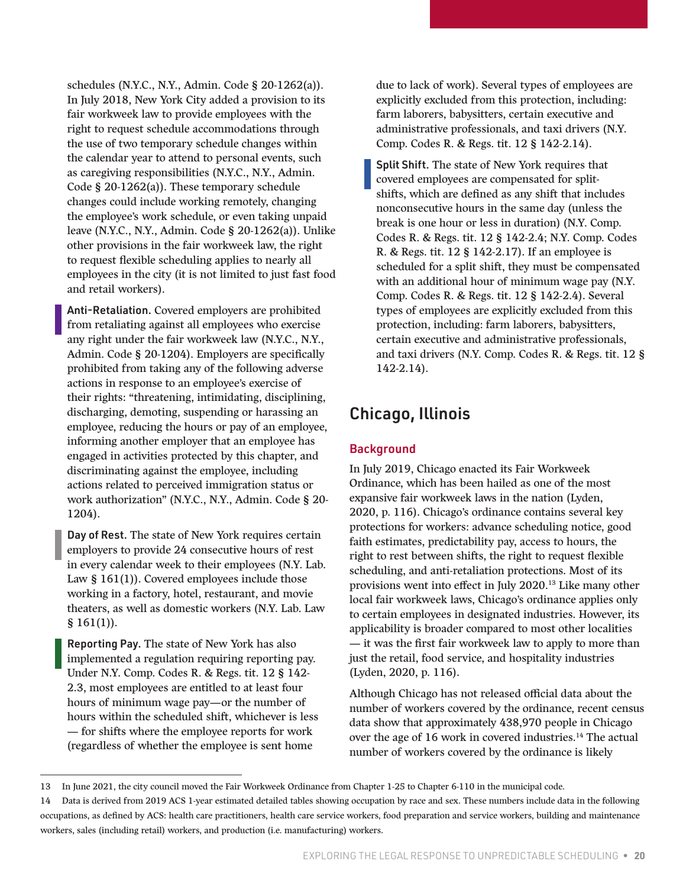<span id="page-19-0"></span>schedules (N.Y.C., N.Y., Admin. Code § 20-1262(a)). In July 2018, New York City added a provision to its fair workweek law to provide employees with the right to request schedule accommodations through the use of two temporary schedule changes within the calendar year to attend to personal events, such as caregiving responsibilities (N.Y.C., N.Y., Admin. Code § 20-1262(a)). These temporary schedule changes could include working remotely, changing the employee's work schedule, or even taking unpaid leave (N.Y.C., N.Y., Admin. Code § 20-1262(a)). Unlike other provisions in the fair workweek law, the right to request flexible scheduling applies to nearly all employees in the city (it is not limited to just fast food and retail workers).

Anti-Retaliation. Covered employers are prohibited from retaliating against all employees who exercise any right under the fair workweek law (N.Y.C., N.Y., Admin. Code § 20-1204). Employers are specifically prohibited from taking any of the following adverse actions in response to an employee's exercise of their rights: "threatening, intimidating, disciplining, discharging, demoting, suspending or harassing an employee, reducing the hours or pay of an employee, informing another employer that an employee has engaged in activities protected by this chapter, and discriminating against the employee, including actions related to perceived immigration status or work authorization" (N.Y.C., N.Y., Admin. Code § 20- 1204).

Day of Rest. The state of New York requires certain employers to provide 24 consecutive hours of rest in every calendar week to their employees (N.Y. Lab. Law § 161(1)). Covered employees include those working in a factory, hotel, restaurant, and movie theaters, as well as domestic workers (N.Y. Lab. Law  $$161(1)$ ).

Reporting Pay. The state of New York has also implemented a regulation requiring reporting pay. Under N.Y. Comp. Codes R. & Regs. tit. 12 § 142- 2.3, most employees are entitled to at least four hours of minimum wage pay—or the number of hours within the scheduled shift, whichever is less — for shifts where the employee reports for work (regardless of whether the employee is sent home

due to lack of work). Several types of employees are explicitly excluded from this protection, including: farm laborers, babysitters, certain executive and administrative professionals, and taxi drivers (N.Y. Comp. Codes R. & Regs. tit. 12 § 142-2.14).

Split Shift. The state of New York requires that covered employees are compensated for splitshifts, which are defined as any shift that includes nonconsecutive hours in the same day (unless the break is one hour or less in duration) (N.Y. Comp. Codes R. & Regs. tit. 12 § 142-2.4; N.Y. Comp. Codes R. & Regs. tit. 12 § 142-2.17). If an employee is scheduled for a split shift, they must be compensated with an additional hour of minimum wage pay (N.Y. Comp. Codes R. & Regs. tit. 12 § 142-2.4). Several types of employees are explicitly excluded from this protection, including: farm laborers, babysitters, certain executive and administrative professionals, and taxi drivers (N.Y. Comp. Codes R. & Regs. tit. 12 § 142-2.14).

### Chicago, Illinois

#### **Background**

In July 2019, Chicago enacted its Fair Workweek Ordinance, which has been hailed as one of the most expansive fair workweek laws in the nation (Lyden, 2020, p. 116). Chicago's ordinance contains several key protections for workers: advance scheduling notice, good faith estimates, predictability pay, access to hours, the right to rest between shifts, the right to request flexible scheduling, and anti-retaliation protections. Most of its provisions went into effect in July 2020.13 Like many other local fair workweek laws, Chicago's ordinance applies only to certain employees in designated industries. However, its applicability is broader compared to most other localities — it was the first fair workweek law to apply to more than just the retail, food service, and hospitality industries (Lyden, 2020, p. 116).

Although Chicago has not released official data about the number of workers covered by the ordinance, recent census data show that approximately 438,970 people in Chicago over the age of 16 work in covered industries.14 The actual number of workers covered by the ordinance is likely

<sup>13</sup> In June 2021, the city council moved the Fair Workweek Ordinance from Chapter 1-25 to Chapter 6-110 in the municipal code.

<sup>14</sup> Data is derived from 2019 ACS 1-year estimated detailed tables showing occupation by race and sex. These numbers include data in the following occupations, as defined by ACS: health care practitioners, health care service workers, food preparation and service workers, building and maintenance workers, sales (including retail) workers, and production (i.e. manufacturing) workers.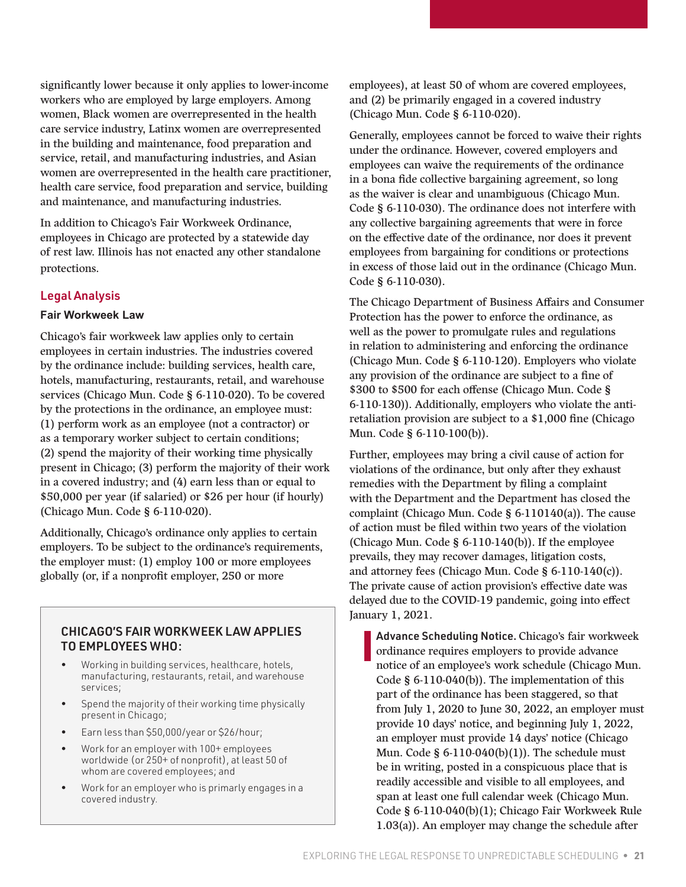significantly lower because it only applies to lower-income workers who are employed by large employers. Among women, Black women are overrepresented in the health care service industry, Latinx women are overrepresented in the building and maintenance, food preparation and service, retail, and manufacturing industries, and Asian women are overrepresented in the health care practitioner, health care service, food preparation and service, building and maintenance, and manufacturing industries.

In addition to Chicago's Fair Workweek Ordinance, employees in Chicago are protected by a statewide day of rest law. Illinois has not enacted any other standalone protections.

#### Legal Analysis

#### **Fair Workweek Law**

Chicago's fair workweek law applies only to certain employees in certain industries. The industries covered by the ordinance include: building services, health care, hotels, manufacturing, restaurants, retail, and warehouse services (Chicago Mun. Code § 6-110-020). To be covered by the protections in the ordinance, an employee must: (1) perform work as an employee (not a contractor) or as a temporary worker subject to certain conditions; (2) spend the majority of their working time physically present in Chicago; (3) perform the majority of their work in a covered industry; and (4) earn less than or equal to \$50,000 per year (if salaried) or \$26 per hour (if hourly) (Chicago Mun. Code § 6-110-020).

Additionally, Chicago's ordinance only applies to certain employers. To be subject to the ordinance's requirements, the employer must: (1) employ 100 or more employees globally (or, if a nonprofit employer, 250 or more

#### CHICAGO'S FAIR WORKWEEK LAW APPLIES TO EMPLOYEES WHO:

- Working in building services, healthcare, hotels, manufacturing, restaurants, retail, and warehouse services;
- Spend the majority of their working time physically present in Chicago;
- Earn less than \$50,000/year or \$26/hour;
- Work for an employer with 100+ employees worldwide (or 250+ of nonprofit), at least 50 of whom are covered employees; and
- Work for an employer who is primarly engages in a covered industry.

employees), at least 50 of whom are covered employees, and (2) be primarily engaged in a covered industry (Chicago Mun. Code § 6-110-020).

Generally, employees cannot be forced to waive their rights under the ordinance. However, covered employers and employees can waive the requirements of the ordinance in a bona fide collective bargaining agreement, so long as the waiver is clear and unambiguous (Chicago Mun. Code § 6-110-030). The ordinance does not interfere with any collective bargaining agreements that were in force on the effective date of the ordinance, nor does it prevent employees from bargaining for conditions or protections in excess of those laid out in the ordinance (Chicago Mun. Code § 6-110-030).

The Chicago Department of Business Affairs and Consumer Protection has the power to enforce the ordinance, as well as the power to promulgate rules and regulations in relation to administering and enforcing the ordinance (Chicago Mun. Code § 6-110-120). Employers who violate any provision of the ordinance are subject to a fine of \$300 to \$500 for each offense (Chicago Mun. Code § 6-110-130)). Additionally, employers who violate the antiretaliation provision are subject to a \$1,000 fine (Chicago Mun. Code § 6-110-100(b)).

Further, employees may bring a civil cause of action for violations of the ordinance, but only after they exhaust remedies with the Department by filing a complaint with the Department and the Department has closed the complaint (Chicago Mun. Code § 6-110140(a)). The cause of action must be filed within two years of the violation (Chicago Mun. Code § 6-110-140(b)). If the employee prevails, they may recover damages, litigation costs, and attorney fees (Chicago Mun. Code § 6-110-140(c)). The private cause of action provision's effective date was delayed due to the COVID-19 pandemic, going into effect January 1, 2021.

Advance Scheduling Notice. Chicago's fair workweek ordinance requires employers to provide advance notice of an employee's work schedule (Chicago Mun. Code § 6-110-040(b)). The implementation of this part of the ordinance has been staggered, so that from July 1, 2020 to June 30, 2022, an employer must provide 10 days' notice, and beginning July 1, 2022, an employer must provide 14 days' notice (Chicago Mun. Code  $\S 6-110-040(b)(1)$ . The schedule must be in writing, posted in a conspicuous place that is readily accessible and visible to all employees, and span at least one full calendar week (Chicago Mun. Code § 6-110-040(b)(1); Chicago Fair Workweek Rule 1.03(a)). An employer may change the schedule after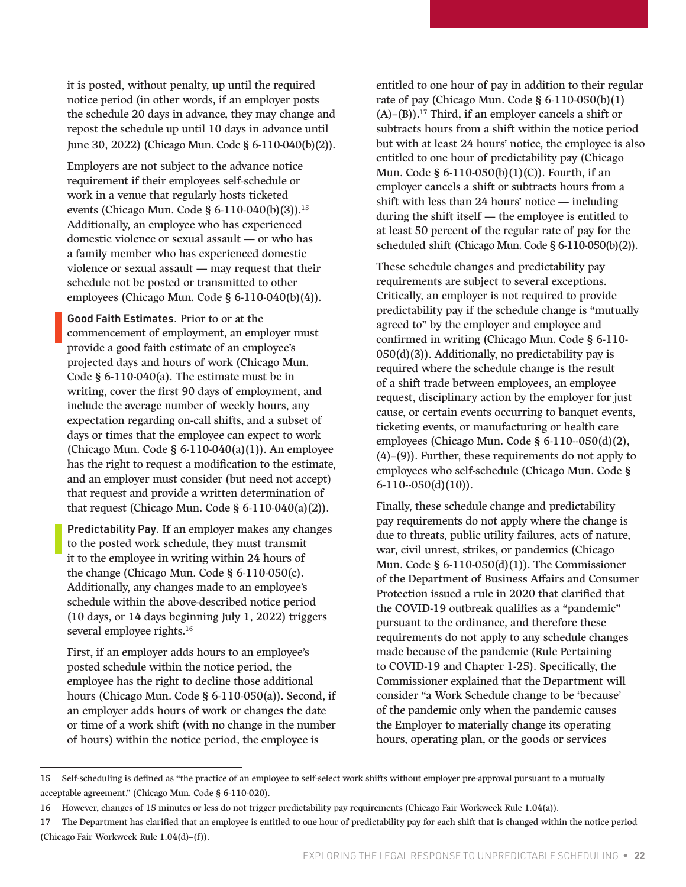it is posted, without penalty, up until the required notice period (in other words, if an employer posts the schedule 20 days in advance, they may change and repost the schedule up until 10 days in advance until June 30, 2022) (Chicago Mun. Code § 6-110-040(b)(2)).

Employers are not subject to the advance notice requirement if their employees self-schedule or work in a venue that regularly hosts ticketed events (Chicago Mun. Code § 6-110-040(b)(3)).15 Additionally, an employee who has experienced domestic violence or sexual assault — or who has a family member who has experienced domestic violence or sexual assault — may request that their schedule not be posted or transmitted to other employees (Chicago Mun. Code § 6-110-040(b)(4)).

Good Faith Estimates. Prior to or at the commencement of employment, an employer must provide a good faith estimate of an employee's projected days and hours of work (Chicago Mun. Code § 6-110-040(a). The estimate must be in writing, cover the first 90 days of employment, and include the average number of weekly hours, any expectation regarding on-call shifts, and a subset of days or times that the employee can expect to work (Chicago Mun. Code § 6-110-040(a)(1)). An employee has the right to request a modification to the estimate, and an employer must consider (but need not accept) that request and provide a written determination of that request (Chicago Mun. Code  $\S$  6-110-040(a)(2)).

Predictability Pay. If an employer makes any changes to the posted work schedule, they must transmit it to the employee in writing within 24 hours of the change (Chicago Mun. Code § 6-110-050(c). Additionally, any changes made to an employee's schedule within the above-described notice period (10 days, or 14 days beginning July 1, 2022) triggers several employee rights.<sup>16</sup>

First, if an employer adds hours to an employee's posted schedule within the notice period, the employee has the right to decline those additional hours (Chicago Mun. Code § 6-110-050(a)). Second, if an employer adds hours of work or changes the date or time of a work shift (with no change in the number of hours) within the notice period, the employee is

entitled to one hour of pay in addition to their regular rate of pay (Chicago Mun. Code  $\S$  6-110-050(b)(1)  $(A)$ – $(B)$ ).<sup>17</sup> Third, if an employer cancels a shift or subtracts hours from a shift within the notice period but with at least 24 hours' notice, the employee is also entitled to one hour of predictability pay (Chicago Mun. Code § 6-110-050(b)(1)(C)). Fourth, if an employer cancels a shift or subtracts hours from a shift with less than 24 hours' notice — including during the shift itself — the employee is entitled to at least 50 percent of the regular rate of pay for the scheduled shift (Chicago Mun. Code § 6-110-050(b)(2)).

These schedule changes and predictability pay requirements are subject to several exceptions. Critically, an employer is not required to provide predictability pay if the schedule change is "mutually agreed to" by the employer and employee and confirmed in writing (Chicago Mun. Code § 6-110-  $050(d)(3)$ ). Additionally, no predictability pay is required where the schedule change is the result of a shift trade between employees, an employee request, disciplinary action by the employer for just cause, or certain events occurring to banquet events, ticketing events, or manufacturing or health care employees (Chicago Mun. Code § 6-110--050(d)(2), (4)–(9)). Further, these requirements do not apply to employees who self-schedule (Chicago Mun. Code § 6-110--050(d)(10)).

Finally, these schedule change and predictability pay requirements do not apply where the change is due to threats, public utility failures, acts of nature, war, civil unrest, strikes, or pandemics (Chicago Mun. Code § 6-110-050(d)(1)). The Commissioner of the Department of Business Affairs and Consumer Protection issued a rule in 2020 that clarified that the COVID-19 outbreak qualifies as a "pandemic" pursuant to the ordinance, and therefore these requirements do not apply to any schedule changes made because of the pandemic (Rule Pertaining to COVID-19 and Chapter 1-25). Specifically, the Commissioner explained that the Department will consider "a Work Schedule change to be 'because' of the pandemic only when the pandemic causes the Employer to materially change its operating hours, operating plan, or the goods or services

<sup>15</sup> Self-scheduling is defined as "the practice of an employee to self-select work shifts without employer pre-approval pursuant to a mutually acceptable agreement." (Chicago Mun. Code § 6-110-020).

<sup>16</sup> However, changes of 15 minutes or less do not trigger predictability pay requirements (Chicago Fair Workweek Rule 1.04(a)).

<sup>17</sup> The Department has clarified that an employee is entitled to one hour of predictability pay for each shift that is changed within the notice period (Chicago Fair Workweek Rule 1.04(d)–(f)).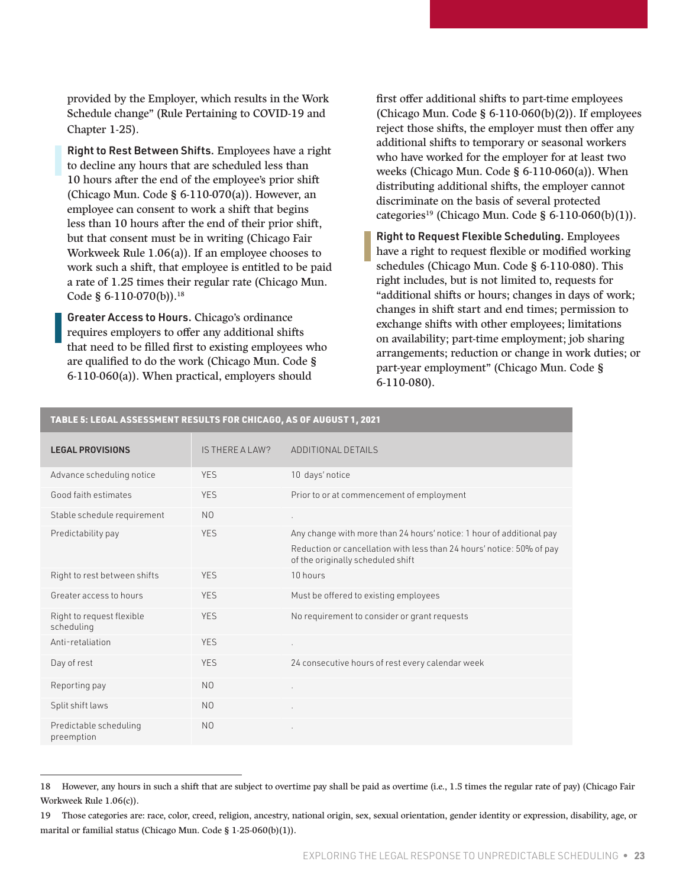provided by the Employer, which results in the Work Schedule change" (Rule Pertaining to COVID-19 and Chapter 1-25).

Right to Rest Between Shifts. Employees have a right to decline any hours that are scheduled less than 10 hours after the end of the employee's prior shift (Chicago Mun. Code § 6-110-070(a)). However, an employee can consent to work a shift that begins less than 10 hours after the end of their prior shift, but that consent must be in writing (Chicago Fair Workweek Rule 1.06(a)). If an employee chooses to work such a shift, that employee is entitled to be paid a rate of 1.25 times their regular rate (Chicago Mun. Code § 6-110-070(b)).<sup>18</sup>

Greater Access to Hours. Chicago's ordinance requires employers to offer any additional shifts that need to be filled first to existing employees who are qualified to do the work (Chicago Mun. Code § 6-110-060(a)). When practical, employers should

first offer additional shifts to part-time employees (Chicago Mun. Code  $\S 6-110-060(b)(2)$ ). If employees reject those shifts, the employer must then offer any additional shifts to temporary or seasonal workers who have worked for the employer for at least two weeks (Chicago Mun. Code § 6-110-060(a)). When distributing additional shifts, the employer cannot discriminate on the basis of several protected categories<sup>19</sup> (Chicago Mun. Code § 6-110-060(b)(1)).

Right to Request Flexible Scheduling. Employees have a right to request flexible or modified working schedules (Chicago Mun. Code § 6-110-080). This right includes, but is not limited to, requests for "additional shifts or hours; changes in days of work; changes in shift start and end times; permission to exchange shifts with other employees; limitations on availability; part-time employment; job sharing arrangements; reduction or change in work duties; or part-year employment" (Chicago Mun. Code § 6-110-080).

| <b>LEGAL PROVISIONS</b>                 | IS THERE A LAW? | ADDITIONAL DETAILS                                                                                         |
|-----------------------------------------|-----------------|------------------------------------------------------------------------------------------------------------|
| Advance scheduling notice               | <b>YES</b>      | 10 days' notice                                                                                            |
| Good faith estimates                    | <b>YES</b>      | Prior to or at commencement of employment                                                                  |
| Stable schedule requirement             | N <sub>0</sub>  | ×.                                                                                                         |
| Predictability pay                      | <b>YES</b>      | Any change with more than 24 hours' notice: 1 hour of additional pay                                       |
|                                         |                 | Reduction or cancellation with less than 24 hours' notice: 50% of pay<br>of the originally scheduled shift |
| Right to rest between shifts            | <b>YES</b>      | 10 hours                                                                                                   |
| Greater access to hours                 | <b>YES</b>      | Must be offered to existing employees                                                                      |
| Right to request flexible<br>scheduling | <b>YES</b>      | No requirement to consider or grant requests                                                               |
| Anti-retaliation                        | <b>YES</b>      | ¥.                                                                                                         |
| Day of rest                             | <b>YES</b>      | 24 consecutive hours of rest every calendar week                                                           |
| Reporting pay                           | N <sub>0</sub>  |                                                                                                            |
| Split shift laws                        | N <sub>0</sub>  |                                                                                                            |
| Predictable scheduling<br>preemption    | N <sub>0</sub>  |                                                                                                            |

#### TABLE 5: LEGAL ASSESSMENT RESULTS FOR CHICAGO, AS OF AUGUST 1, 2021

<sup>18</sup> However, any hours in such a shift that are subject to overtime pay shall be paid as overtime (i.e., 1.5 times the regular rate of pay) (Chicago Fair Workweek Rule 1.06(c)).

<sup>19</sup> Those categories are: race, color, creed, religion, ancestry, national origin, sex, sexual orientation, gender identity or expression, disability, age, or marital or familial status (Chicago Mun. Code § 1-25-060(b)(1)).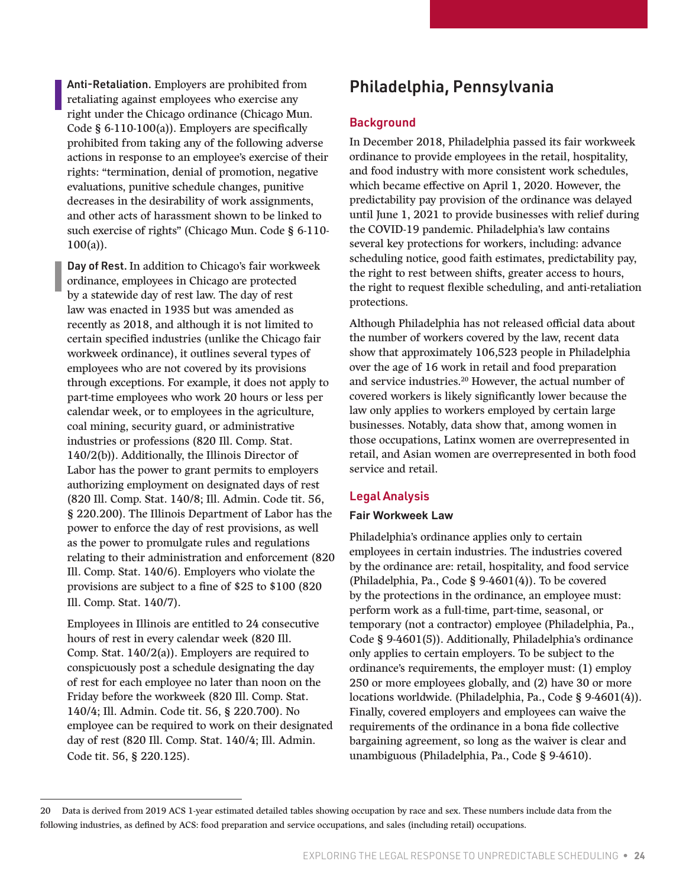<span id="page-23-0"></span>Anti-Retaliation. Employers are prohibited from retaliating against employees who exercise any right under the Chicago ordinance (Chicago Mun. Code § 6-110-100(a)). Employers are specifically prohibited from taking any of the following adverse actions in response to an employee's exercise of their rights: "termination, denial of promotion, negative evaluations, punitive schedule changes, punitive decreases in the desirability of work assignments, and other acts of harassment shown to be linked to such exercise of rights" (Chicago Mun. Code § 6-110-  $100(a)$ ).

Day of Rest. In addition to Chicago's fair workweek ordinance, employees in Chicago are protected by a statewide day of rest law. The day of rest law was enacted in 1935 but was amended as recently as 2018, and although it is not limited to certain specified industries (unlike the Chicago fair workweek ordinance), it outlines several types of employees who are not covered by its provisions through exceptions. For example, it does not apply to part-time employees who work 20 hours or less per calendar week, or to employees in the agriculture, coal mining, security guard, or administrative industries or professions (820 Ill. Comp. Stat. 140/2(b)). Additionally, the Illinois Director of Labor has the power to grant permits to employers authorizing employment on designated days of rest (820 Ill. Comp. Stat. 140/8; Ill. Admin. Code tit. 56, § 220.200). The Illinois Department of Labor has the power to enforce the day of rest provisions, as well as the power to promulgate rules and regulations relating to their administration and enforcement (820 Ill. Comp. Stat. 140/6). Employers who violate the provisions are subject to a fine of \$25 to \$100 (820 Ill. Comp. Stat. 140/7).

Employees in Illinois are entitled to 24 consecutive hours of rest in every calendar week (820 Ill. Comp. Stat. 140/2(a)). Employers are required to conspicuously post a schedule designating the day of rest for each employee no later than noon on the Friday before the workweek (820 Ill. Comp. Stat. 140/4; Ill. Admin. Code tit. 56, § 220.700). No employee can be required to work on their designated day of rest (820 Ill. Comp. Stat. 140/4; Ill. Admin. Code tit. 56, § 220.125).

### Philadelphia, Pennsylvania

#### **Background**

In December 2018, Philadelphia passed its fair workweek ordinance to provide employees in the retail, hospitality, and food industry with more consistent work schedules, which became effective on April 1, 2020. However, the predictability pay provision of the ordinance was delayed until June 1, 2021 to provide businesses with relief during the COVID-19 pandemic. Philadelphia's law contains several key protections for workers, including: advance scheduling notice, good faith estimates, predictability pay, the right to rest between shifts, greater access to hours, the right to request flexible scheduling, and anti-retaliation protections.

Although Philadelphia has not released official data about the number of workers covered by the law, recent data show that approximately 106,523 people in Philadelphia over the age of 16 work in retail and food preparation and service industries.20 However, the actual number of covered workers is likely significantly lower because the law only applies to workers employed by certain large businesses. Notably, data show that, among women in those occupations, Latinx women are overrepresented in retail, and Asian women are overrepresented in both food service and retail.

#### Legal Analysis

#### **Fair Workweek Law**

Philadelphia's ordinance applies only to certain employees in certain industries. The industries covered by the ordinance are: retail, hospitality, and food service (Philadelphia, Pa., Code § 9-4601(4)). To be covered by the protections in the ordinance, an employee must: perform work as a full-time, part-time, seasonal, or temporary (not a contractor) employee (Philadelphia, Pa., Code § 9-4601(5)). Additionally, Philadelphia's ordinance only applies to certain employers. To be subject to the ordinance's requirements, the employer must: (1) employ 250 or more employees globally, and (2) have 30 or more locations worldwide. (Philadelphia, Pa., Code § 9-4601(4)). Finally, covered employers and employees can waive the requirements of the ordinance in a bona fide collective bargaining agreement, so long as the waiver is clear and unambiguous (Philadelphia, Pa., Code § 9-4610).

<sup>20</sup> Data is derived from 2019 ACS 1-year estimated detailed tables showing occupation by race and sex. These numbers include data from the following industries, as defined by ACS: food preparation and service occupations, and sales (including retail) occupations.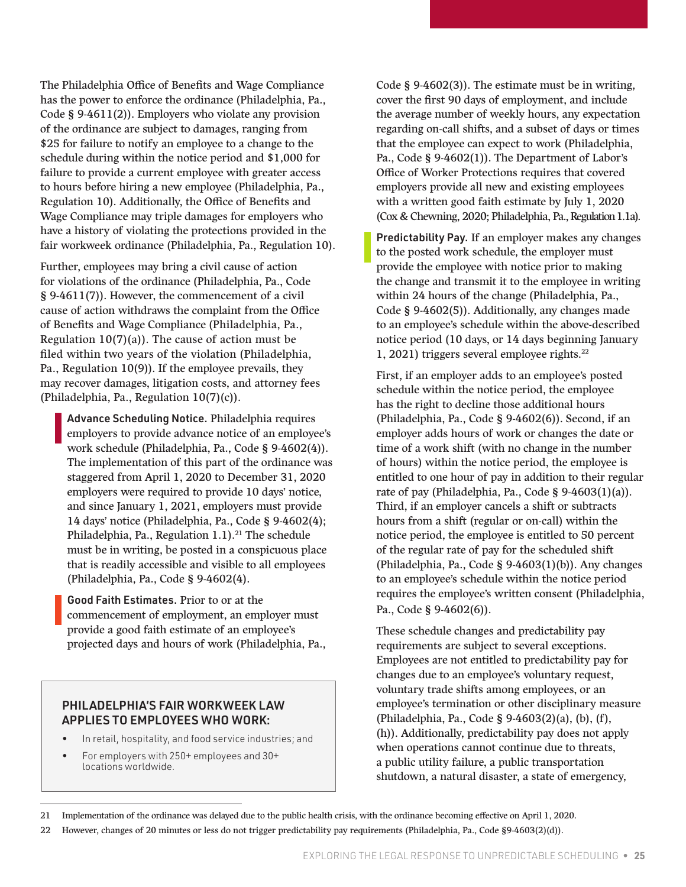The Philadelphia Office of Benefits and Wage Compliance has the power to enforce the ordinance (Philadelphia, Pa., Code § 9-4611(2)). Employers who violate any provision of the ordinance are subject to damages, ranging from \$25 for failure to notify an employee to a change to the schedule during within the notice period and \$1,000 for failure to provide a current employee with greater access to hours before hiring a new employee (Philadelphia, Pa., Regulation 10). Additionally, the Office of Benefits and Wage Compliance may triple damages for employers who have a history of violating the protections provided in the fair workweek ordinance (Philadelphia, Pa., Regulation 10).

Further, employees may bring a civil cause of action for violations of the ordinance (Philadelphia, Pa., Code § 9-4611(7)). However, the commencement of a civil cause of action withdraws the complaint from the Office of Benefits and Wage Compliance (Philadelphia, Pa., Regulation  $10(7)(a)$ ). The cause of action must be filed within two years of the violation (Philadelphia, Pa., Regulation 10(9)). If the employee prevails, they may recover damages, litigation costs, and attorney fees (Philadelphia, Pa., Regulation 10(7)(c)).

Advance Scheduling Notice. Philadelphia requires employers to provide advance notice of an employee's work schedule (Philadelphia, Pa., Code § 9-4602(4)). The implementation of this part of the ordinance was staggered from April 1, 2020 to December 31, 2020 employers were required to provide 10 days' notice, and since January 1, 2021, employers must provide 14 days' notice (Philadelphia, Pa., Code § 9-4602(4); Philadelphia, Pa., Regulation 1.1).<sup>21</sup> The schedule must be in writing, be posted in a conspicuous place that is readily accessible and visible to all employees (Philadelphia, Pa., Code § 9-4602(4).

Good Faith Estimates. Prior to or at the commencement of employment, an employer must provide a good faith estimate of an employee's projected days and hours of work (Philadelphia, Pa.,

#### PHILADELPHIA'S FAIR WORKWEEK LAW APPLIES TO EMPLOYEES WHO WORK:

- In retail, hospitality, and food service industries; and
- For employers with 250+ employees and 30+ locations worldwide.

Code § 9-4602(3)). The estimate must be in writing, cover the first 90 days of employment, and include the average number of weekly hours, any expectation regarding on-call shifts, and a subset of days or times that the employee can expect to work (Philadelphia, Pa., Code § 9-4602(1)). The Department of Labor's Office of Worker Protections requires that covered employers provide all new and existing employees with a written good faith estimate by July 1, 2020 (Cox & Chewning, 2020; Philadelphia, Pa., Regulation 1.1a).

Predictability Pay. If an employer makes any changes to the posted work schedule, the employer must provide the employee with notice prior to making the change and transmit it to the employee in writing within 24 hours of the change (Philadelphia, Pa., Code § 9-4602(5)). Additionally, any changes made to an employee's schedule within the above-described notice period (10 days, or 14 days beginning January 1, 2021) triggers several employee rights.22

First, if an employer adds to an employee's posted schedule within the notice period, the employee has the right to decline those additional hours (Philadelphia, Pa., Code § 9-4602(6)). Second, if an employer adds hours of work or changes the date or time of a work shift (with no change in the number of hours) within the notice period, the employee is entitled to one hour of pay in addition to their regular rate of pay (Philadelphia, Pa., Code § 9-4603(1)(a)). Third, if an employer cancels a shift or subtracts hours from a shift (regular or on-call) within the notice period, the employee is entitled to 50 percent of the regular rate of pay for the scheduled shift (Philadelphia, Pa., Code § 9-4603(1)(b)). Any changes to an employee's schedule within the notice period requires the employee's written consent (Philadelphia, Pa., Code § 9-4602(6)).

These schedule changes and predictability pay requirements are subject to several exceptions. Employees are not entitled to predictability pay for changes due to an employee's voluntary request, voluntary trade shifts among employees, or an employee's termination or other disciplinary measure (Philadelphia, Pa., Code § 9-4603(2)(a), (b), (f), (h)). Additionally, predictability pay does not apply when operations cannot continue due to threats, a public utility failure, a public transportation shutdown, a natural disaster, a state of emergency,

22 However, changes of 20 minutes or less do not trigger predictability pay requirements (Philadelphia, Pa., Code §9-4603(2)(d)).

<sup>21</sup> Implementation of the ordinance was delayed due to the public health crisis, with the ordinance becoming effective on April 1, 2020.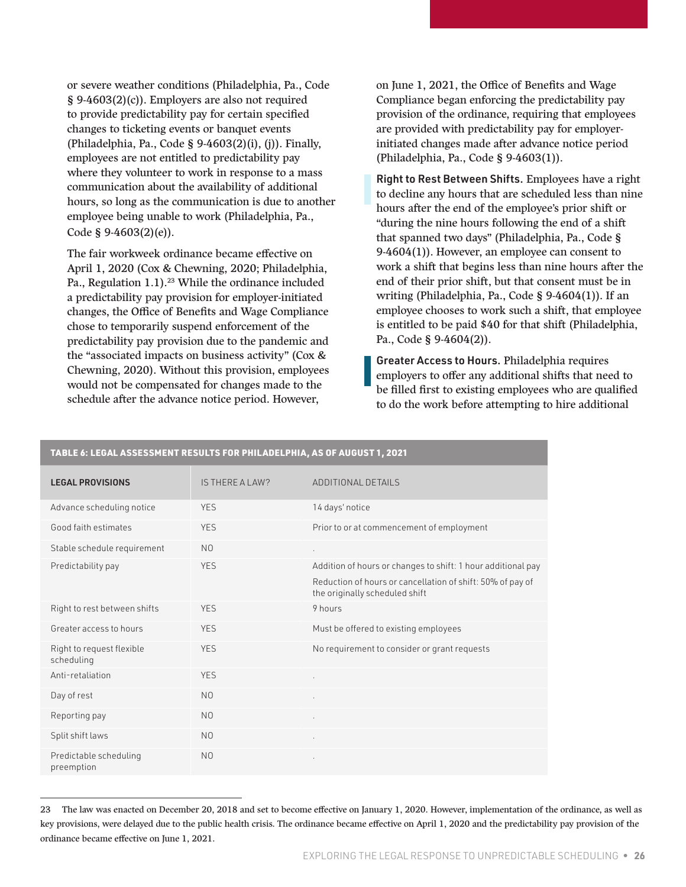or severe weather conditions (Philadelphia, Pa., Code § 9-4603(2)(c)). Employers are also not required to provide predictability pay for certain specified changes to ticketing events or banquet events (Philadelphia, Pa., Code § 9-4603(2)(i), (j)). Finally, employees are not entitled to predictability pay where they volunteer to work in response to a mass communication about the availability of additional hours, so long as the communication is due to another employee being unable to work (Philadelphia, Pa., Code § 9-4603(2)(e)).

The fair workweek ordinance became effective on April 1, 2020 (Cox & Chewning, 2020; Philadelphia, Pa., Regulation 1.1).<sup>23</sup> While the ordinance included a predictability pay provision for employer-initiated changes, the Office of Benefits and Wage Compliance chose to temporarily suspend enforcement of the predictability pay provision due to the pandemic and the "associated impacts on business activity" (Cox & Chewning, 2020). Without this provision, employees would not be compensated for changes made to the schedule after the advance notice period. However,

on June 1, 2021, the Office of Benefits and Wage Compliance began enforcing the predictability pay provision of the ordinance, requiring that employees are provided with predictability pay for employerinitiated changes made after advance notice period (Philadelphia, Pa., Code § 9-4603(1)).

Right to Rest Between Shifts. Employees have a right to decline any hours that are scheduled less than nine hours after the end of the employee's prior shift or "during the nine hours following the end of a shift that spanned two days" (Philadelphia, Pa., Code § 9-4604(1)). However, an employee can consent to work a shift that begins less than nine hours after the end of their prior shift, but that consent must be in writing (Philadelphia, Pa., Code § 9-4604(1)). If an employee chooses to work such a shift, that employee is entitled to be paid \$40 for that shift (Philadelphia, Pa., Code § 9-4604(2)).

Greater Access to Hours. Philadelphia requires employers to offer any additional shifts that need to be filled first to existing employees who are qualified to do the work before attempting to hire additional

| TABLE 6: LEGAL ASSESSMENT RESULTS FOR PHILADELPHIA, AS OF AUGUST 1, 2021 |                 |                                                                                              |  |  |
|--------------------------------------------------------------------------|-----------------|----------------------------------------------------------------------------------------------|--|--|
| <b>LEGAL PROVISIONS</b>                                                  | IS THERE A LAW? | ADDITIONAL DETAILS                                                                           |  |  |
| Advance scheduling notice                                                | <b>YES</b>      | 14 days' notice                                                                              |  |  |
| Good faith estimates                                                     | <b>YES</b>      | Prior to or at commencement of employment                                                    |  |  |
| Stable schedule requirement                                              | N <sub>0</sub>  |                                                                                              |  |  |
| Predictability pay                                                       | <b>YES</b>      | Addition of hours or changes to shift: 1 hour additional pay                                 |  |  |
|                                                                          |                 | Reduction of hours or cancellation of shift: 50% of pay of<br>the originally scheduled shift |  |  |
| Right to rest between shifts                                             | <b>YES</b>      | 9 hours                                                                                      |  |  |
| Greater access to hours                                                  | <b>YES</b>      | Must be offered to existing employees                                                        |  |  |
| Right to request flexible<br>scheduling                                  | <b>YES</b>      | No requirement to consider or grant requests                                                 |  |  |
| Anti-retaliation                                                         | <b>YES</b>      |                                                                                              |  |  |
| Day of rest                                                              | N <sub>0</sub>  |                                                                                              |  |  |
| Reporting pay                                                            | N <sub>O</sub>  | ä,                                                                                           |  |  |
| Split shift laws                                                         | N <sub>0</sub>  | ä,                                                                                           |  |  |
| Predictable scheduling<br>preemption                                     | N <sub>0</sub>  |                                                                                              |  |  |

<sup>23</sup> The law was enacted on December 20, 2018 and set to become effective on January 1, 2020. However, implementation of the ordinance, as well as key provisions, were delayed due to the public health crisis. The ordinance became effective on April 1, 2020 and the predictability pay provision of the ordinance became effective on June 1, 2021.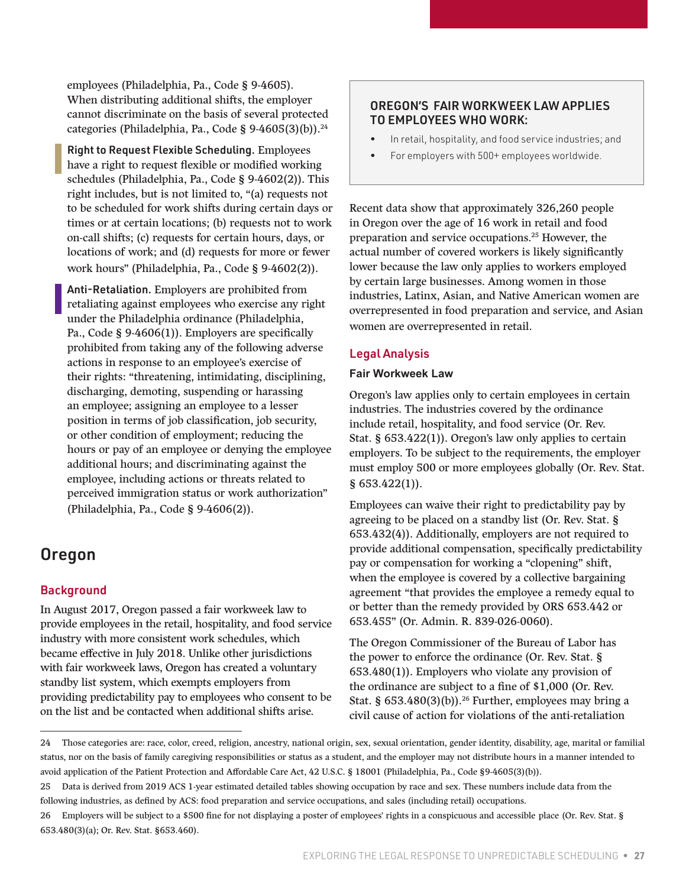<span id="page-26-0"></span>employees (Philadelphia, Pa., Code § 9-4605). When distributing additional shifts, the employer cannot discriminate on the basis of several protected categories (Philadelphia, Pa., Code § 9-4605(3)(b)).<sup>24</sup>

Right to Request Flexible Scheduling. Employees have a right to request flexible or modified working schedules (Philadelphia, Pa., Code § 9-4602(2)). This right includes, but is not limited to, "(a) requests not to be scheduled for work shifts during certain days or times or at certain locations; (b) requests not to work on-call shifts; (c) requests for certain hours, days, or locations of work; and (d) requests for more or fewer work hours" (Philadelphia, Pa., Code § 9-4602(2)).

Anti-Retaliation. Employers are prohibited from retaliating against employees who exercise any right under the Philadelphia ordinance (Philadelphia, Pa., Code § 9-4606(1)). Employers are specifically prohibited from taking any of the following adverse actions in response to an employee's exercise of their rights: "threatening, intimidating, disciplining, discharging, demoting, suspending or harassing an employee; assigning an employee to a lesser position in terms of job classification, job security, or other condition of employment; reducing the hours or pay of an employee or denying the employee additional hours; and discriminating against the employee, including actions or threats related to perceived immigration status or work authorization" (Philadelphia, Pa., Code § 9-4606(2)).

### Oregon

#### Background

In August 2017, Oregon passed a fair workweek law to provide employees in the retail, hospitality, and food service industry with more consistent work schedules, which became effective in July 2018. Unlike other jurisdictions with fair workweek laws, Oregon has created a voluntary standby list system, which exempts employers from providing predictability pay to employees who consent to be on the list and be contacted when additional shifts arise.

#### OREGON'S FAIR WORKWEEK LAW APPLIES TO EMPLOYEES WHO WORK:

- In retail, hospitality, and food service industries; and
- For employers with 500+ employees worldwide.

Recent data show that approximately 326,260 people in Oregon over the age of 16 work in retail and food preparation and service occupations.25 However, the actual number of covered workers is likely significantly lower because the law only applies to workers employed by certain large businesses. Among women in those industries, Latinx, Asian, and Native American women are overrepresented in food preparation and service, and Asian women are overrepresented in retail.

#### Legal Analysis

#### **Fair Workweek Law**

Oregon's law applies only to certain employees in certain industries. The industries covered by the ordinance include retail, hospitality, and food service (Or. Rev. Stat. § 653.422(1)). Oregon's law only applies to certain employers. To be subject to the requirements, the employer must employ 500 or more employees globally (Or. Rev. Stat. § 653.422(1)).

Employees can waive their right to predictability pay by agreeing to be placed on a standby list (Or. Rev. Stat. § 653.432(4)). Additionally, employers are not required to provide additional compensation, specifically predictability pay or compensation for working a "clopening" shift, when the employee is covered by a collective bargaining agreement "that provides the employee a remedy equal to or better than the remedy provided by ORS 653.442 or 653.455" (Or. Admin. R. 839-026-0060).

The Oregon Commissioner of the Bureau of Labor has the power to enforce the ordinance (Or. Rev. Stat. § 653.480(1)). Employers who violate any provision of the ordinance are subject to a fine of \$1,000 (Or. Rev. Stat. §  $653.480(3)(b)$ .<sup>26</sup> Further, employees may bring a civil cause of action for violations of the anti-retaliation

<sup>24</sup> Those categories are: race, color, creed, religion, ancestry, national origin, sex, sexual orientation, gender identity, disability, age, marital or familial status, nor on the basis of family caregiving responsibilities or status as a student, and the employer may not distribute hours in a manner intended to avoid application of the Patient Protection and Affordable Care Act, 42 U.S.C. § 18001 (Philadelphia, Pa., Code §9-4605(3)(b)).

<sup>25</sup> Data is derived from 2019 ACS 1-year estimated detailed tables showing occupation by race and sex. These numbers include data from the following industries, as defined by ACS: food preparation and service occupations, and sales (including retail) occupations.

<sup>26</sup> Employers will be subject to a \$500 fine for not displaying a poster of employees' rights in a conspicuous and accessible place (Or. Rev. Stat. § 653.480(3)(a); Or. Rev. Stat. §653.460).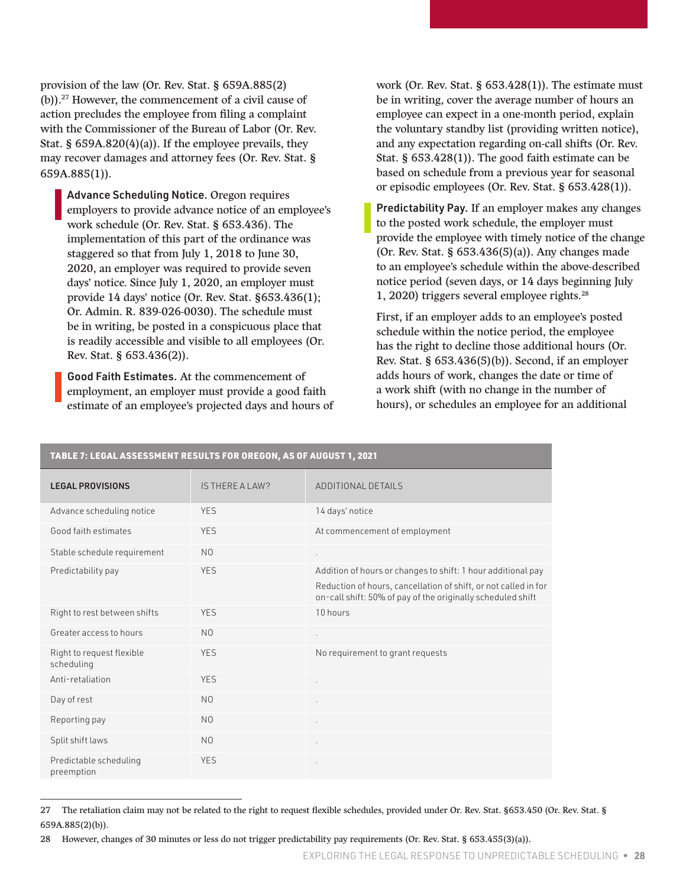provision of the law (Or. Rev. Stat. § 659A.885(2) (b)).27 However, the commencement of a civil cause of action precludes the employee from filing a complaint with the Commissioner of the Bureau of Labor (Or. Rev. Stat. §  $659A.820(4)(a)$ . If the employee prevails, they may recover damages and attorney fees (Or. Rev. Stat. § 659A.885(1)).

Advance Scheduling Notice. Oregon requires employers to provide advance notice of an employee's work schedule (Or. Rev. Stat. § 653.436). The implementation of this part of the ordinance was staggered so that from July 1, 2018 to June 30, 2020, an employer was required to provide seven days' notice. Since July 1, 2020, an employer must provide 14 days' notice (Or. Rev. Stat. §653.436(1); Or. Admin. R. 839-026-0030). The schedule must be in writing, be posted in a conspicuous place that is readily accessible and visible to all employees (Or. Rev. Stat. § 653.436(2)).

Good Faith Estimates. At the commencement of employment, an employer must provide a good faith estimate of an employee's projected days and hours of work (Or. Rev. Stat. § 653.428(1)). The estimate must be in writing, cover the average number of hours an employee can expect in a one-month period, explain the voluntary standby list (providing written notice), and any expectation regarding on-call shifts (Or. Rev. Stat. § 653.428(1)). The good faith estimate can be based on schedule from a previous year for seasonal or episodic employees (Or. Rev. Stat. § 653.428(1)).

Predictability Pay. If an employer makes any changes to the posted work schedule, the employer must provide the employee with timely notice of the change (Or. Rev. Stat. § 653.436(5)(a)). Any changes made to an employee's schedule within the above-described notice period (seven days, or 14 days beginning July 1, 2020) triggers several employee rights.28

First, if an employer adds to an employee's posted schedule within the notice period, the employee has the right to decline those additional hours (Or. Rev. Stat. § 653.436(5)(b)). Second, if an employer adds hours of work, changes the date or time of a work shift (with no change in the number of hours), or schedules an employee for an additional

| TABLE 7: LEGAL ASSESSMENT RESULTS FOR OREGON, AS OF AUGUST 1, 2021 |                 |                                                                                                                                |  |  |
|--------------------------------------------------------------------|-----------------|--------------------------------------------------------------------------------------------------------------------------------|--|--|
| <b>LEGAL PROVISIONS</b>                                            | IS THERE A LAW? | ADDITIONAL DETAILS                                                                                                             |  |  |
| Advance scheduling notice                                          | <b>YES</b>      | 14 days' notice                                                                                                                |  |  |
| Good faith estimates                                               | <b>YES</b>      | At commencement of employment                                                                                                  |  |  |
| Stable schedule requirement                                        | N <sub>0</sub>  | ¥.                                                                                                                             |  |  |
| Predictability pay                                                 | <b>YES</b>      | Addition of hours or changes to shift: 1 hour additional pay                                                                   |  |  |
|                                                                    |                 | Reduction of hours, cancellation of shift, or not called in for<br>on-call shift: 50% of pay of the originally scheduled shift |  |  |
| Right to rest between shifts                                       | <b>YES</b>      | 10 hours                                                                                                                       |  |  |
| Greater access to hours                                            | N <sub>O</sub>  | ¥.                                                                                                                             |  |  |
| Right to request flexible<br>scheduling                            | <b>YES</b>      | No requirement to grant requests                                                                                               |  |  |
| Anti-retaliation                                                   | <b>YES</b>      | à.                                                                                                                             |  |  |
| Day of rest                                                        | N <sub>O</sub>  |                                                                                                                                |  |  |
| Reporting pay                                                      | N <sub>O</sub>  |                                                                                                                                |  |  |
| Split shift laws                                                   | N <sub>0</sub>  |                                                                                                                                |  |  |
| Predictable scheduling<br>preemption                               | <b>YES</b>      | ٠                                                                                                                              |  |  |

<sup>27</sup> The retaliation claim may not be related to the right to request flexible schedules, provided under Or. Rev. Stat. §653.450 (Or. Rev. Stat. § 659A.885(2)(b)).

<sup>28</sup> However, changes of 30 minutes or less do not trigger predictability pay requirements (Or. Rev. Stat. § 653.455(3)(a)).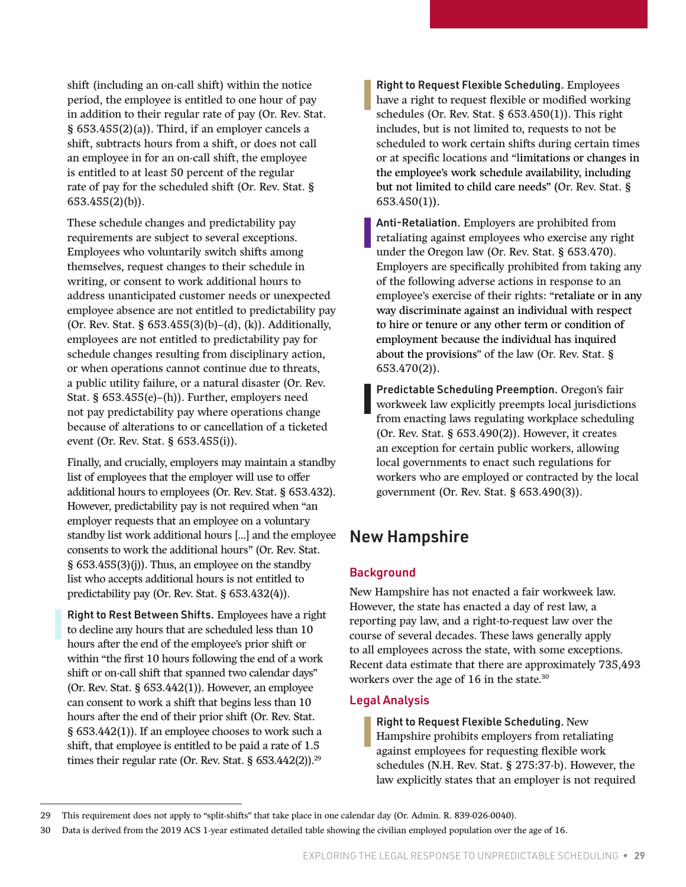<span id="page-28-0"></span>shift (including an on-call shift) within the notice period, the employee is entitled to one hour of pay in addition to their regular rate of pay (Or. Rev. Stat. § 653.455(2)(a)). Third, if an employer cancels a shift, subtracts hours from a shift, or does not call an employee in for an on-call shift, the employee is entitled to at least 50 percent of the regular rate of pay for the scheduled shift (Or. Rev. Stat. § 653.455(2)(b)).

These schedule changes and predictability pay requirements are subject to several exceptions. Employees who voluntarily switch shifts among themselves, request changes to their schedule in writing, or consent to work additional hours to address unanticipated customer needs or unexpected employee absence are not entitled to predictability pay (Or. Rev. Stat. § 653.455(3)(b)–(d), (k)). Additionally, employees are not entitled to predictability pay for schedule changes resulting from disciplinary action, or when operations cannot continue due to threats, a public utility failure, or a natural disaster (Or. Rev. Stat. § 653.455(e)–(h)). Further, employers need not pay predictability pay where operations change because of alterations to or cancellation of a ticketed event (Or. Rev. Stat. § 653.455(i)).

Finally, and crucially, employers may maintain a standby list of employees that the employer will use to offer additional hours to employees (Or. Rev. Stat. § 653.432). However, predictability pay is not required when "an employer requests that an employee on a voluntary standby list work additional hours […] and the employee consents to work the additional hours" (Or. Rev. Stat. § 653.455(3)(j)). Thus, an employee on the standby list who accepts additional hours is not entitled to predictability pay (Or. Rev. Stat. § 653.432(4)).

Right to Rest Between Shifts**.** Employees have a right to decline any hours that are scheduled less than 10 hours after the end of the employee's prior shift or within "the first 10 hours following the end of a work shift or on-call shift that spanned two calendar days" (Or. Rev. Stat. § 653.442(1)). However, an employee can consent to work a shift that begins less than 10 hours after the end of their prior shift (Or. Rev. Stat. § 653.442(1)). If an employee chooses to work such a shift, that employee is entitled to be paid a rate of 1.5 times their regular rate (Or. Rev. Stat. § 653.442(2)).<sup>29</sup>

Right to Request Flexible Scheduling. Employees have a right to request flexible or modified working schedules (Or. Rev. Stat. § 653.450(1)). This right includes, but is not limited to, requests to not be scheduled to work certain shifts during certain times or at specific locations and "limitations or changes in the employee's work schedule availability, including but not limited to child care needs" (Or. Rev. Stat. § 653.450(1)).

Anti-Retaliation. Employers are prohibited from retaliating against employees who exercise any right under the Oregon law (Or. Rev. Stat. § 653.470). Employers are specifically prohibited from taking any of the following adverse actions in response to an employee's exercise of their rights: "retaliate or in any way discriminate against an individual with respect to hire or tenure or any other term or condition of employment because the individual has inquired about the provisions" of the law (Or. Rev. Stat. § 653.470(2)).

Predictable Scheduling Preemption. Oregon's fair workweek law explicitly preempts local jurisdictions from enacting laws regulating workplace scheduling (Or. Rev. Stat. § 653.490(2)). However, it creates an exception for certain public workers, allowing local governments to enact such regulations for workers who are employed or contracted by the local government (Or. Rev. Stat. § 653.490(3)).

### New Hampshire

#### **Background**

New Hampshire has not enacted a fair workweek law. However, the state has enacted a day of rest law, a reporting pay law, and a right-to-request law over the course of several decades. These laws generally apply to all employees across the state, with some exceptions. Recent data estimate that there are approximately 735,493 workers over the age of 16 in the state.<sup>30</sup>

#### Legal Analysis

Right to Request Flexible Scheduling. New Hampshire prohibits employers from retaliating against employees for requesting flexible work schedules (N.H. Rev. Stat. § 275:37-b). However, the law explicitly states that an employer is not required

<sup>29</sup> This requirement does not apply to "split-shifts" that take place in one calendar day (Or. Admin. R. 839-026-0040).

<sup>30</sup> Data is derived from the 2019 ACS 1-year estimated detailed table showing the civilian employed population over the age of 16.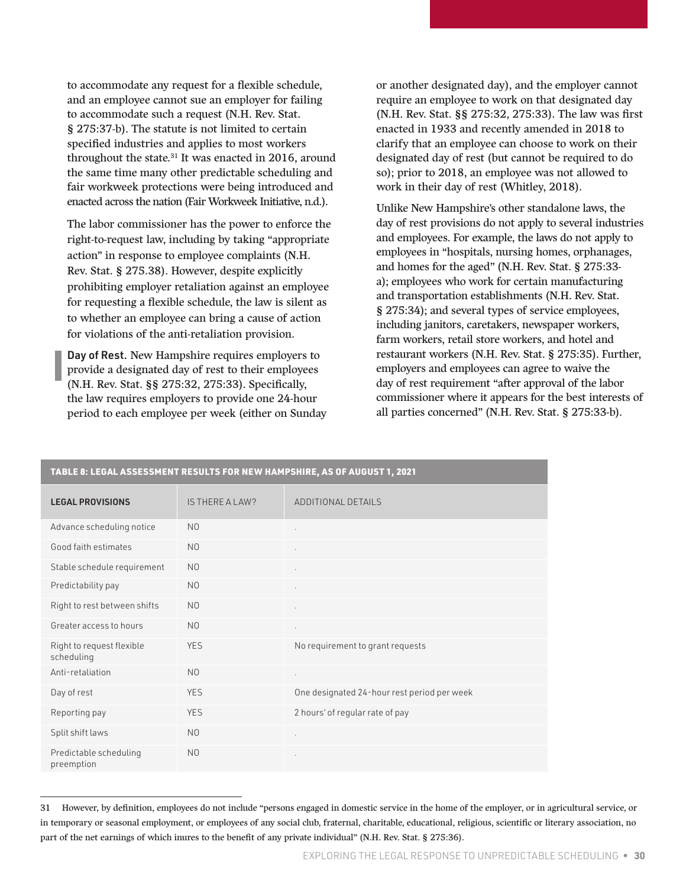to accommodate any request for a flexible schedule, and an employee cannot sue an employer for failing to accommodate such a request (N.H. Rev. Stat. § 275:37-b). The statute is not limited to certain specified industries and applies to most workers throughout the state.<sup>31</sup> It was enacted in 2016, around the same time many other predictable scheduling and fair workweek protections were being introduced and enacted across the nation (Fair Workweek Initiative, n.d.).

The labor commissioner has the power to enforce the right-to-request law, including by taking "appropriate action" in response to employee complaints (N.H. Rev. Stat. § 275.38). However, despite explicitly prohibiting employer retaliation against an employee for requesting a flexible schedule, the law is silent as to whether an employee can bring a cause of action for violations of the anti-retaliation provision.

Day of Rest. New Hampshire requires employers to provide a designated day of rest to their employees (N.H. Rev. Stat. §§ 275:32, 275:33). Specifically, the law requires employers to provide one 24-hour period to each employee per week (either on Sunday

or another designated day), and the employer cannot require an employee to work on that designated day (N.H. Rev. Stat. §§ 275:32, 275:33). The law was first enacted in 1933 and recently amended in 2018 to clarify that an employee can choose to work on their designated day of rest (but cannot be required to do so); prior to 2018, an employee was not allowed to work in their day of rest (Whitley, 2018).

Unlike New Hampshire's other standalone laws, the day of rest provisions do not apply to several industries and employees. For example, the laws do not apply to employees in "hospitals, nursing homes, orphanages, and homes for the aged" (N.H. Rev. Stat. § 275:33 a); employees who work for certain manufacturing and transportation establishments (N.H. Rev. Stat. § 275:34); and several types of service employees, including janitors, caretakers, newspaper workers, farm workers, retail store workers, and hotel and restaurant workers (N.H. Rev. Stat. § 275:35). Further, employers and employees can agree to waive the day of rest requirement "after approval of the labor commissioner where it appears for the best interests of all parties concerned" (N.H. Rev. Stat. § 275:33-b).

| TABLE 8: LEGAL ASSESSMENT RESULTS FOR NEW HAMPSHIRE, AS OF AUGUST 1, 2021 |                 |                                             |  |
|---------------------------------------------------------------------------|-----------------|---------------------------------------------|--|
| <b>LEGAL PROVISIONS</b>                                                   | IS THERE A LAW? | ADDITIONAL DETAILS                          |  |
| Advance scheduling notice                                                 | N <sub>0</sub>  | ×.                                          |  |
| Good faith estimates                                                      | N <sub>0</sub>  | ٠                                           |  |
| Stable schedule requirement                                               | N <sub>0</sub>  | $\cdot$                                     |  |
| Predictability pay                                                        | N <sub>0</sub>  | $\cdot$                                     |  |
| Right to rest between shifts                                              | N <sub>0</sub>  |                                             |  |
| Greater access to hours                                                   | N <sub>0</sub>  | $\epsilon$                                  |  |
| Right to request flexible<br>scheduling                                   | <b>YES</b>      | No requirement to grant requests            |  |
| Anti-retaliation                                                          | N <sub>0</sub>  | $\cdot$                                     |  |
| Day of rest                                                               | <b>YES</b>      | One designated 24-hour rest period per week |  |
| Reporting pay                                                             | <b>YES</b>      | 2 hours' of regular rate of pay             |  |
| Split shift laws                                                          | N <sub>0</sub>  | $\cdot$                                     |  |
| Predictable scheduling<br>preemption                                      | N <sub>0</sub>  | $\mathbf{r}$                                |  |

<sup>31</sup> However, by definition, employees do not include "persons engaged in domestic service in the home of the employer, or in agricultural service, or in temporary or seasonal employment, or employees of any social club, fraternal, charitable, educational, religious, scientific or literary association, no part of the net earnings of which inures to the benefit of any private individual" (N.H. Rev. Stat. § 275:36).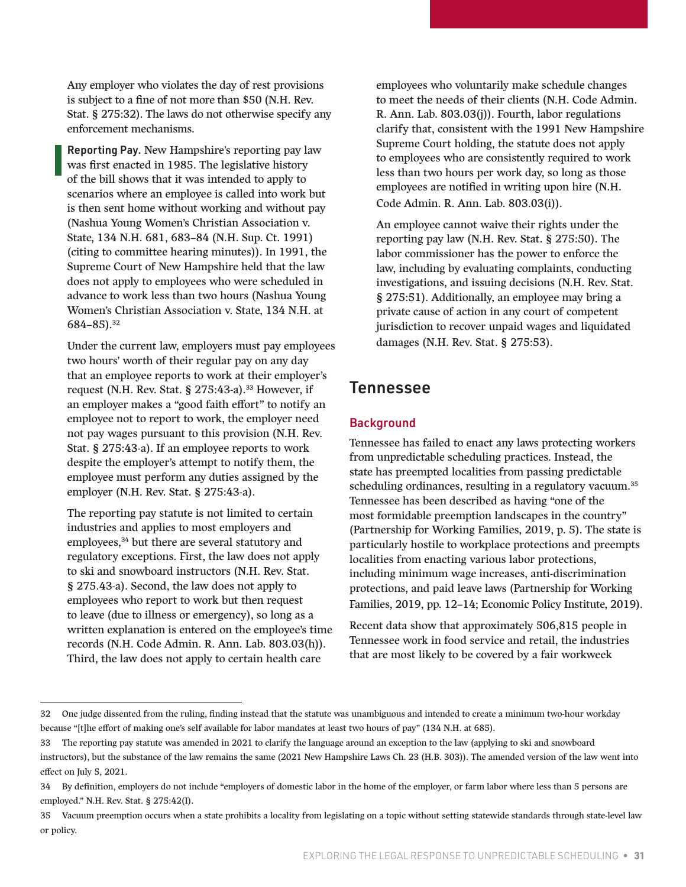<span id="page-30-0"></span>Any employer who violates the day of rest provisions is subject to a fine of not more than \$50 (N.H. Rev. Stat. § 275:32). The laws do not otherwise specify any enforcement mechanisms.

Reporting Pay. New Hampshire's reporting pay law was first enacted in 1985. The legislative history of the bill shows that it was intended to apply to scenarios where an employee is called into work but is then sent home without working and without pay (Nashua Young Women's Christian Association v. State, 134 N.H. 681, 683–84 (N.H. Sup. Ct. 1991) (citing to committee hearing minutes)). In 1991, the Supreme Court of New Hampshire held that the law does not apply to employees who were scheduled in advance to work less than two hours (Nashua Young Women's Christian Association v. State, 134 N.H. at 684–85).32

Under the current law, employers must pay employees two hours' worth of their regular pay on any day that an employee reports to work at their employer's request (N.H. Rev. Stat. § 275:43-a). $33$  However, if an employer makes a "good faith effort" to notify an employee not to report to work, the employer need not pay wages pursuant to this provision (N.H. Rev. Stat. § 275:43-a). If an employee reports to work despite the employer's attempt to notify them, the employee must perform any duties assigned by the employer (N.H. Rev. Stat. § 275:43-a).

The reporting pay statute is not limited to certain industries and applies to most employers and employees,<sup>34</sup> but there are several statutory and regulatory exceptions. First, the law does not apply to ski and snowboard instructors (N.H. Rev. Stat. § 275.43-a). Second, the law does not apply to employees who report to work but then request to leave (due to illness or emergency), so long as a written explanation is entered on the employee's time records (N.H. Code Admin. R. Ann. Lab. 803.03(h)). Third, the law does not apply to certain health care

employees who voluntarily make schedule changes to meet the needs of their clients (N.H. Code Admin. R. Ann. Lab. 803.03(j)). Fourth, labor regulations clarify that, consistent with the 1991 New Hampshire Supreme Court holding, the statute does not apply to employees who are consistently required to work less than two hours per work day, so long as those employees are notified in writing upon hire (N.H. Code Admin. R. Ann. Lab. 803.03(i)).

An employee cannot waive their rights under the reporting pay law (N.H. Rev. Stat. § 275:50). The labor commissioner has the power to enforce the law, including by evaluating complaints, conducting investigations, and issuing decisions (N.H. Rev. Stat. § 275:51). Additionally, an employee may bring a private cause of action in any court of competent jurisdiction to recover unpaid wages and liquidated damages (N.H. Rev. Stat. § 275:53).

### Tennessee

#### **Background**

Tennessee has failed to enact any laws protecting workers from unpredictable scheduling practices. Instead, the state has preempted localities from passing predictable scheduling ordinances, resulting in a regulatory vacuum.<sup>35</sup> Tennessee has been described as having "one of the most formidable preemption landscapes in the country" (Partnership for Working Families, 2019, p. 5). The state is particularly hostile to workplace protections and preempts localities from enacting various labor protections, including minimum wage increases, anti-discrimination protections, and paid leave laws (Partnership for Working Families, 2019, pp. 12–14; Economic Policy Institute, 2019).

Recent data show that approximately 506,815 people in Tennessee work in food service and retail, the industries that are most likely to be covered by a fair workweek

<sup>32</sup> One judge dissented from the ruling, finding instead that the statute was unambiguous and intended to create a minimum two-hour workday because "[t]he effort of making one's self available for labor mandates at least two hours of pay" (134 N.H. at 685).

<sup>33</sup> The reporting pay statute was amended in 2021 to clarify the language around an exception to the law (applying to ski and snowboard instructors), but the substance of the law remains the same (2021 New Hampshire Laws Ch. 23 (H.B. 303)). The amended version of the law went into effect on July 5, 2021.

<sup>34</sup> By definition, employers do not include "employers of domestic labor in the home of the employer, or farm labor where less than 5 persons are employed." N.H. Rev. Stat. § 275:42(I).

<sup>35</sup> Vacuum preemption occurs when a state prohibits a locality from legislating on a topic without setting statewide standards through state-level law or policy.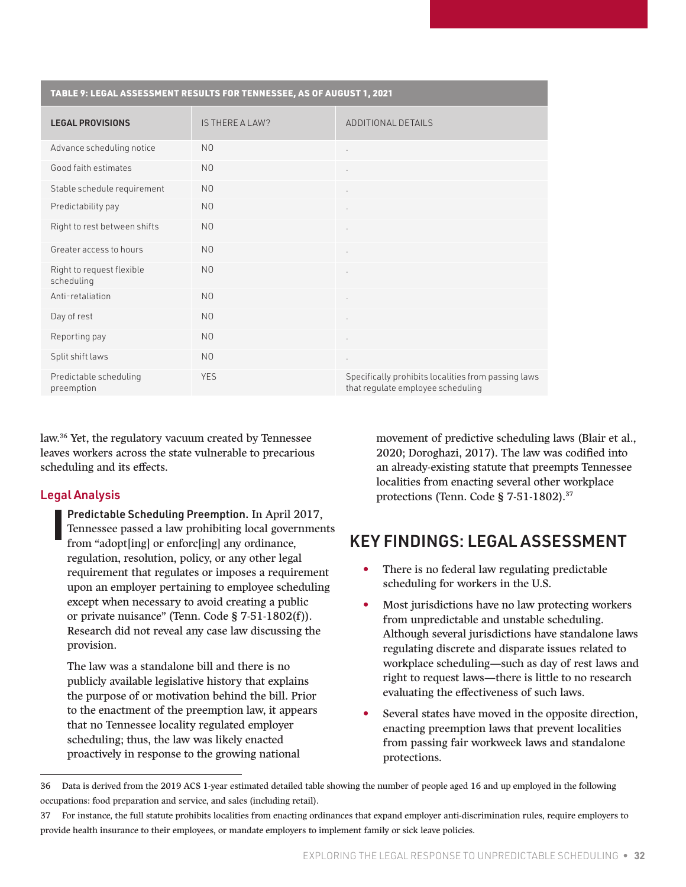<span id="page-31-0"></span>

| TABLE 9: LEGAL ASSESSMENT RESULTS FOR TENNESSEE, AS OF AUGUST 1, 2021 |                 |                                                                                          |  |
|-----------------------------------------------------------------------|-----------------|------------------------------------------------------------------------------------------|--|
| <b>LEGAL PROVISIONS</b>                                               | IS THERE A LAW? | ADDITIONAL DETAILS                                                                       |  |
| Advance scheduling notice                                             | N <sub>0</sub>  | $\cdot$                                                                                  |  |
| Good faith estimates                                                  | N <sub>0</sub>  | ×                                                                                        |  |
| Stable schedule requirement                                           | N <sub>0</sub>  | $\bullet$                                                                                |  |
| Predictability pay                                                    | N <sub>0</sub>  | $\bullet$                                                                                |  |
| Right to rest between shifts                                          | N <sub>0</sub>  | $\sim$                                                                                   |  |
| Greater access to hours                                               | N <sub>0</sub>  | $\cdot$                                                                                  |  |
| Right to request flexible<br>scheduling                               | N <sub>0</sub>  | ٠                                                                                        |  |
| Anti-retaliation                                                      | N <sub>0</sub>  | $\epsilon$                                                                               |  |
| Day of rest                                                           | N <sub>0</sub>  |                                                                                          |  |
| Reporting pay                                                         | N <sub>0</sub>  | ٠                                                                                        |  |
| Split shift laws                                                      | N <sub>O</sub>  | $\cdot$                                                                                  |  |
| Predictable scheduling<br>preemption                                  | <b>YES</b>      | Specifically prohibits localities from passing laws<br>that regulate employee scheduling |  |

law.36 Yet, the regulatory vacuum created by Tennessee leaves workers across the state vulnerable to precarious scheduling and its effects.

#### Legal Analysis

Predictable Scheduling Preemption. In April 2017, Tennessee passed a law prohibiting local governments from "adopt[ing] or enforc[ing] any ordinance, regulation, resolution, policy, or any other legal requirement that regulates or imposes a requirement upon an employer pertaining to employee scheduling except when necessary to avoid creating a public or private nuisance" (Tenn. Code § 7-51-1802(f)). Research did not reveal any case law discussing the provision.

The law was a standalone bill and there is no publicly available legislative history that explains the purpose of or motivation behind the bill. Prior to the enactment of the preemption law, it appears that no Tennessee locality regulated employer scheduling; thus, the law was likely enacted proactively in response to the growing national

movement of predictive scheduling laws (Blair et al., 2020; Doroghazi, 2017). The law was codified into an already-existing statute that preempts Tennessee localities from enacting several other workplace protections (Tenn. Code § 7-51-1802).37

## KEY FINDINGS: LEGAL ASSESSMENT

- There is no federal law regulating predictable scheduling for workers in the U.S.
- Most jurisdictions have no law protecting workers from unpredictable and unstable scheduling. Although several jurisdictions have standalone laws regulating discrete and disparate issues related to workplace scheduling—such as day of rest laws and right to request laws—there is little to no research evaluating the effectiveness of such laws.
- Several states have moved in the opposite direction, enacting preemption laws that prevent localities from passing fair workweek laws and standalone protections.

<sup>36</sup> Data is derived from the 2019 ACS 1-year estimated detailed table showing the number of people aged 16 and up employed in the following occupations: food preparation and service, and sales (including retail).

<sup>37</sup> For instance, the full statute prohibits localities from enacting ordinances that expand employer anti-discrimination rules, require employers to provide health insurance to their employees, or mandate employers to implement family or sick leave policies.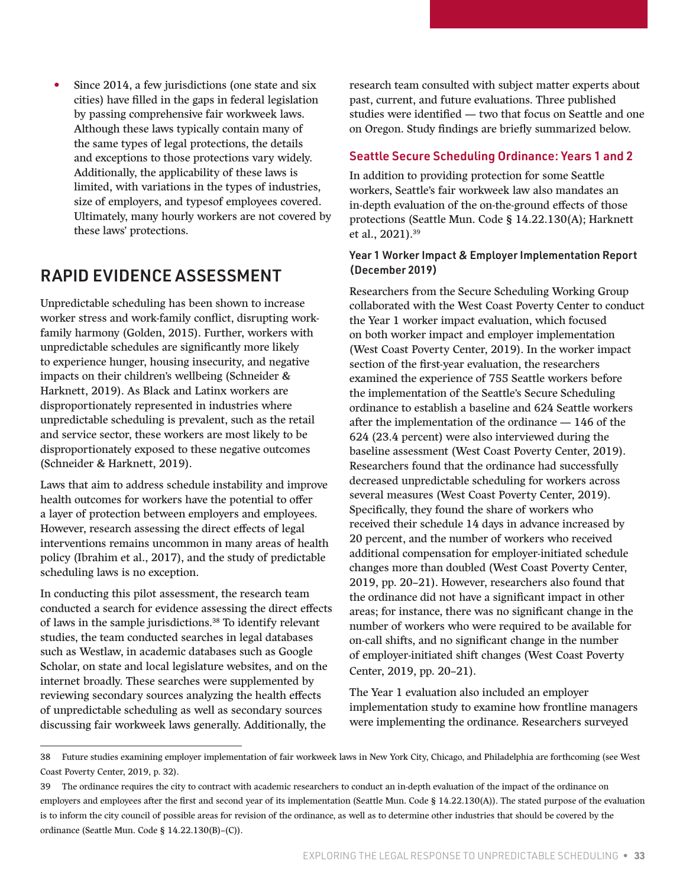<span id="page-32-0"></span>Since 2014, a few jurisdictions (one state and six cities) have filled in the gaps in federal legislation by passing comprehensive fair workweek laws. Although these laws typically contain many of the same types of legal protections, the details and exceptions to those protections vary widely. Additionally, the applicability of these laws is limited, with variations in the types of industries, size of employers, and typesof employees covered. Ultimately, many hourly workers are not covered by these laws' protections.

### RAPID EVIDENCE ASSESSMENT

Unpredictable scheduling has been shown to increase worker stress and work-family conflict, disrupting workfamily harmony (Golden, 2015). Further, workers with unpredictable schedules are significantly more likely to experience hunger, housing insecurity, and negative impacts on their children's wellbeing (Schneider & Harknett, 2019). As Black and Latinx workers are disproportionately represented in industries where unpredictable scheduling is prevalent, such as the retail and service sector, these workers are most likely to be disproportionately exposed to these negative outcomes (Schneider & Harknett, 2019).

Laws that aim to address schedule instability and improve health outcomes for workers have the potential to offer a layer of protection between employers and employees. However, research assessing the direct effects of legal interventions remains uncommon in many areas of health policy (Ibrahim et al., 2017), and the study of predictable scheduling laws is no exception.

In conducting this pilot assessment, the research team conducted a search for evidence assessing the direct effects of laws in the sample jurisdictions.<sup>38</sup> To identify relevant studies, the team conducted searches in legal databases such as Westlaw, in academic databases such as Google Scholar, on state and local legislature websites, and on the internet broadly. These searches were supplemented by reviewing secondary sources analyzing the health effects of unpredictable scheduling as well as secondary sources discussing fair workweek laws generally. Additionally, the

research team consulted with subject matter experts about past, current, and future evaluations. Three published studies were identified — two that focus on Seattle and one on Oregon. Study findings are briefly summarized below.

#### Seattle Secure Scheduling Ordinance: Years 1 and 2

In addition to providing protection for some Seattle workers, Seattle's fair workweek law also mandates an in-depth evaluation of the on-the-ground effects of those protections (Seattle Mun. Code § 14.22.130(A); Harknett et al., 2021).39

#### Year 1 Worker Impact & Employer Implementation Report (December 2019)

Researchers from the Secure Scheduling Working Group collaborated with the West Coast Poverty Center to conduct the Year 1 worker impact evaluation, which focused on both worker impact and employer implementation (West Coast Poverty Center, 2019). In the worker impact section of the first-year evaluation, the researchers examined the experience of 755 Seattle workers before the implementation of the Seattle's Secure Scheduling ordinance to establish a baseline and 624 Seattle workers after the implementation of the ordinance — 146 of the 624 (23.4 percent) were also interviewed during the baseline assessment (West Coast Poverty Center, 2019). Researchers found that the ordinance had successfully decreased unpredictable scheduling for workers across several measures (West Coast Poverty Center, 2019). Specifically, they found the share of workers who received their schedule 14 days in advance increased by 20 percent, and the number of workers who received additional compensation for employer-initiated schedule changes more than doubled (West Coast Poverty Center, 2019, pp. 20–21). However, researchers also found that the ordinance did not have a significant impact in other areas; for instance, there was no significant change in the number of workers who were required to be available for on-call shifts, and no significant change in the number of employer-initiated shift changes (West Coast Poverty Center, 2019, pp. 20–21).

The Year 1 evaluation also included an employer implementation study to examine how frontline managers were implementing the ordinance. Researchers surveyed

<sup>38</sup> Future studies examining employer implementation of fair workweek laws in New York City, Chicago, and Philadelphia are forthcoming (see West Coast Poverty Center, 2019, p. 32).

<sup>39</sup> The ordinance requires the city to contract with academic researchers to conduct an in-depth evaluation of the impact of the ordinance on employers and employees after the first and second year of its implementation (Seattle Mun. Code § 14.22.130(A)). The stated purpose of the evaluation is to inform the city council of possible areas for revision of the ordinance, as well as to determine other industries that should be covered by the ordinance (Seattle Mun. Code § 14.22.130(B)–(C)).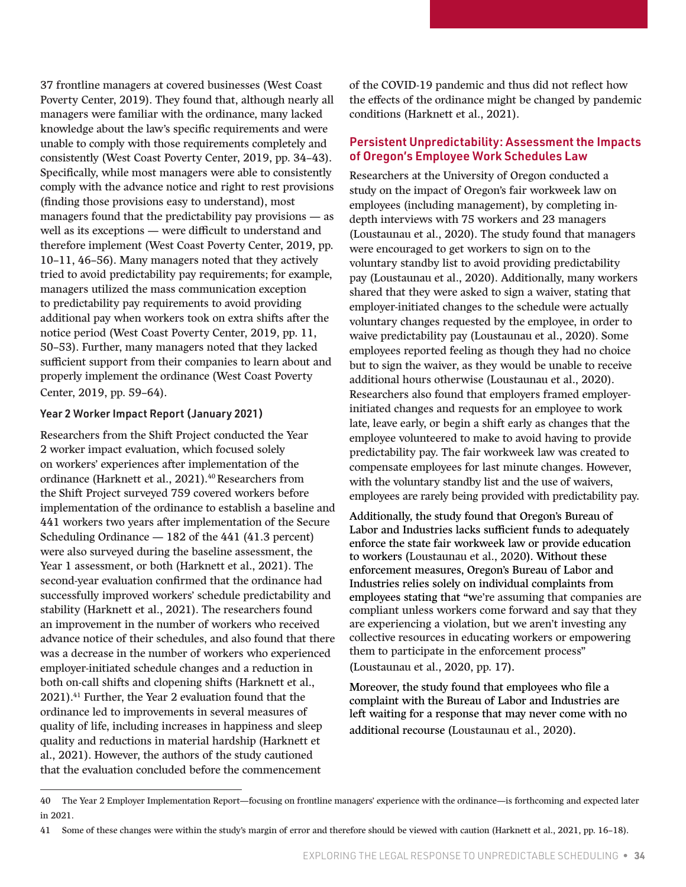37 frontline managers at covered businesses (West Coast Poverty Center, 2019). They found that, although nearly all managers were familiar with the ordinance, many lacked knowledge about the law's specific requirements and were unable to comply with those requirements completely and consistently (West Coast Poverty Center, 2019, pp. 34–43). Specifically, while most managers were able to consistently comply with the advance notice and right to rest provisions (finding those provisions easy to understand), most managers found that the predictability pay provisions — as well as its exceptions — were difficult to understand and therefore implement (West Coast Poverty Center, 2019, pp. 10–11, 46–56). Many managers noted that they actively tried to avoid predictability pay requirements; for example, managers utilized the mass communication exception to predictability pay requirements to avoid providing additional pay when workers took on extra shifts after the notice period (West Coast Poverty Center, 2019, pp. 11, 50–53). Further, many managers noted that they lacked sufficient support from their companies to learn about and properly implement the ordinance (West Coast Poverty Center, 2019, pp. 59–64).

#### Year 2 Worker Impact Report (January 2021)

Researchers from the Shift Project conducted the Year 2 worker impact evaluation, which focused solely on workers' experiences after implementation of the ordinance (Harknett et al., 2021).<sup>40</sup> Researchers from the Shift Project surveyed 759 covered workers before implementation of the ordinance to establish a baseline and 441 workers two years after implementation of the Secure Scheduling Ordinance — 182 of the 441 (41.3 percent) were also surveyed during the baseline assessment, the Year 1 assessment, or both (Harknett et al., 2021). The second-year evaluation confirmed that the ordinance had successfully improved workers' schedule predictability and stability (Harknett et al., 2021). The researchers found an improvement in the number of workers who received advance notice of their schedules, and also found that there was a decrease in the number of workers who experienced employer-initiated schedule changes and a reduction in both on-call shifts and clopening shifts (Harknett et al., 2021).41 Further, the Year 2 evaluation found that the ordinance led to improvements in several measures of quality of life, including increases in happiness and sleep quality and reductions in material hardship (Harknett et al., 2021). However, the authors of the study cautioned that the evaluation concluded before the commencement

of the COVID-19 pandemic and thus did not reflect how the effects of the ordinance might be changed by pandemic conditions (Harknett et al., 2021).

#### Persistent Unpredictability: Assessment the Impacts of Oregon's Employee Work Schedules Law

Researchers at the University of Oregon conducted a study on the impact of Oregon's fair workweek law on employees (including management), by completing indepth interviews with 75 workers and 23 managers (Loustaunau et al., 2020). The study found that managers were encouraged to get workers to sign on to the voluntary standby list to avoid providing predictability pay (Loustaunau et al., 2020). Additionally, many workers shared that they were asked to sign a waiver, stating that employer-initiated changes to the schedule were actually voluntary changes requested by the employee, in order to waive predictability pay (Loustaunau et al., 2020). Some employees reported feeling as though they had no choice but to sign the waiver, as they would be unable to receive additional hours otherwise (Loustaunau et al., 2020). Researchers also found that employers framed employerinitiated changes and requests for an employee to work late, leave early, or begin a shift early as changes that the employee volunteered to make to avoid having to provide predictability pay. The fair workweek law was created to compensate employees for last minute changes. However, with the voluntary standby list and the use of waivers, employees are rarely being provided with predictability pay.

Additionally, the study found that Oregon's Bureau of Labor and Industries lacks sufficient funds to adequately enforce the state fair workweek law or provide education to workers (Loustaunau et al., 2020). Without these enforcement measures, Oregon's Bureau of Labor and Industries relies solely on individual complaints from employees stating that "we're assuming that companies are compliant unless workers come forward and say that they are experiencing a violation, but we aren't investing any collective resources in educating workers or empowering them to participate in the enforcement process"

(Loustaunau et al., 2020, pp. 17).

Moreover, the study found that employees who file a complaint with the Bureau of Labor and Industries are left waiting for a response that may never come with no additional recourse (Loustaunau et al., 2020).

<sup>40</sup> The Year 2 Employer Implementation Report—focusing on frontline managers' experience with the ordinance—is forthcoming and expected later in 2021.

<sup>41</sup> Some of these changes were within the study's margin of error and therefore should be viewed with caution (Harknett et al., 2021, pp. 16–18).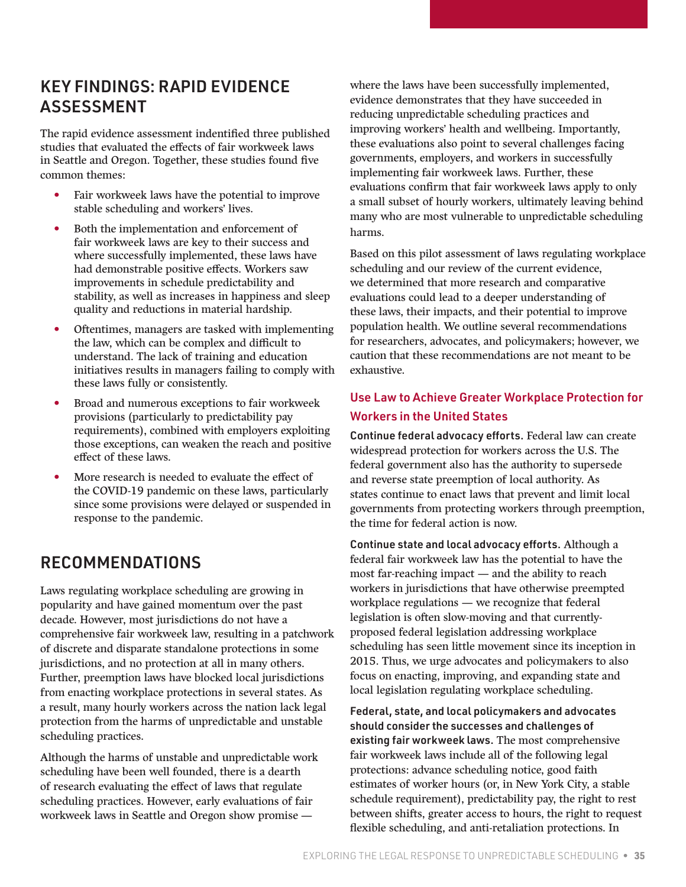### <span id="page-34-0"></span>KEY FINDINGS: RAPID EVIDENCE ASSESSMENT

The rapid evidence assessment indentified three published studies that evaluated the effects of fair workweek laws in Seattle and Oregon. Together, these studies found five common themes:

- Fair workweek laws have the potential to improve stable scheduling and workers' lives.
- Both the implementation and enforcement of fair workweek laws are key to their success and where successfully implemented, these laws have had demonstrable positive effects. Workers saw improvements in schedule predictability and stability, as well as increases in happiness and sleep quality and reductions in material hardship.
- Oftentimes, managers are tasked with implementing the law, which can be complex and difficult to understand. The lack of training and education initiatives results in managers failing to comply with these laws fully or consistently.
- Broad and numerous exceptions to fair workweek provisions (particularly to predictability pay requirements), combined with employers exploiting those exceptions, can weaken the reach and positive effect of these laws.
- More research is needed to evaluate the effect of the COVID-19 pandemic on these laws, particularly since some provisions were delayed or suspended in response to the pandemic.

### RECOMMENDATIONS

Laws regulating workplace scheduling are growing in popularity and have gained momentum over the past decade. However, most jurisdictions do not have a comprehensive fair workweek law, resulting in a patchwork of discrete and disparate standalone protections in some jurisdictions, and no protection at all in many others. Further, preemption laws have blocked local jurisdictions from enacting workplace protections in several states. As a result, many hourly workers across the nation lack legal protection from the harms of unpredictable and unstable scheduling practices.

Although the harms of unstable and unpredictable work scheduling have been well founded, there is a dearth of research evaluating the effect of laws that regulate scheduling practices. However, early evaluations of fair workweek laws in Seattle and Oregon show promise —

where the laws have been successfully implemented, evidence demonstrates that they have succeeded in reducing unpredictable scheduling practices and improving workers' health and wellbeing. Importantly, these evaluations also point to several challenges facing governments, employers, and workers in successfully implementing fair workweek laws. Further, these evaluations confirm that fair workweek laws apply to only a small subset of hourly workers, ultimately leaving behind many who are most vulnerable to unpredictable scheduling harms.

Based on this pilot assessment of laws regulating workplace scheduling and our review of the current evidence, we determined that more research and comparative evaluations could lead to a deeper understanding of these laws, their impacts, and their potential to improve population health. We outline several recommendations for researchers, advocates, and policymakers; however, we caution that these recommendations are not meant to be exhaustive.

### Use Law to Achieve Greater Workplace Protection for Workers in the United States

Continue federal advocacy efforts. Federal law can create widespread protection for workers across the U.S. The federal government also has the authority to supersede and reverse state preemption of local authority. As states continue to enact laws that prevent and limit local governments from protecting workers through preemption, the time for federal action is now.

Continue state and local advocacy efforts. Although a federal fair workweek law has the potential to have the most far-reaching impact — and the ability to reach workers in jurisdictions that have otherwise preempted workplace regulations — we recognize that federal legislation is often slow-moving and that currentlyproposed federal legislation addressing workplace scheduling has seen little movement since its inception in 2015. Thus, we urge advocates and policymakers to also focus on enacting, improving, and expanding state and local legislation regulating workplace scheduling.

Federal, state, and local policymakers and advocates should consider the successes and challenges of existing fair workweek laws. The most comprehensive fair workweek laws include all of the following legal protections: advance scheduling notice, good faith estimates of worker hours (or, in New York City, a stable schedule requirement), predictability pay, the right to rest between shifts, greater access to hours, the right to request flexible scheduling, and anti-retaliation protections. In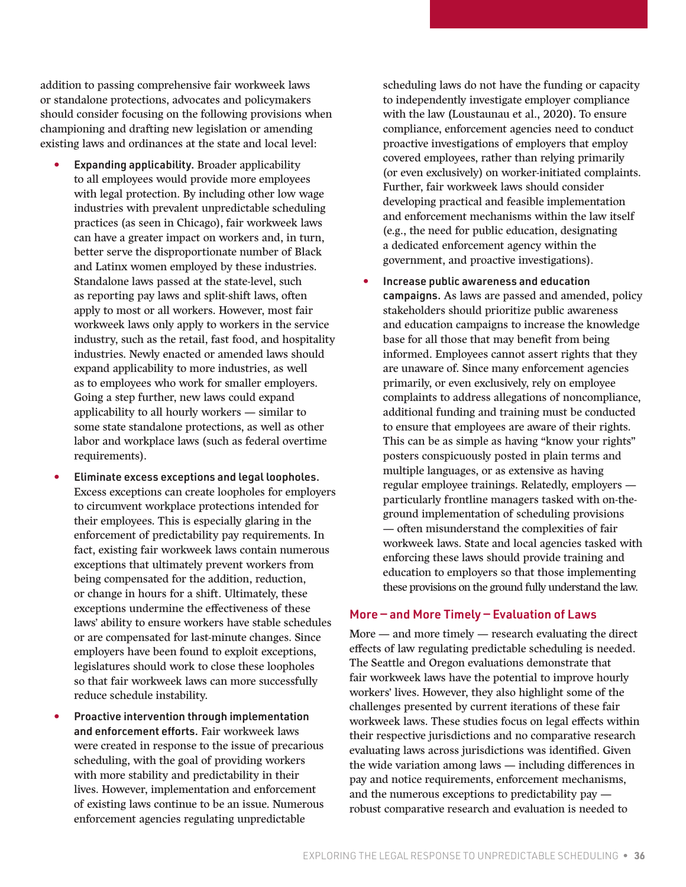addition to passing comprehensive fair workweek laws or standalone protections, advocates and policymakers should consider focusing on the following provisions when championing and drafting new legislation or amending existing laws and ordinances at the state and local level:

- Expanding applicability. Broader applicability to all employees would provide more employees with legal protection. By including other low wage industries with prevalent unpredictable scheduling practices (as seen in Chicago), fair workweek laws can have a greater impact on workers and, in turn, better serve the disproportionate number of Black and Latinx women employed by these industries. Standalone laws passed at the state-level, such as reporting pay laws and split-shift laws, often apply to most or all workers. However, most fair workweek laws only apply to workers in the service industry, such as the retail, fast food, and hospitality industries. Newly enacted or amended laws should expand applicability to more industries, as well as to employees who work for smaller employers. Going a step further, new laws could expand applicability to all hourly workers — similar to some state standalone protections, as well as other labor and workplace laws (such as federal overtime requirements).
- Eliminate excess exceptions and legal loopholes. Excess exceptions can create loopholes for employers to circumvent workplace protections intended for their employees. This is especially glaring in the enforcement of predictability pay requirements. In fact, existing fair workweek laws contain numerous exceptions that ultimately prevent workers from being compensated for the addition, reduction, or change in hours for a shift. Ultimately, these exceptions undermine the effectiveness of these laws' ability to ensure workers have stable schedules or are compensated for last-minute changes. Since employers have been found to exploit exceptions, legislatures should work to close these loopholes so that fair workweek laws can more successfully reduce schedule instability.
- Proactive intervention through implementation and enforcement efforts. Fair workweek laws were created in response to the issue of precarious scheduling, with the goal of providing workers with more stability and predictability in their lives. However, implementation and enforcement of existing laws continue to be an issue. Numerous enforcement agencies regulating unpredictable

scheduling laws do not have the funding or capacity to independently investigate employer compliance with the law (Loustaunau et al., 2020). To ensure compliance, enforcement agencies need to conduct proactive investigations of employers that employ covered employees, rather than relying primarily (or even exclusively) on worker-initiated complaints. Further, fair workweek laws should consider developing practical and feasible implementation and enforcement mechanisms within the law itself (e.g., the need for public education, designating a dedicated enforcement agency within the government, and proactive investigations).

• Increase public awareness and education campaigns. As laws are passed and amended, policy stakeholders should prioritize public awareness and education campaigns to increase the knowledge base for all those that may benefit from being informed. Employees cannot assert rights that they are unaware of. Since many enforcement agencies primarily, or even exclusively, rely on employee complaints to address allegations of noncompliance, additional funding and training must be conducted to ensure that employees are aware of their rights. This can be as simple as having "know your rights" posters conspicuously posted in plain terms and multiple languages, or as extensive as having regular employee trainings. Relatedly, employers particularly frontline managers tasked with on-theground implementation of scheduling provisions — often misunderstand the complexities of fair workweek laws. State and local agencies tasked with enforcing these laws should provide training and education to employers so that those implementing these provisions on the ground fully understand the law.

#### More — and More Timely — Evaluation of Laws

More — and more timely — research evaluating the direct effects of law regulating predictable scheduling is needed. The Seattle and Oregon evaluations demonstrate that fair workweek laws have the potential to improve hourly workers' lives. However, they also highlight some of the challenges presented by current iterations of these fair workweek laws. These studies focus on legal effects within their respective jurisdictions and no comparative research evaluating laws across jurisdictions was identified. Given the wide variation among laws — including differences in pay and notice requirements, enforcement mechanisms, and the numerous exceptions to predictability pay robust comparative research and evaluation is needed to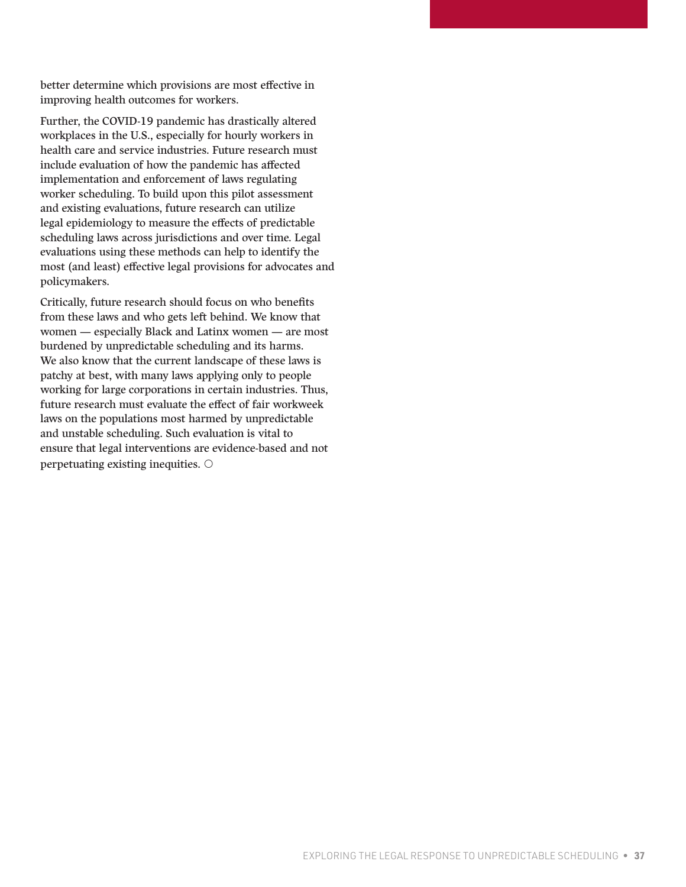better determine which provisions are most effective in improving health outcomes for workers.

Further, the COVID-19 pandemic has drastically altered workplaces in the U.S., especially for hourly workers in health care and service industries. Future research must include evaluation of how the pandemic has affected implementation and enforcement of laws regulating worker scheduling. To build upon this pilot assessment and existing evaluations, future research can utilize legal epidemiology to measure the effects of predictable scheduling laws across jurisdictions and over time. Legal evaluations using these methods can help to identify the most (and least) effective legal provisions for advocates and policymakers.

Critically, future research should focus on who benefits from these laws and who gets left behind. We know that women — especially Black and Latinx women — are most burdened by unpredictable scheduling and its harms. We also know that the current landscape of these laws is patchy at best, with many laws applying only to people working for large corporations in certain industries. Thus, future research must evaluate the effect of fair workweek laws on the populations most harmed by unpredictable and unstable scheduling. Such evaluation is vital to ensure that legal interventions are evidence-based and not perpetuating existing inequities.  $\circlearrowright$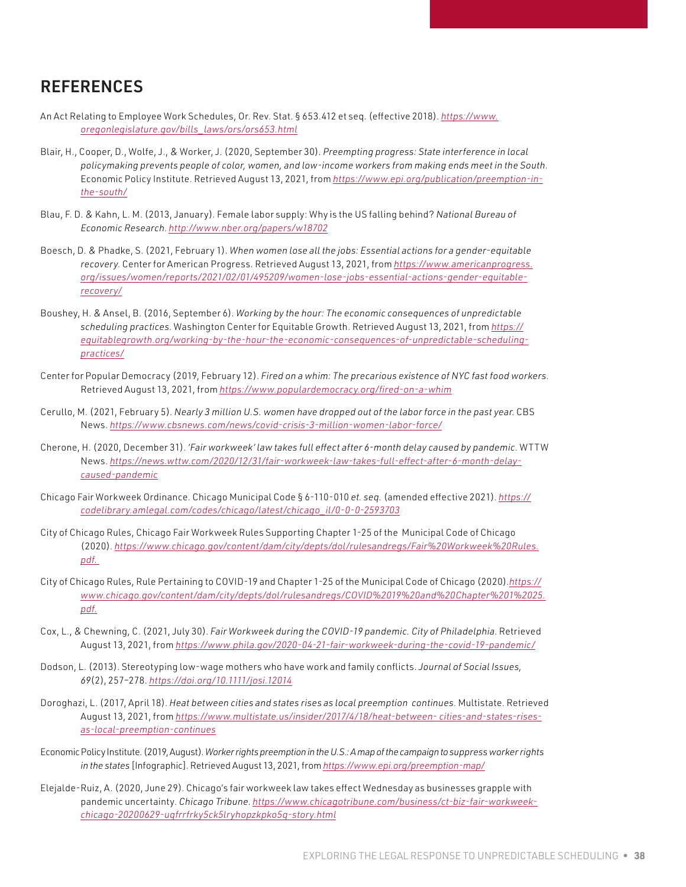### <span id="page-37-0"></span>**REFERENCES**

- An Act Relating to Employee Work Schedules, Or. Rev. Stat. § 653.412 et seq. (effective 2018). *[https://www.](https://www.oregonlegislature.gov/bills_laws/ors/ors653.html) [oregonlegislature.gov/bills\\_laws/ors/ors653.html](https://www.oregonlegislature.gov/bills_laws/ors/ors653.html)*
- Blair, H., Cooper, D., Wolfe, J., & Worker, J. (2020, September 30). *Preempting progress: State interference in local policymaking prevents people of color, women, and low-income workers from making ends meet in the South*. Economic Policy Institute. Retrieved August 13, 2021, from *[https://www.epi.org/publication/preemption-in](https://www.epi.org/publication/preemption-in-the-south/)[the-south/](https://www.epi.org/publication/preemption-in-the-south/)*
- Blau, F. D. & Kahn, L. M. (2013, January). Female labor supply: Why is the US falling behind? *National Bureau of Economic Research*. *<http://www.nber.org/papers/w18702>*
- Boesch, D. & Phadke, S. (2021, February 1). *When women lose all the jobs: Essential actions for a gender-equitable recovery*. Center for American Progress. Retrieved August 13, 2021, from *[https://www.americanprogress.](https://www.americanprogress.org/issues/women/reports/2021/02/01/495209/women-lose-jobs-essential-actions-gender-equitable-recovery/) [org/issues/women/reports/2021/02/01/495209/women-lose-jobs-essential-actions-gender-equitable](https://www.americanprogress.org/issues/women/reports/2021/02/01/495209/women-lose-jobs-essential-actions-gender-equitable-recovery/)[recovery/](https://www.americanprogress.org/issues/women/reports/2021/02/01/495209/women-lose-jobs-essential-actions-gender-equitable-recovery/)*
- Boushey, H. & Ansel, B. (2016, September 6). *Working by the hour: The economic consequences of unpredictable scheduling practices*. Washington Center for Equitable Growth. Retrieved August 13, 2021, from *[https://](https://equitablegrowth.org/working-by-the-hour-the-economic-consequences-of-unpredictable-scheduling-practices/) [equitablegrowth.org/working-by-the-hour-the-economic-consequences-of-unpredictable-scheduling](https://equitablegrowth.org/working-by-the-hour-the-economic-consequences-of-unpredictable-scheduling-practices/)[practices/](https://equitablegrowth.org/working-by-the-hour-the-economic-consequences-of-unpredictable-scheduling-practices/)*
- Center for Popular Democracy (2019, February 12). *Fired on a whim: The precarious existence of NYC fast food workers*. Retrieved August 13, 2021, from *<https://www.populardemocracy.org/fired-on-a-whim>*
- Cerullo, M. (2021, February 5). *Nearly 3 million U.S. women have dropped out of the labor force in the past year*. CBS News. *<https://www.cbsnews.com/news/covid-crisis-3-million-women-labor-force/>*
- Cherone, H. (2020, December 31). *'Fair workweek' law takes full effect after 6-month delay caused by pandemic*. WTTW News. *[https://news.wttw.com/2020/12/31/fair-workweek-law-takes-full-effect-after-6-month-delay](https://news.wttw.com/2020/12/31/fair-workweek-law-takes-full-effect-after-6-month-delay-caused-pandemic)[caused-pandemic](https://news.wttw.com/2020/12/31/fair-workweek-law-takes-full-effect-after-6-month-delay-caused-pandemic)*
- Chicago Fair Workweek Ordinance. Chicago Municipal Code § 6-110-010 *et. seq.* (amended effective 2021). *[https://](https://codelibrary.amlegal.com/codes/chicago/latest/chicago_il/0-0-0-2593703) [codelibrary.amlegal.com/codes/chicago/latest/chicago\\_il/0-0-0-2593703](https://codelibrary.amlegal.com/codes/chicago/latest/chicago_il/0-0-0-2593703)*
- City of Chicago Rules, Chicago Fair Workweek Rules Supporting Chapter 1-25 of the Municipal Code of Chicago (2020). *[https://www.chicago.gov/content/dam/city/depts/dol/rulesandregs/Fair%20Workweek%20Rules.](https://www.chicago.gov/content/dam/city/depts/dol/rulesandregs/Fair%20Workweek%20Rules.pdf) [pdf](https://www.chicago.gov/content/dam/city/depts/dol/rulesandregs/Fair%20Workweek%20Rules.pdf).*
- City of Chicago Rules, Rule Pertaining to COVID-19 and Chapter 1-25 of the Municipal Code of Chicago (2020).*[https://](https://www.chicago.gov/content/dam/city/depts/dol/rulesandregs/COVID%2019%20and%20Chapter%201%2025.pdf) [www.chicago.gov/content/dam/city/depts/dol/rulesandregs/COVID%2019%20and%20Chapter%201%2025.](https://www.chicago.gov/content/dam/city/depts/dol/rulesandregs/COVID%2019%20and%20Chapter%201%2025.pdf) [pdf](https://www.chicago.gov/content/dam/city/depts/dol/rulesandregs/COVID%2019%20and%20Chapter%201%2025.pdf).*
- Cox, L., & Chewning, C. (2021, July 30). *Fair Workweek during the COVID-19 pandemic. City of Philadelphia*. Retrieved August 13, 2021, from *<https://www.phila.gov/2020-04-21-fair-workweek-during-the-covid-19-pandemic/>*
- Dodson, L. (2013). Stereotyping low-wage mothers who have work and family conflicts. *Journal of Social Issues, 69*(2), 257–278. *<https://doi.org/10.1111/josi.12014>*
- Doroghazi, L. (2017, April 18). *Heat between cities and states rises as local preemption continues*. Multistate. Retrieved August 13, 2021, from *<https://www.multistate.us/insider/2017/4/18/heat-between-> cities-and-states-risesas-local-preemption-continues*
- Economic Policy Institute. (2019, August). *Worker rights preemption in the U.S.: A map of the campaign to suppress worker rights in the states* [Infographic]. Retrieved August 13, 2021, from *<https://www.epi.org/preemption-map/>*
- Elejalde-Ruiz, A. (2020, June 29). Chicago's fair workweek law takes effect Wednesday as businesses grapple with pandemic uncertainty. *Chicago Tribune*. *[https://www.chicagotribune.com/business/ct-biz-fair-workweek](https://www.chicagotribune.com/business/ct-biz-fair-workweek-chicago-20200629-uqfrrfrky5ck5lryhopzkpko5q-story.html)[chicago-20200629-uqfrrfrky5ck5lryhopzkpko5q-story.html](https://www.chicagotribune.com/business/ct-biz-fair-workweek-chicago-20200629-uqfrrfrky5ck5lryhopzkpko5q-story.html)*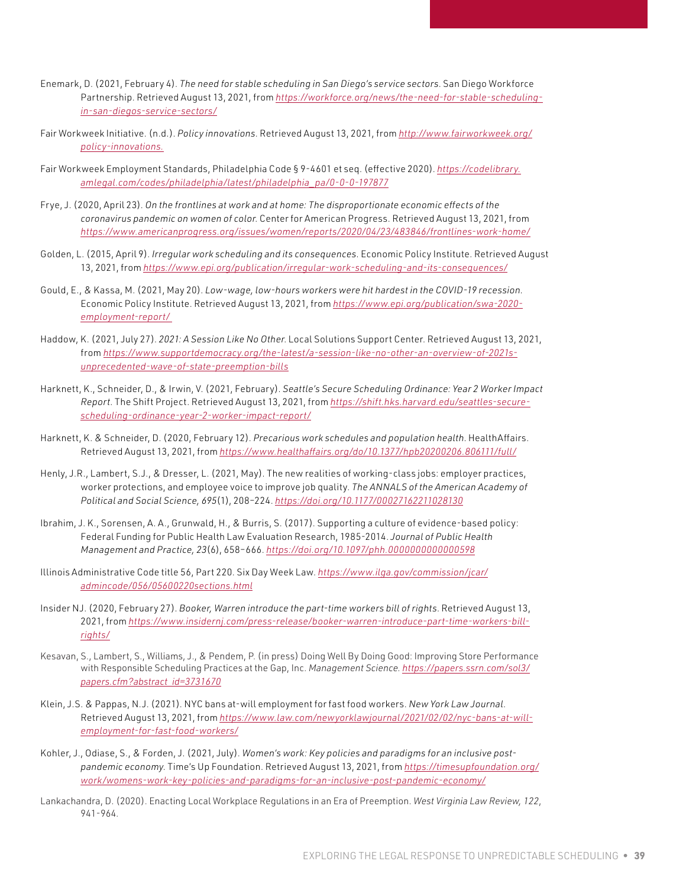- Enemark, D. (2021, February 4). *The need for stable scheduling in San Diego's service sectors*. San Diego Workforce Partnership. Retrieved August 13, 2021, from *[https://workforce.org/news/the-need-for-stable-scheduling](https://workforce.org/news/the-need-for-stable-scheduling-in-san-diegos-service-sectors/)[in-san-diegos-service-sectors/](https://workforce.org/news/the-need-for-stable-scheduling-in-san-diegos-service-sectors/)*
- Fair Workweek Initiative. (n.d.). *Policy innovations*. Retrieved August 13, 2021, from *[http://www.fairworkweek.org/](http://www.fairworkweek.org/policy-innovations) [policy-innovations.](http://www.fairworkweek.org/policy-innovations)*
- Fair Workweek Employment Standards, Philadelphia Code § 9-4601 et seq. (effective 2020). *[https://codelibrary.](https://codelibrary.amlegal.com/codes/philadelphia/latest/philadelphia_pa/0-0-0-197877) [amlegal.com/codes/philadelphia/latest/philadelphia\\_pa/0-0-0-197877](https://codelibrary.amlegal.com/codes/philadelphia/latest/philadelphia_pa/0-0-0-197877)*
- Frye, J. (2020, April 23). *On the frontlines at work and at home: The disproportionate economic effects of the coronavirus pandemic on women of color*. Center for American Progress. Retrieved August 13, 2021, from *<https://www.americanprogress.org/issues/women/reports/2020/04/23/483846/frontlines-work-home/>*
- Golden, L. (2015, April 9). *Irregular work scheduling and its consequences*. Economic Policy Institute. Retrieved August 13, 2021, from *<https://www.epi.org/publication/irregular-work-scheduling-and-its-consequences/>*
- Gould, E., & Kassa, M. (2021, May 20). *Low-wage, low-hours workers were hit hardest in the COVID-19 recession*. Economic Policy Institute. Retrieved August 13, 2021, from *[https://www.epi.org/publication/swa-2020](https://www.epi.org/publication/swa-2020-employment-report/) [employment-report/](https://www.epi.org/publication/swa-2020-employment-report/)*
- Haddow, K. (2021, July 27). *2021: A Session Like No Other*. Local Solutions Support Center. Retrieved August 13, 2021, from *[https://www.supportdemocracy.org/the-latest/a-session-like-no-other-an-overview-of-2021s](https://www.supportdemocracy.org/the-latest/a-session-like-no-other-an-overview-of-2021s-unprecedented-wave-of-state-preemption-bills)[unprecedented-wave-of-state-preemption-bills](https://www.supportdemocracy.org/the-latest/a-session-like-no-other-an-overview-of-2021s-unprecedented-wave-of-state-preemption-bills)*
- Harknett, K., Schneider, D., & Irwin, V. (2021, February). *Seattle's Secure Scheduling Ordinance: Year 2 Worker Impact Report*. The Shift Project. Retrieved August 13, 2021, from *[https://shift.hks.harvard.edu/seattles-secure](https://shift.hks.harvard.edu/seattles-secure-scheduling-ordinance-year-2-worker-impact-report/)[scheduling-ordinance-year-2-worker-impact-report/](https://shift.hks.harvard.edu/seattles-secure-scheduling-ordinance-year-2-worker-impact-report/)*
- Harknett, K. & Schneider, D. (2020, February 12). *Precarious work schedules and population health*. HealthAffairs. Retrieved August 13, 2021, from *<https://www.healthaffairs.org/do/10.1377/hpb20200206.806111/full/>*
- Henly, J.R., Lambert, S.J., & Dresser, L. (2021, May). The new realities of working-class jobs: employer practices, worker protections, and employee voice to improve job quality. *The ANNALS of the American Academy of Political and Social Science, 695*(1), 208–224. *<https://doi.org/10.1177/00027162211028130>*
- Ibrahim, J. K., Sorensen, A. A., Grunwald, H., & Burris, S. (2017). Supporting a culture of evidence-based policy: Federal Funding for Public Health Law Evaluation Research, 1985-2014. *Journal of Public Health Management and Practice, 23*(6), 658–666. *<https://doi.org/10.1097/phh.0000000000000598>*
- Illinois Administrative Code title 56, Part 220. Six Day Week Law. *[https://www.ilga.gov/commission/jcar/](https://www.ilga.gov/commission/jcar/admincode/056/05600220sections.html) [admincode/056/05600220sections.html](https://www.ilga.gov/commission/jcar/admincode/056/05600220sections.html)*
- Insider NJ. (2020, February 27). *Booker, Warren introduce the part-time workers bill of rights*. Retrieved August 13, 2021, from *[https://www.insidernj.com/press-release/booker-warren-introduce-part-time-workers-bill](https://www.insidernj.com/press-release/booker-warren-introduce-part-time-workers-bill-rights/)[rights/](https://www.insidernj.com/press-release/booker-warren-introduce-part-time-workers-bill-rights/)*
- Kesavan, S., Lambert, S., Williams, J., & Pendem, P. (in press) Doing Well By Doing Good: Improving Store Performance with Responsible Scheduling Practices at the Gap, Inc. *Management Science. https://papers.ssrn.com/sol3/ papers.cfm?abstract\_id=3731670*
- Klein, J.S. & Pappas, N.J. (2021). NYC bans at-will employment for fast food workers. *New York Law Journal*. Retrieved August 13, 2021, from *[https://www.law.com/newyorklawjournal/2021/02/02/nyc-bans-at-will](https://www.law.com/newyorklawjournal/2021/02/02/nyc-bans-at-will-employment-for-fast-food-workers/)[employment-for-fast-food-workers/](https://www.law.com/newyorklawjournal/2021/02/02/nyc-bans-at-will-employment-for-fast-food-workers/)*
- Kohler, J., Odiase, S., & Forden, J. (2021, July). *Women's work: Key policies and paradigms for an inclusive postpandemic economy*. Time's Up Foundation. Retrieved August 13, 2021, from *[https://timesupfoundation.org/](https://timesupfoundation.org/work/womens-work-key-policies-and-paradigms-for-an-inclusive-post-pandemic-economy/) [work/womens-work-key-policies-and-paradigms-for-an-inclusive-post-pandemic-economy/](https://timesupfoundation.org/work/womens-work-key-policies-and-paradigms-for-an-inclusive-post-pandemic-economy/)*
- Lankachandra, D. (2020). Enacting Local Workplace Regulations in an Era of Preemption. *West Virginia Law Review, 122*, 941-964.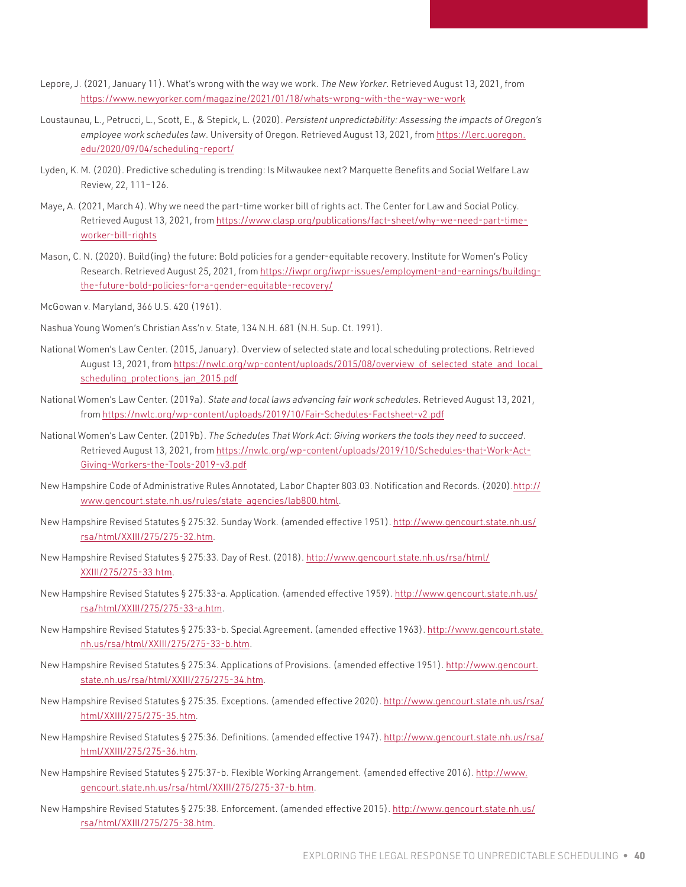- Lepore, J. (2021, January 11). What's wrong with the way we work. *The New Yorker*. Retrieved August 13, 2021, from <https://www.newyorker.com/magazine/2021/01/18/whats-wrong-with-the-way-we-work>
- Loustaunau, L., Petrucci, L., Scott, E., & Stepick, L. (2020). *Persistent unpredictability: Assessing the impacts of Oregon's employee work schedules law*. University of Oregon. Retrieved August 13, 2021, from [https://lerc.uoregon.](https://lerc.uoregon.edu/2020/09/04/scheduling-report/) [edu/2020/09/04/scheduling-report/](https://lerc.uoregon.edu/2020/09/04/scheduling-report/)
- Lyden, K. M. (2020). Predictive scheduling is trending: Is Milwaukee next? Marquette Benefits and Social Welfare Law Review, 22, 111–126.
- Maye, A. (2021, March 4). Why we need the part-time worker bill of rights act. The Center for Law and Social Policy. Retrieved August 13, 2021, from [https://www.clasp.org/publications/fact-sheet/why-we-need-part-time](https://www.clasp.org/publications/fact-sheet/why-we-need-part-time-worker-bill-rights)[worker-bill-rights](https://www.clasp.org/publications/fact-sheet/why-we-need-part-time-worker-bill-rights)
- Mason, C. N. (2020). Build(ing) the future: Bold policies for a gender-equitable recovery. Institute for Women's Policy Research. Retrieved August 25, 2021, from [https://iwpr.org/iwpr-issues/employment-and-earnings/building](https://iwpr.org/iwpr-issues/employment-and-earnings/building-the-future-bold-policies-for-a-gender-equitable-recovery/)[the-future-bold-policies-for-a-gender-equitable-recovery/](https://iwpr.org/iwpr-issues/employment-and-earnings/building-the-future-bold-policies-for-a-gender-equitable-recovery/)
- McGowan v. Maryland, 366 U.S. 420 (1961).
- Nashua Young Women's Christian Ass'n v. State, 134 N.H. 681 (N.H. Sup. Ct. 1991).
- National Women's Law Center. (2015, January). Overview of selected state and local scheduling protections. Retrieved August 13, 2021, from [https://nwlc.org/wp-content/uploads/2015/08/overview\\_of\\_selected\\_state\\_and\\_local\\_](https://nwlc.org/wp-content/uploads/2015/08/overview_of_selected_state_and_local_scheduling_protections_jan_2015.pdf) [scheduling\\_protections\\_jan\\_2015.pdf](https://nwlc.org/wp-content/uploads/2015/08/overview_of_selected_state_and_local_scheduling_protections_jan_2015.pdf)
- National Women's Law Center. (2019a). *State and local laws advancing fair work schedules*. Retrieved August 13, 2021, from <https://nwlc.org/wp-content/uploads/2019/10/Fair-Schedules-Factsheet-v2.pdf>
- National Women's Law Center. (2019b). *The Schedules That Work Act: Giving workers the tools they need to succeed*. Retrieved August 13, 2021, from [https://nwlc.org/wp-content/uploads/2019/10/Schedules-that-Work-Act-](https://nwlc.org/wp-content/uploads/2019/10/Schedules-that-Work-Act-Giving-Workers-the-Tools-2019-v3.pdf)[Giving-Workers-the-Tools-2019-v3.pdf](https://nwlc.org/wp-content/uploads/2019/10/Schedules-that-Work-Act-Giving-Workers-the-Tools-2019-v3.pdf)
- New Hampshire Code of Administrative Rules Annotated, Labor Chapter 803.03. Notification and Records. (2020)[.http://](http://www.gencourt.state.nh.us/rules/state_agencies/lab800.html) [www.gencourt.state.nh.us/rules/state\\_agencies/lab800.html](http://www.gencourt.state.nh.us/rules/state_agencies/lab800.html).
- New Hampshire Revised Statutes § 275:32. Sunday Work. (amended effective 1951). [http://www.gencourt.state.nh.us/](http://www.gencourt.state.nh.us/rsa/html/XXIII/275/275-32.htm) [rsa/html/XXIII/275/275-32.htm](http://www.gencourt.state.nh.us/rsa/html/XXIII/275/275-32.htm).
- New Hampshire Revised Statutes § 275:33. Day of Rest. (2018). [http://www.gencourt.state.nh.us/rsa/html/](http://www.gencourt.state.nh.us/rsa/html/XXIII/275/275-33.htm) [XXIII/275/275-33.htm.](http://www.gencourt.state.nh.us/rsa/html/XXIII/275/275-33.htm)
- New Hampshire Revised Statutes § 275:33-a. Application. (amended effective 1959). [http://www.gencourt.state.nh.us/](http://www.gencourt.state.nh.us/rsa/html/XXIII/275/275-33-a.htm) [rsa/html/XXIII/275/275-33-a.htm](http://www.gencourt.state.nh.us/rsa/html/XXIII/275/275-33-a.htm).
- New Hampshire Revised Statutes § 275:33-b. Special Agreement. (amended effective 1963). [http://www.gencourt.state.](http://www.gencourt.state.nh.us/rsa/html/XXIII/275/275-33-b.htm) [nh.us/rsa/html/XXIII/275/275-33-b.htm.](http://www.gencourt.state.nh.us/rsa/html/XXIII/275/275-33-b.htm)
- New Hampshire Revised Statutes § 275:34. Applications of Provisions. (amended effective 1951). [http://www.gencourt.](http://www.gencourt.state.nh.us/rsa/html/XXIII/275/275-34.htm) [state.nh.us/rsa/html/XXIII/275/275-34.htm](http://www.gencourt.state.nh.us/rsa/html/XXIII/275/275-34.htm).
- New Hampshire Revised Statutes § 275:35. Exceptions. (amended effective 2020). [http://www.gencourt.state.nh.us/rsa/](http://www.gencourt.state.nh.us/rsa/html/XXIII/275/275-35.htm) [html/XXIII/275/275-35.htm.](http://www.gencourt.state.nh.us/rsa/html/XXIII/275/275-35.htm)
- New Hampshire Revised Statutes § 275:36. Definitions. (amended effective 1947). [http://www.gencourt.state.nh.us/rsa/](http://www.gencourt.state.nh.us/rsa/html/XXIII/275/275-36.htm) [html/XXIII/275/275-36.htm.](http://www.gencourt.state.nh.us/rsa/html/XXIII/275/275-36.htm)
- New Hampshire Revised Statutes § 275:37-b. Flexible Working Arrangement. (amended effective 2016). [http://www.](http://www.gencourt.state.nh.us/rsa/html/XXIII/275/275-37-b.htm) [gencourt.state.nh.us/rsa/html/XXIII/275/275-37-b.htm](http://www.gencourt.state.nh.us/rsa/html/XXIII/275/275-37-b.htm).
- New Hampshire Revised Statutes § 275:38. Enforcement. (amended effective 2015). [http://www.gencourt.state.nh.us/](http://www.gencourt.state.nh.us/rsa/html/XXIII/275/275-38.htm) [rsa/html/XXIII/275/275-38.htm](http://www.gencourt.state.nh.us/rsa/html/XXIII/275/275-38.htm).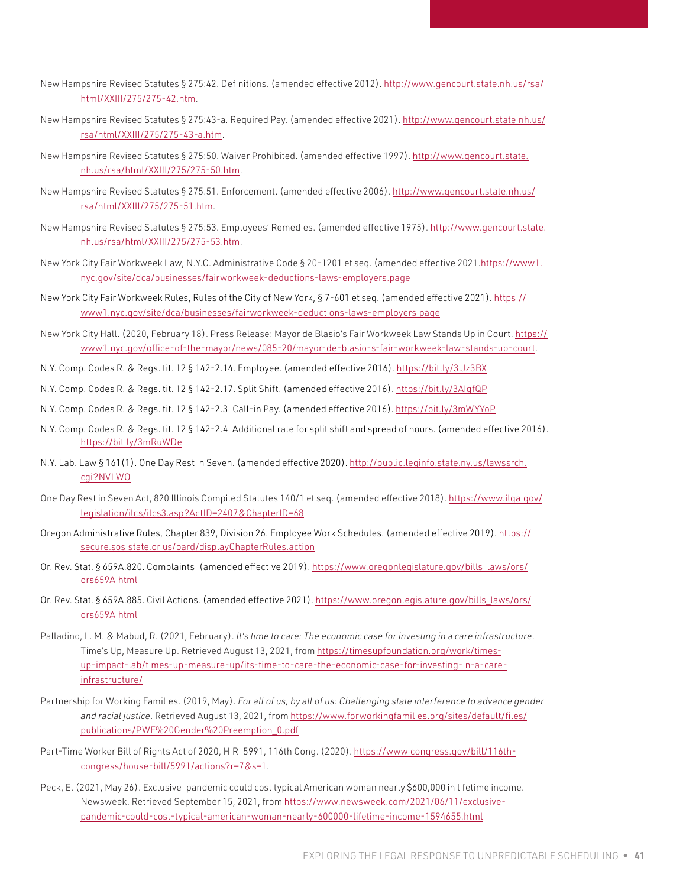- New Hampshire Revised Statutes § 275:42. Definitions. (amended effective 2012). [http://www.gencourt.state.nh.us/rsa/](http://www.gencourt.state.nh.us/rsa/html/XXIII/275/275-42.htm) [html/XXIII/275/275-42.htm.](http://www.gencourt.state.nh.us/rsa/html/XXIII/275/275-42.htm)
- New Hampshire Revised Statutes § 275:43-a. Required Pay. (amended effective 2021). [http://www.gencourt.state.nh.us/](http://www.gencourt.state.nh.us/rsa/html/XXIII/275/275-43-a.htm) [rsa/html/XXIII/275/275-43-a.htm](http://www.gencourt.state.nh.us/rsa/html/XXIII/275/275-43-a.htm).
- New Hampshire Revised Statutes § 275:50. Waiver Prohibited. (amended effective 1997). [http://www.gencourt.state.](http://www.gencourt.state.nh.us/rsa/html/XXIII/275/275-50.htm) [nh.us/rsa/html/XXIII/275/275-50.htm](http://www.gencourt.state.nh.us/rsa/html/XXIII/275/275-50.htm).
- New Hampshire Revised Statutes § 275.51. Enforcement. (amended effective 2006). [http://www.gencourt.state.nh.us/](http://www.gencourt.state.nh.us/rsa/html/XXIII/275/275-51.htm) [rsa/html/XXIII/275/275-51.htm](http://www.gencourt.state.nh.us/rsa/html/XXIII/275/275-51.htm).
- New Hampshire Revised Statutes § 275:53. Employees' Remedies. (amended effective 1975). [http://www.gencourt.state.](http://www.gencourt.state.nh.us/rsa/html/XXIII/275/275-53.htm) [nh.us/rsa/html/XXIII/275/275-53.htm](http://www.gencourt.state.nh.us/rsa/html/XXIII/275/275-53.htm).
- New York City Fair Workweek Law, N.Y.C. Administrative Code § 20-1201 et seq. (amended effective 2021[.https://www1.](https://www1.nyc.gov/site/dca/businesses/fairworkweek-deductions-laws-employers.page) [nyc.gov/site/dca/businesses/fairworkweek-deductions-laws-employers.page](https://www1.nyc.gov/site/dca/businesses/fairworkweek-deductions-laws-employers.page)
- New York City Fair Workweek Rules, Rules of the City of New York, § 7-601 et seq. (amended effective 2021). [https://](https://www1.nyc.gov/site/dca/businesses/fairworkweek-deductions-laws-employers.page) [www1.nyc.gov/site/dca/businesses/fairworkweek-deductions-laws-employers.page](https://www1.nyc.gov/site/dca/businesses/fairworkweek-deductions-laws-employers.page)
- New York City Hall. (2020, February 18). Press Release: Mayor de Blasio's Fair Workweek Law Stands Up in Court. [https://](https://www1.nyc.gov/office-of-the-mayor/news/085-20/mayor-de-blasio-s-fair-workweek-law-stands-up-court) [www1.nyc.gov/office-of-the-mayor/news/085-20/mayor-de-blasio-s-fair-workweek-law-stands-up-court.](https://www1.nyc.gov/office-of-the-mayor/news/085-20/mayor-de-blasio-s-fair-workweek-law-stands-up-court)
- N.Y. Comp. Codes R. & Regs. tit. 12 § 142-2.14. Employee. (amended effective 2016).<https://bit.ly/3lJz3BX>
- N.Y. Comp. Codes R. & Regs. tit. 12 § 142-2.17. Split Shift. (amended effective 2016). <https://bit.ly/3AIqfQP>
- N.Y. Comp. Codes R. & Regs. tit. 12 § 142-2.3. Call-in Pay. (amended effective 2016).<https://bit.ly/3mWYYoP>
- N.Y. Comp. Codes R. & Regs. tit. 12 § 142-2.4. Additional rate for split shift and spread of hours. (amended effective 2016). <https://bit.ly/3mRuWDe>
- N.Y. Lab. Law § 161(1). One Day Rest in Seven. (amended effective 2020). [http://public.leginfo.state.ny.us/lawssrch.](http://public.leginfo.state.ny.us/lawssrch.cgi?NVLWO) [cgi?NVLWO:](http://public.leginfo.state.ny.us/lawssrch.cgi?NVLWO)
- One Day Rest in Seven Act, 820 Illinois Compiled Statutes 140/1 et seq. (amended effective 2018). [https://www.ilga.gov/](https://www.ilga.gov/legislation/ilcs/ilcs3.asp?ActID=2407&ChapterID=68) [legislation/ilcs/ilcs3.asp?ActID=2407&ChapterID=68](https://www.ilga.gov/legislation/ilcs/ilcs3.asp?ActID=2407&ChapterID=68)
- Oregon Administrative Rules, Chapter 839, Division 26. Employee Work Schedules. (amended effective 2019). [https://](https://secure.sos.state.or.us/oard/displayChapterRules.action) [secure.sos.state.or.us/oard/displayChapterRules.action](https://secure.sos.state.or.us/oard/displayChapterRules.action)
- Or. Rev. Stat. § 659A.820. Complaints. (amended effective 2019). [https://www.oregonlegislature.gov/bills\\_laws/ors/](https://www.oregonlegislature.gov/bills_laws/ors/ors659A.html) [ors659A.html](https://www.oregonlegislature.gov/bills_laws/ors/ors659A.html)
- Or. Rev. Stat. § 659A.885. Civil Actions. (amended effective 2021). [https://www.oregonlegislature.gov/bills\\_laws/ors/](https://www.oregonlegislature.gov/bills_laws/ors/ors659A.html) [ors659A.html](https://www.oregonlegislature.gov/bills_laws/ors/ors659A.html)
- Palladino, L. M. & Mabud, R. (2021, February). *It's time to care: The economic case for investing in a care infrastructure*. Time's Up, Measure Up. Retrieved August 13, 2021, from [https://timesupfoundation.org/work/times](https://timesupfoundation.org/work/times-up-impact-lab/times-up-measure-up/its-time-to-care-the-economic-case-for-investing-in-a-care-infrastructure/)[up-impact-lab/times-up-measure-up/its-time-to-care-the-economic-case-for-investing-in-a-care](https://timesupfoundation.org/work/times-up-impact-lab/times-up-measure-up/its-time-to-care-the-economic-case-for-investing-in-a-care-infrastructure/)[infrastructure/](https://timesupfoundation.org/work/times-up-impact-lab/times-up-measure-up/its-time-to-care-the-economic-case-for-investing-in-a-care-infrastructure/)
- Partnership for Working Families. (2019, May). *For all of us, by all of us: Challenging state interference to advance gender and racial justice*. Retrieved August 13, 2021, from [https://www.forworkingfamilies.org/sites/default/files/](https://www.forworkingfamilies.org/sites/default/files/publications/PWF%20Gender%20Preemption_0.pdf) [publications/PWF%20Gender%20Preemption\\_0.pdf](https://www.forworkingfamilies.org/sites/default/files/publications/PWF%20Gender%20Preemption_0.pdf)
- Part-Time Worker Bill of Rights Act of 2020, H.R. 5991, 116th Cong. (2020). [https://www.congress.gov/bill/116th](https://www.congress.gov/bill/116th-congress/house-bill/5991/actions?r=7&s=1)[congress/house-bill/5991/actions?r=7&s=1](https://www.congress.gov/bill/116th-congress/house-bill/5991/actions?r=7&s=1).
- Peck, E. (2021, May 26). Exclusive: pandemic could cost typical American woman nearly \$600,000 in lifetime income. Newsweek. Retrieved September 15, 2021, from [https://www.newsweek.com/2021/06/11/exclusive](https://www.newsweek.com/2021/06/11/exclusive-pandemic-could-cost-typical-american-woman-nearly-600000-lifetime-income-1594655.html)[pandemic-could-cost-typical-american-woman-nearly-600000-lifetime-income-1594655.html](https://www.newsweek.com/2021/06/11/exclusive-pandemic-could-cost-typical-american-woman-nearly-600000-lifetime-income-1594655.html)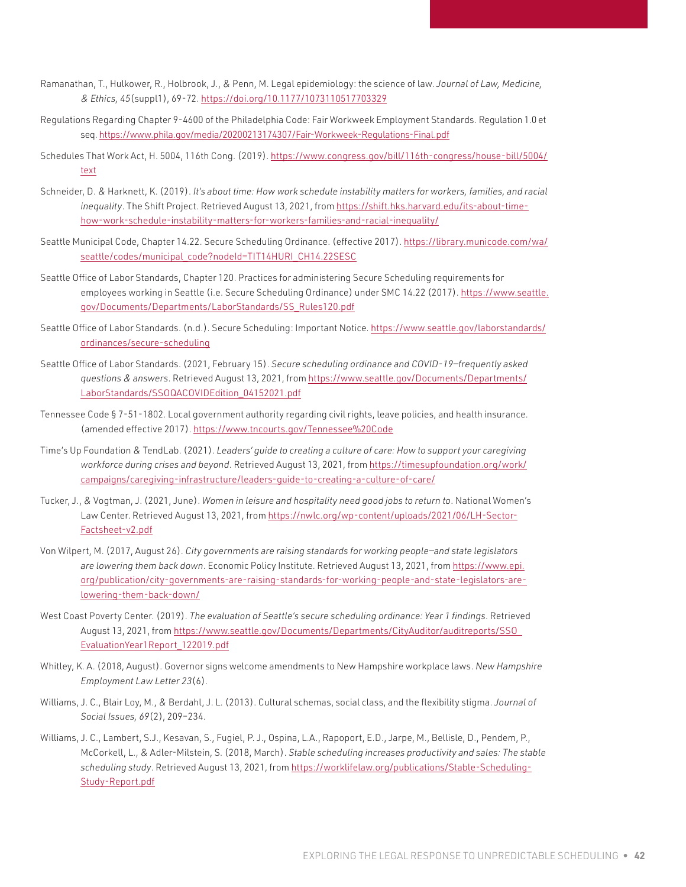- Ramanathan, T., Hulkower, R., Holbrook, J., & Penn, M. Legal epidemiology: the science of law. *Journal of Law, Medicine, & Ethics, 45*(suppl1), 69-72. <https://doi.org/10.1177/1073110517703329>
- Regulations Regarding Chapter 9-4600 of the Philadelphia Code: Fair Workweek Employment Standards. Regulation 1.0 et seq. <https://www.phila.gov/media/20200213174307/Fair-Workweek-Regulations-Final.pdf>
- Schedules That Work Act, H. 5004, 116th Cong. (2019). [https://www.congress.gov/bill/116th-congress/house-bill/5004/](https://www.congress.gov/bill/116th-congress/house-bill/5004/text) [text](https://www.congress.gov/bill/116th-congress/house-bill/5004/text)
- Schneider, D. & Harknett, K. (2019). *It's about time: How work schedule instability matters for workers, families, and racial inequality*. The Shift Project. Retrieved August 13, 2021, from [https://shift.hks.harvard.edu/its-about-time](https://shift.hks.harvard.edu/its-about-time-how-work-schedule-instability-matters-for-workers-families-and-racial-inequality/)[how-work-schedule-instability-matters-for-workers-families-and-racial-inequality/](https://shift.hks.harvard.edu/its-about-time-how-work-schedule-instability-matters-for-workers-families-and-racial-inequality/)
- Seattle Municipal Code, Chapter 14.22. Secure Scheduling Ordinance. (effective 2017). [https://library.municode.com/wa/](https://library.municode.com/wa/seattle/codes/municipal_code?nodeId=TIT14HURI_CH14.22SESC) [seattle/codes/municipal\\_code?nodeId=TIT14HURI\\_CH14.22SESC](https://library.municode.com/wa/seattle/codes/municipal_code?nodeId=TIT14HURI_CH14.22SESC)
- Seattle Office of Labor Standards, Chapter 120. Practices for administering Secure Scheduling requirements for employees working in Seattle (i.e. Secure Scheduling Ordinance) under SMC 14.22 (2017). [https://www.seattle.](https://www.seattle.gov/Documents/Departments/LaborStandards/SS_Rules120.pdf) [gov/Documents/Departments/LaborStandards/SS\\_Rules120.pdf](https://www.seattle.gov/Documents/Departments/LaborStandards/SS_Rules120.pdf)
- Seattle Office of Labor Standards. (n.d.). Secure Scheduling: Important Notice. [https://www.seattle.gov/laborstandards/](https://www.seattle.gov/laborstandards/ordinances/secure-scheduling) [ordinances/secure-scheduling](https://www.seattle.gov/laborstandards/ordinances/secure-scheduling)
- Seattle Office of Labor Standards. (2021, February 15). *Secure scheduling ordinance and COVID-19—frequently asked questions & answers*. Retrieved August 13, 2021, from [https://www.seattle.gov/Documents/Departments/](https://www.seattle.gov/Documents/Departments/LaborStandards/SSOQACOVIDEdition_04152021.pdf) [LaborStandards/SSOQACOVIDEdition\\_04152021.pdf](https://www.seattle.gov/Documents/Departments/LaborStandards/SSOQACOVIDEdition_04152021.pdf)
- Tennessee Code § 7-51-1802. Local government authority regarding civil rights, leave policies, and health insurance. (amended effective 2017). <https://www.tncourts.gov/Tennessee%20Code>
- Time's Up Foundation & TendLab. (2021). *Leaders' guide to creating a culture of care: How to support your caregiving workforce during crises and beyond*. Retrieved August 13, 2021, from [https://timesupfoundation.org/work/](https://timesupfoundation.org/work/campaigns/caregiving-infrastructure/leaders-guide-to-creating-a-culture-of-care/) [campaigns/caregiving-infrastructure/leaders-guide-to-creating-a-culture-of-care/](https://timesupfoundation.org/work/campaigns/caregiving-infrastructure/leaders-guide-to-creating-a-culture-of-care/)
- Tucker, J., & Vogtman, J. (2021, June). *Women in leisure and hospitality need good jobs to return to*. National Women's Law Center. Retrieved August 13, 2021, from [https://nwlc.org/wp-content/uploads/2021/06/LH-Sector-](https://nwlc.org/wp-content/uploads/2021/06/LH-Sector-Factsheet-v2.pdf)[Factsheet-v2.pdf](https://nwlc.org/wp-content/uploads/2021/06/LH-Sector-Factsheet-v2.pdf)
- Von Wilpert, M. (2017, August 26). *City governments are raising standards for working people—and state legislators are lowering them back down*. Economic Policy Institute. Retrieved August 13, 2021, from [https://www.epi.](https://www.epi.org/publication/city-governments-are-raising-standards-for-working-people-and-state-legislators-are-lowering-them-back-down/) [org/publication/city-governments-are-raising-standards-for-working-people-and-state-legislators-are](https://www.epi.org/publication/city-governments-are-raising-standards-for-working-people-and-state-legislators-are-lowering-them-back-down/)[lowering-them-back-down/](https://www.epi.org/publication/city-governments-are-raising-standards-for-working-people-and-state-legislators-are-lowering-them-back-down/)
- West Coast Poverty Center. (2019). *The evaluation of Seattle's secure scheduling ordinance: Year 1 findings*. Retrieved August 13, 2021, from [https://www.seattle.gov/Documents/Departments/CityAuditor/auditreports/SSO\\_](https://www.seattle.gov/Documents/Departments/CityAuditor/auditreports/SSO_EvaluationYear1Report_122019.pdf) [EvaluationYear1Report\\_122019.pdf](https://www.seattle.gov/Documents/Departments/CityAuditor/auditreports/SSO_EvaluationYear1Report_122019.pdf)
- Whitley, K. A. (2018, August). Governor signs welcome amendments to New Hampshire workplace laws. *New Hampshire Employment Law Letter 23*(6).
- Williams, J. C., Blair Loy, M., & Berdahl, J. L. (2013). Cultural schemas, social class, and the flexibility stigma. *Journal of Social Issues, 69*(2), 209–234.
- Williams, J. C., Lambert, S.J., Kesavan, S., Fugiel, P. J., Ospina, L.A., Rapoport, E.D., Jarpe, M., Bellisle, D., Pendem, P., McCorkell, L., & Adler-Milstein, S. (2018, March). *Stable scheduling increases productivity and sales: The stable scheduling study*. Retrieved August 13, 2021, from [https://worklifelaw.org/publications/Stable-Scheduling-](https://worklifelaw.org/publications/Stable-Scheduling-Study-Report.pdf)[Study-Report.pdf](https://worklifelaw.org/publications/Stable-Scheduling-Study-Report.pdf)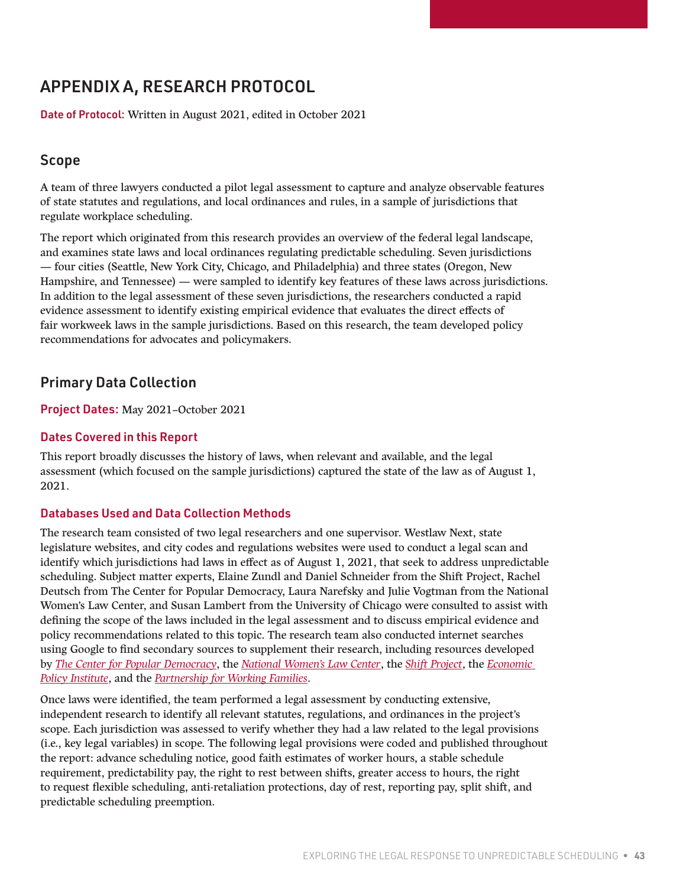### <span id="page-42-0"></span>APPENDIX A, RESEARCH PROTOCOL

Date of Protocol: Written in August 2021, edited in October 2021

#### Scope

A team of three lawyers conducted a pilot legal assessment to capture and analyze observable features of state statutes and regulations, and local ordinances and rules, in a sample of jurisdictions that regulate workplace scheduling.

The report which originated from this research provides an overview of the federal legal landscape, and examines state laws and local ordinances regulating predictable scheduling. Seven jurisdictions — four cities (Seattle, New York City, Chicago, and Philadelphia) and three states (Oregon, New Hampshire, and Tennessee) — were sampled to identify key features of these laws across jurisdictions. In addition to the legal assessment of these seven jurisdictions, the researchers conducted a rapid evidence assessment to identify existing empirical evidence that evaluates the direct effects of fair workweek laws in the sample jurisdictions. Based on this research, the team developed policy recommendations for advocates and policymakers.

### Primary Data Collection

Project Dates: May 2021–October 2021

#### Dates Covered in this Report

This report broadly discusses the history of laws, when relevant and available, and the legal assessment (which focused on the sample jurisdictions) captured the state of the law as of August 1, 2021.

#### Databases Used and Data Collection Methods

The research team consisted of two legal researchers and one supervisor. Westlaw Next, state legislature websites, and city codes and regulations websites were used to conduct a legal scan and identify which jurisdictions had laws in effect as of August 1, 2021, that seek to address unpredictable scheduling. Subject matter experts, Elaine Zundl and Daniel Schneider from the Shift Project, Rachel Deutsch from The Center for Popular Democracy, Laura Narefsky and Julie Vogtman from the National Women's Law Center, and Susan Lambert from the University of Chicago were consulted to assist with defining the scope of the laws included in the legal assessment and to discuss empirical evidence and policy recommendations related to this topic. The research team also conducted internet searches using Google to find secondary sources to supplement their research, including resources developed by *[The Center for Popular Democracy](https://www.populardemocracy.org/news/publications)*, the *[National Women's Law Center](https://nwlc.org/?paged=1&s=&issue%5B%5D=all&sort-results=DESC&year=&state=&author-name=&author-id=)*, the *[Shift Project](https://shift.hks.harvard.edu/publications/)*, the *[Economic](https://www.epi.org/publications/)  [Policy Institute](https://www.epi.org/publications/)*, and the *[Partnership for Working Families](https://www.forworkingfamilies.org/resources/publications)*.

Once laws were identified, the team performed a legal assessment by conducting extensive, independent research to identify all relevant statutes, regulations, and ordinances in the project's scope. Each jurisdiction was assessed to verify whether they had a law related to the legal provisions (i.e., key legal variables) in scope. The following legal provisions were coded and published throughout the report: advance scheduling notice, good faith estimates of worker hours, a stable schedule requirement, predictability pay, the right to rest between shifts, greater access to hours, the right to request flexible scheduling, anti-retaliation protections, day of rest, reporting pay, split shift, and predictable scheduling preemption.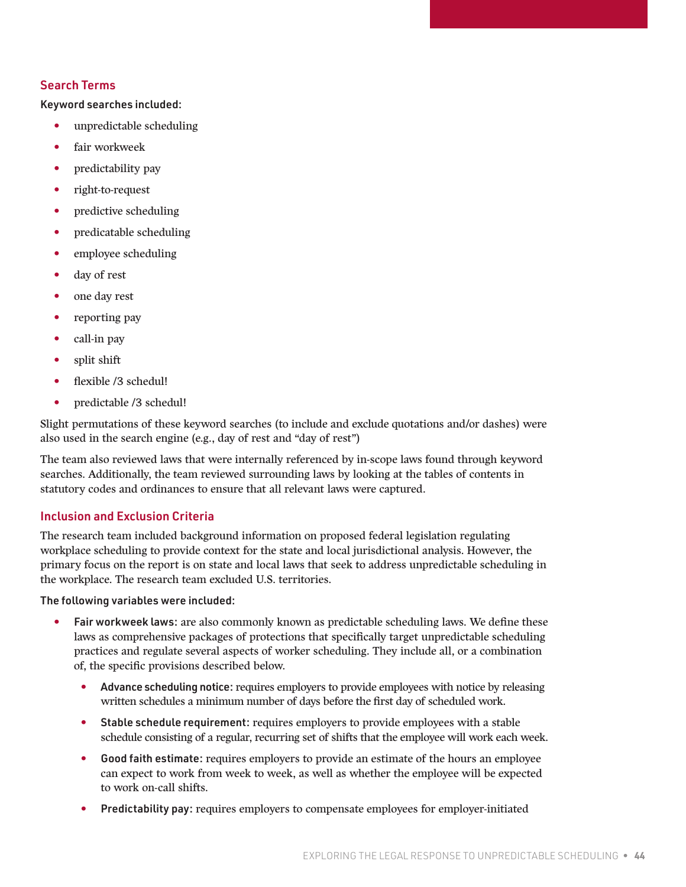#### Search Terms

Keyword searches included:

- unpredictable scheduling
- fair workweek
- predictability pay
- right-to-request
- predictive scheduling
- predicatable scheduling
- employee scheduling
- day of rest
- one day rest
- reporting pay
- call-in pay
- split shift
- flexible /3 schedul!
- predictable /3 schedul!

Slight permutations of these keyword searches (to include and exclude quotations and/or dashes) were also used in the search engine (e.g., day of rest and "day of rest")

The team also reviewed laws that were internally referenced by in-scope laws found through keyword searches. Additionally, the team reviewed surrounding laws by looking at the tables of contents in statutory codes and ordinances to ensure that all relevant laws were captured.

#### Inclusion and Exclusion Criteria

The research team included background information on proposed federal legislation regulating workplace scheduling to provide context for the state and local jurisdictional analysis. However, the primary focus on the report is on state and local laws that seek to address unpredictable scheduling in the workplace. The research team excluded U.S. territories.

The following variables were included:

- Fair workweek laws: are also commonly known as predictable scheduling laws. We define these laws as comprehensive packages of protections that specifically target unpredictable scheduling practices and regulate several aspects of worker scheduling. They include all, or a combination of, the specific provisions described below.
	- Advance scheduling notice: requires employers to provide employees with notice by releasing written schedules a minimum number of days before the first day of scheduled work.
	- Stable schedule requirement: requires employers to provide employees with a stable schedule consisting of a regular, recurring set of shifts that the employee will work each week.
	- Good faith estimate: requires employers to provide an estimate of the hours an employee can expect to work from week to week, as well as whether the employee will be expected to work on-call shifts.
	- Predictability pay: requires employers to compensate employees for employer-initiated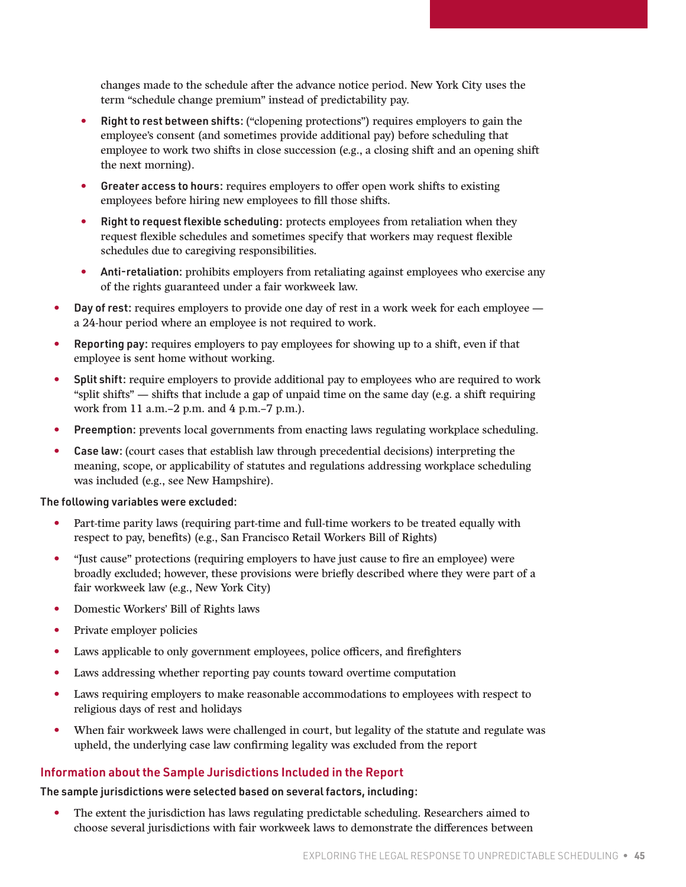changes made to the schedule after the advance notice period. New York City uses the term "schedule change premium" instead of predictability pay.

- Right to rest between shifts: ("clopening protections") requires employers to gain the employee's consent (and sometimes provide additional pay) before scheduling that employee to work two shifts in close succession (e.g., a closing shift and an opening shift the next morning).
- Greater access to hours: requires employers to offer open work shifts to existing employees before hiring new employees to fill those shifts.
- Right to request flexible scheduling: protects employees from retaliation when they request flexible schedules and sometimes specify that workers may request flexible schedules due to caregiving responsibilities.
- Anti-retaliation: prohibits employers from retaliating against employees who exercise any of the rights guaranteed under a fair workweek law.
- Day of rest: requires employers to provide one day of rest in a work week for each employee a 24-hour period where an employee is not required to work.
- Reporting pay: requires employers to pay employees for showing up to a shift, even if that employee is sent home without working.
- Split shift: require employers to provide additional pay to employees who are required to work "split shifts" — shifts that include a gap of unpaid time on the same day (e.g. a shift requiring work from 11 a.m.–2 p.m. and 4 p.m.–7 p.m.).
- Preemption: prevents local governments from enacting laws regulating workplace scheduling.
- Case law: (court cases that establish law through precedential decisions) interpreting the meaning, scope, or applicability of statutes and regulations addressing workplace scheduling was included (e.g., see New Hampshire).

The following variables were excluded:

- Part-time parity laws (requiring part-time and full-time workers to be treated equally with respect to pay, benefits) (e.g., San Francisco Retail Workers Bill of Rights)
- "Just cause" protections (requiring employers to have just cause to fire an employee) were broadly excluded; however, these provisions were briefly described where they were part of a fair workweek law (e.g., New York City)
- Domestic Workers' Bill of Rights laws
- Private employer policies
- Laws applicable to only government employees, police officers, and firefighters
- Laws addressing whether reporting pay counts toward overtime computation
- Laws requiring employers to make reasonable accommodations to employees with respect to religious days of rest and holidays
- When fair workweek laws were challenged in court, but legality of the statute and regulate was upheld, the underlying case law confirming legality was excluded from the report

#### Information about the Sample Jurisdictions Included in the Report

The sample jurisdictions were selected based on several factors, including:

• The extent the jurisdiction has laws regulating predictable scheduling. Researchers aimed to choose several jurisdictions with fair workweek laws to demonstrate the differences between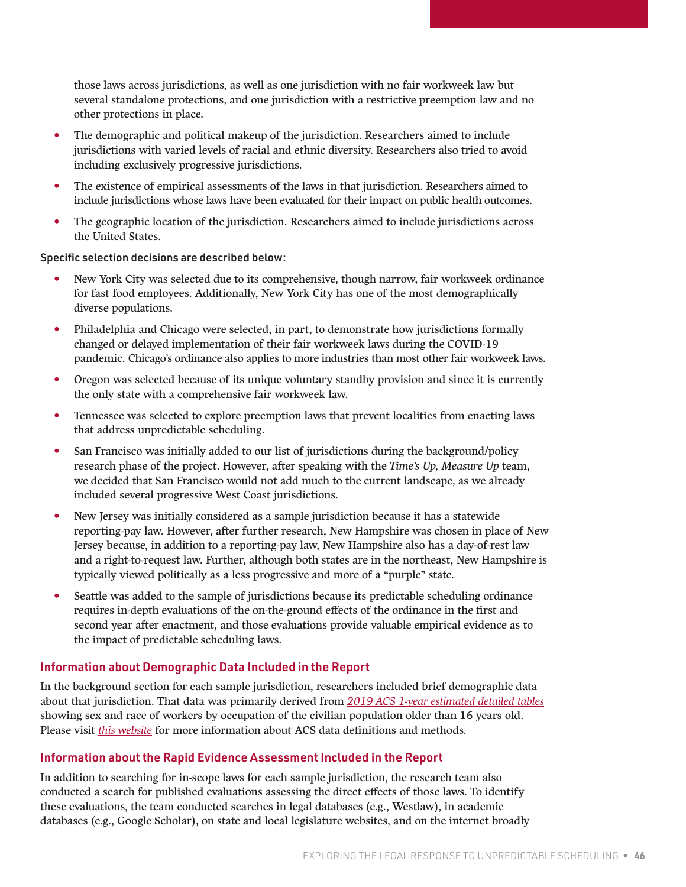those laws across jurisdictions, as well as one jurisdiction with no fair workweek law but several standalone protections, and one jurisdiction with a restrictive preemption law and no other protections in place.

- The demographic and political makeup of the jurisdiction. Researchers aimed to include jurisdictions with varied levels of racial and ethnic diversity. Researchers also tried to avoid including exclusively progressive jurisdictions.
- The existence of empirical assessments of the laws in that jurisdiction. Researchers aimed to include jurisdictions whose laws have been evaluated for their impact on public health outcomes.
- The geographic location of the jurisdiction. Researchers aimed to include jurisdictions across the United States.

#### Specific selection decisions are described below:

- New York City was selected due to its comprehensive, though narrow, fair workweek ordinance for fast food employees. Additionally, New York City has one of the most demographically diverse populations.
- Philadelphia and Chicago were selected, in part, to demonstrate how jurisdictions formally changed or delayed implementation of their fair workweek laws during the COVID-19 pandemic. Chicago's ordinance also applies to more industries than most other fair workweek laws.
- Oregon was selected because of its unique voluntary standby provision and since it is currently the only state with a comprehensive fair workweek law.
- Tennessee was selected to explore preemption laws that prevent localities from enacting laws that address unpredictable scheduling.
- San Francisco was initially added to our list of jurisdictions during the background/policy research phase of the project. However, after speaking with the *Time's Up, Measure Up* team, we decided that San Francisco would not add much to the current landscape, as we already included several progressive West Coast jurisdictions.
- New Jersey was initially considered as a sample jurisdiction because it has a statewide reporting-pay law. However, after further research, New Hampshire was chosen in place of New Jersey because, in addition to a reporting-pay law, New Hampshire also has a day-of-rest law and a right-to-request law. Further, although both states are in the northeast, New Hampshire is typically viewed politically as a less progressive and more of a "purple" state.
- Seattle was added to the sample of jurisdictions because its predictable scheduling ordinance requires in-depth evaluations of the on-the-ground effects of the ordinance in the first and second year after enactment, and those evaluations provide valuable empirical evidence as to the impact of predictable scheduling laws.

#### Information about Demographic Data Included in the Report

In the background section for each sample jurisdiction, researchers included brief demographic data about that jurisdiction. That data was primarily derived from *[2019 ACS 1-year estimated detailed tables](https://data.census.gov/cedsci/all?t=Occupation&d=ACS%201-Year%20Estimates%20Detailed%20Tables)* showing sex and race of workers by occupation of the civilian population older than 16 years old. Please visit *[this website](https://www.census.gov/topics/employment/industry-occupation/about/occupation.html)* for more information about ACS data definitions and methods.

#### Information about the Rapid Evidence Assessment Included in the Report

In addition to searching for in-scope laws for each sample jurisdiction, the research team also conducted a search for published evaluations assessing the direct effects of those laws. To identify these evaluations, the team conducted searches in legal databases (e.g., Westlaw), in academic databases (e.g., Google Scholar), on state and local legislature websites, and on the internet broadly